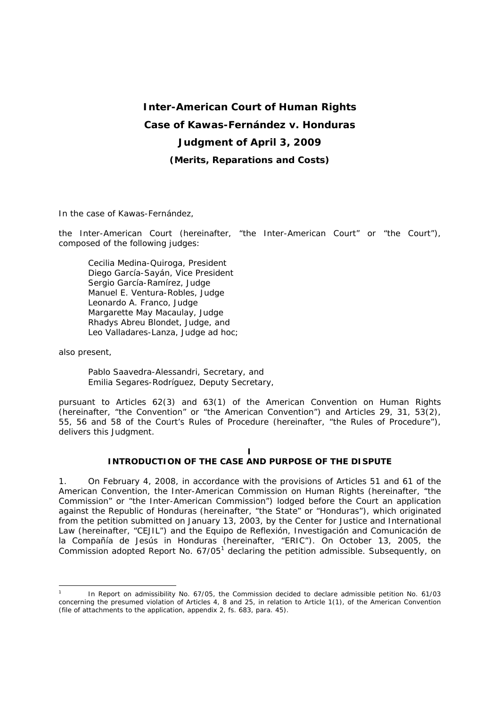# **Inter-American Court of Human Rights Case of Kawas-Fernández** *v.* **Honduras Judgment of April 3, 2009** *(Merits, Reparations and Costs)*

In the case of *Kawas-Fernández,*

the Inter-American Court (hereinafter, "the Inter-American Court" or "the Court"), composed of the following judges:

Cecilia Medina-Quiroga, President Diego García-Sayán, Vice President Sergio García-Ramírez, Judge Manuel E. Ventura-Robles, Judge Leonardo A. Franco, Judge Margarette May Macaulay, Judge Rhadys Abreu Blondet, Judge*,* and Leo Valladares-Lanza, Judge *ad hoc*;

also present,

-

Pablo Saavedra-Alessandri, Secretary, and Emilia Segares-Rodríguez, Deputy Secretary,

pursuant to Articles 62(3) and 63(1) of the American Convention on Human Rights (hereinafter, "the Convention" or "the American Convention") and Articles 29, 31, 53(2), 55, 56 and 58 of the Court's Rules of Procedure (hereinafter, "the Rules of Procedure"), delivers this Judgment.

#### **I INTRODUCTION OF THE CASE AND PURPOSE OF THE DISPUTE**

1. On February 4, 2008, in accordance with the provisions of Articles 51 and 61 of the American Convention, the Inter-American Commission on Human Rights (hereinafter, "the Commission" or "the Inter-American Commission") lodged before the Court an application against the Republic of Honduras (hereinafter, "the State" or "Honduras"), which originated from the petition submitted on January 13, 2003, by the Center for Justice and International Law (hereinafter, "CEJIL") and the *Equipo de Reflexión, Investigación and Comunicación de la Compañía de Jesús* in Honduras (hereinafter, "ERIC"). On October 13, 2005, the Commission adopted Report No.  $67/05<sup>1</sup>$  declaring the petition admissible. Subsequently, on

<sup>1</sup> In Report on admissibility No. 67/05, the Commission decided to declare admissible petition No. 61/03 concerning the presumed violation of Articles 4, 8 and 25, in relation to Article 1(1), of the American Convention (file of attachments to the application, appendix 2, fs. 683, para. 45).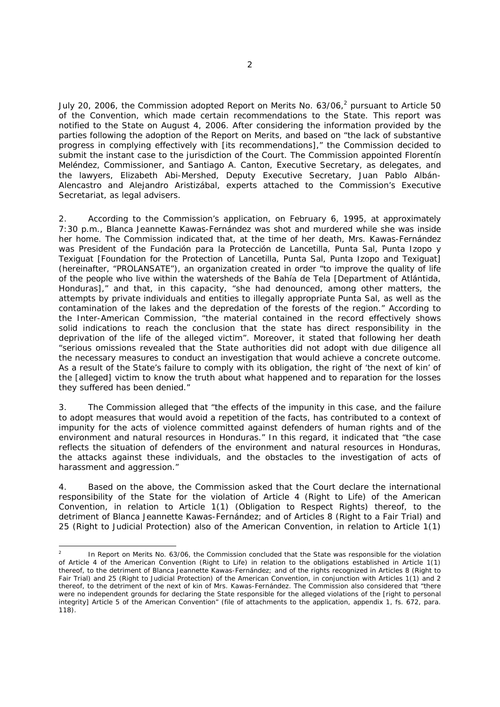July 20, 2006, the Commission adopted Report on Merits No.  $63/06<sup>2</sup>$  pursuant to Article 50 of the Convention, which made certain recommendations to the State. This report was notified to the State on August 4, 2006. After considering the information provided by the parties following the adoption of the Report on Merits, and based on "the lack of substantive progress in complying effectively with [its recommendations]," the Commission decided to submit the instant case to the jurisdiction of the Court. The Commission appointed Florentín Meléndez, Commissioner, and Santiago A. Canton, Executive Secretary, as delegates, and the lawyers, Elizabeth Abi-Mershed, Deputy Executive Secretary, Juan Pablo Albán-Alencastro and Alejandro Aristizábal, experts attached to the Commission's Executive Secretariat, as legal advisers.

2. According to the Commission's application, on February 6, 1995, at approximately 7:30 p.m., Blanca Jeannette Kawas-Fernández was shot and murdered while she was inside her home. The Commission indicated that, at the time of her death, Mrs. Kawas-Fernández was President of the *Fundación para la Protección de Lancetilla, Punta Sal, Punta Izopo y Texiguat* [Foundation for the Protection of Lancetilla, Punta Sal, Punta Izopo and Texiguat] (hereinafter, "PROLANSATE"), an organization created in order "to improve the quality of life of the people who live within the watersheds of the Bahía de Tela [Department of Atlántida, Honduras]," and that, in this capacity, "she had denounced, among other matters, the attempts by private individuals and entities to illegally appropriate Punta Sal, as well as the contamination of the lakes and the depredation of the forests of the region." According to the Inter-American Commission, "the material contained in the record effectively shows solid indications to reach the conclusion that the state has direct responsibility in the deprivation of the life of the alleged victim". Moreover, it stated that following her death "serious omissions revealed that the State authorities did not adopt with due diligence all the necessary measures to conduct an investigation that would achieve a concrete outcome. As a result of the State's failure to comply with its obligation, the right of 'the next of kin' of the [alleged] victim to know the truth about what happened and to reparation for the losses they suffered has been denied."

3. The Commission alleged that "the effects of the impunity in this case, and the failure to adopt measures that would avoid a repetition of the facts, has contributed to a context of impunity for the acts of violence committed against defenders of human rights and of the environment and natural resources in Honduras." In this regard, it indicated that "the case reflects the situation of defenders of the environment and natural resources in Honduras, the attacks against these individuals, and the obstacles to the investigation of acts of harassment and aggression."

4. Based on the above, the Commission asked that the Court declare the international responsibility of the State for the violation of Article 4 (Right to Life) of the American Convention, in relation to Article 1(1) (Obligation to Respect Rights) thereof, to the detriment of Blanca Jeannette Kawas-Fernández; and of Articles 8 (Right to a Fair Trial) and 25 (Right to Judicial Protection) also of the American Convention, in relation to Article 1(1)

-

<sup>2</sup> In Report on Merits No. 63/06, the Commission concluded that the State was responsible for the violation of Article 4 of the American Convention (Right to Life) in relation to the obligations established in Article 1(1) thereof, to the detriment of Blanca Jeannette Kawas-Fernández; and of the rights recognized in Articles 8 (Right to Fair Trial) and 25 (Right to Judicial Protection) of the American Convention, in conjunction with Articles 1(1) and 2 thereof, to the detriment of the next of kin of Mrs. Kawas-Fernández. The Commission also considered that "there were no independent grounds for declaring the State responsible for the alleged violations of the [right to personal integrity] Article 5 of the American Convention" (file of attachments to the application, appendix 1, fs. 672, para. 118).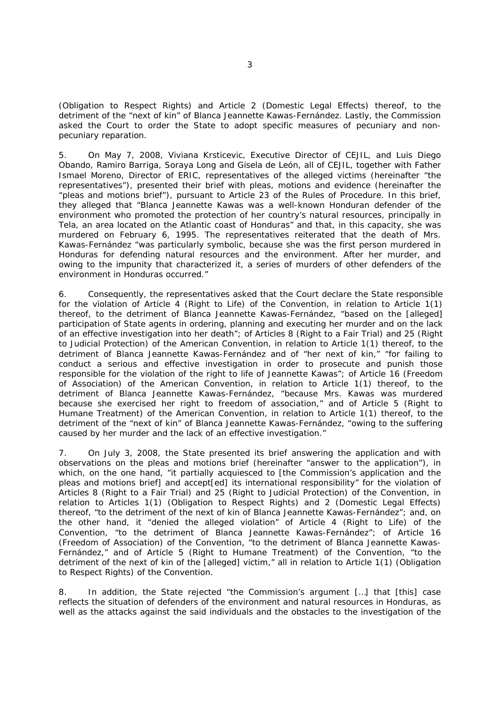(Obligation to Respect Rights) and Article 2 (Domestic Legal Effects) thereof, to the detriment of the "next of kin" of Blanca Jeannette Kawas-Fernández. Lastly, the Commission asked the Court to order the State to adopt specific measures of pecuniary and nonpecuniary reparation.

5. On May 7, 2008, Viviana Krsticevic, Executive Director of CEJIL, and Luis Diego Obando, Ramiro Barriga, Soraya Long and Gisela de León, all of CEJIL, together with Father Ismael Moreno, Director of ERIC, representatives of the alleged victims (hereinafter "the representatives"), presented their brief with pleas, motions and evidence (hereinafter the "pleas and motions brief"), pursuant to Article 23 of the Rules of Procedure. In this brief, they alleged that "Blanca Jeannette Kawas was a well-known Honduran defender of the environment who promoted the protection of her country's natural resources, principally in Tela, an area located on the Atlantic coast of Honduras" and that, in this capacity, she was murdered on February 6, 1995. The representatives reiterated that the death of Mrs. Kawas-Fernández "was particularly symbolic, because she was the first person murdered in Honduras for defending natural resources and the environment. After her murder, and owing to the impunity that characterized it, a series of murders of other defenders of the environment in Honduras occurred."

6. Consequently, the representatives asked that the Court declare the State responsible for the violation of Article 4 (Right to Life) of the Convention, in relation to Article 1(1) thereof, to the detriment of Blanca Jeannette Kawas-Fernández, "based on the [alleged] participation of State agents in ordering, planning and executing her murder and on the lack of an effective investigation into her death"; of Articles 8 (Right to a Fair Trial) and 25 (Right to Judicial Protection) of the American Convention, in relation to Article 1(1) thereof, to the detriment of Blanca Jeannette Kawas-Fernández and of "her next of kin," "for failing to conduct a serious and effective investigation in order to prosecute and punish those responsible for the violation of the right to life of Jeannette Kawas"; of Article 16 (Freedom of Association) of the American Convention, in relation to Article 1(1) thereof, to the detriment of Blanca Jeannette Kawas-Fernández, "because Mrs. Kawas was murdered because she exercised her right to freedom of association," and of Article 5 (Right to Humane Treatment) of the American Convention, in relation to Article 1(1) thereof, to the detriment of the "next of kin" of Blanca Jeannette Kawas-Fernández, "owing to the suffering caused by her murder and the lack of an effective investigation."

7. On July 3, 2008, the State presented its brief answering the application and with observations on the pleas and motions brief (hereinafter "answer to the application"), in which, on the one hand, "it partially acquiesced to [the Commission's application and the pleas and motions brief] and accept[ed] its international responsibility" for the violation of Articles 8 (Right to a Fair Trial) and 25 (Right to Judicial Protection) of the Convention, in relation to Articles 1(1) (Obligation to Respect Rights) and 2 (Domestic Legal Effects) thereof, "to the detriment of the next of kin of Blanca Jeannette Kawas-Fernández"; and, on the other hand, it "denied the alleged violation" of Article 4 (Right to Life) of the Convention, "to the detriment of Blanca Jeannette Kawas-Fernández"; of Article 16 (Freedom of Association) of the Convention, "to the detriment of Blanca Jeannette Kawas-Fernández," and of Article 5 (Right to Humane Treatment) of the Convention, "to the detriment of the next of kin of the [alleged] victim," all in relation to Article 1(1) (Obligation to Respect Rights) of the Convention.

8. In addition, the State rejected "the Commission's argument […] that [this] case reflects the situation of defenders of the environment and natural resources in Honduras, as well as the attacks against the said individuals and the obstacles to the investigation of the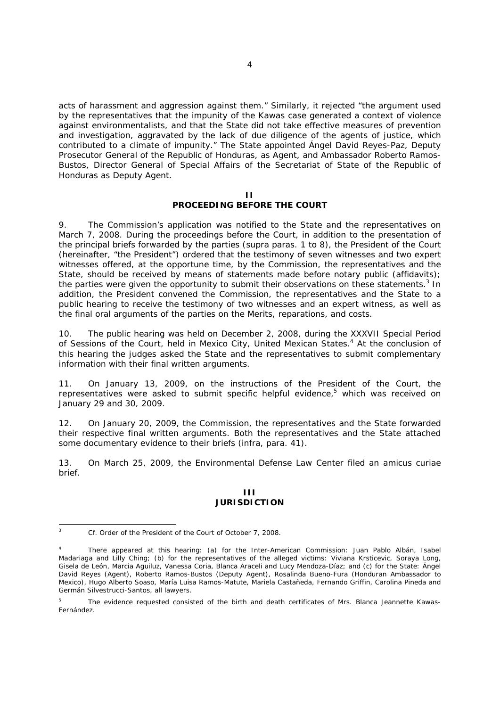acts of harassment and aggression against them." Similarly, it rejected "the argument used by the representatives that the impunity of the Kawas case generated a context of violence against environmentalists, and that the State did not take effective measures of prevention and investigation, aggravated by the lack of due diligence of the agents of justice, which contributed to a climate of impunity." The State appointed Ángel David Reyes-Paz, Deputy Prosecutor General of the Republic of Honduras, as Agent, and Ambassador Roberto Ramos-Bustos, Director General of Special Affairs of the Secretariat of State of the Republic of Honduras as Deputy Agent.

#### **II PROCEEDING BEFORE THE COURT**

9. The Commission's application was notified to the State and the representatives on March 7, 2008. During the proceedings before the Court, in addition to the presentation of the principal briefs forwarded by the parties (*supra* paras. 1 to 8), the President of the Court (hereinafter, "the President") ordered that the testimony of seven witnesses and two expert witnesses offered, at the opportune time, by the Commission, the representatives and the State, should be received by means of statements made before notary public (affidavits); the parties were given the opportunity to submit their observations on these statements.<sup>3</sup> In addition, the President convened the Commission, the representatives and the State to a public hearing to receive the testimony of two witnesses and an expert witness, as well as the final oral arguments of the parties on the Merits, reparations, and costs.

10. The public hearing was held on December 2, 2008, during the XXXVII Special Period of Sessions of the Court, held in Mexico City, United Mexican States.<sup>4</sup> At the conclusion of this hearing the judges asked the State and the representatives to submit complementary information with their final written arguments.

11. On January 13, 2009, on the instructions of the President of the Court, the representatives were asked to submit specific helpful evidence,<sup>5</sup> which was received on January 29 and 30, 2009.

12. On January 20, 2009, the Commission, the representatives and the State forwarded their respective final written arguments. Both the representatives and the State attached some documentary evidence to their briefs (*infra*, para. 41).

13. On March 25, 2009, the Environmental Defense Law Center filed an *amicus curiae*  brief.

#### **III JURISDICTION**

 $\frac{1}{3}$ *Cf.* Order of the President of the Court of October 7, 2008.

<sup>4</sup> There appeared at this hearing: (a) for the Inter-American Commission: Juan Pablo Albán, Isabel Madariaga and Lilly Ching; (b) for the representatives of the alleged victims: Viviana Krsticevic, Soraya Long, Gisela de León, Marcia Aguiluz, Vanessa Coria, Blanca Araceli and Lucy Mendoza-Díaz; and (c) for the State: Ángel David Reyes (Agent), Roberto Ramos-Bustos (Deputy Agent), Rosalinda Bueno-Fura (Honduran Ambassador to Mexico), Hugo Alberto Soaso, María Luisa Ramos-Matute, Mariela Castañeda, Fernando Griffin, Carolina Pineda and Germán Silvestrucci-Santos, all lawyers.

<sup>5</sup> The evidence requested consisted of the birth and death certificates of Mrs. Blanca Jeannette Kawas-Fernández.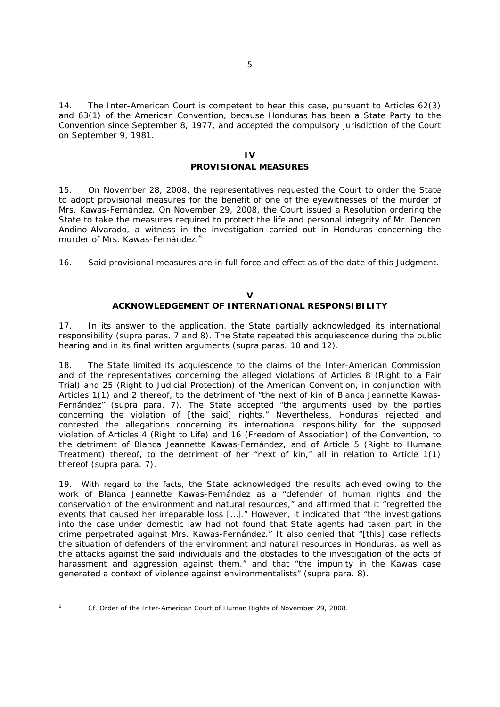14. The Inter-American Court is competent to hear this case, pursuant to Articles 62(3) and 63(1) of the American Convention, because Honduras has been a State Party to the Convention since September 8, 1977, and accepted the compulsory jurisdiction of the Court on September 9, 1981.

# **IV PROVISIONAL MEASURES**

15. On November 28, 2008, the representatives requested the Court to order the State to adopt provisional measures for the benefit of one of the eyewitnesses of the murder of Mrs. Kawas-Fernández. On November 29, 2008, the Court issued a Resolution ordering the State to take the measures required to protect the life and personal integrity of Mr. Dencen Andino-Alvarado, a witness in the investigation carried out in Honduras concerning the murder of Mrs. Kawas-Fernández.<sup>6</sup>

16. Said provisional measures are in full force and effect as of the date of this Judgment.

#### **V ACKNOWLEDGEMENT OF INTERNATIONAL RESPONSIBILITY**

17. In its answer to the application, the State partially acknowledged its international responsibility (*supra* paras. 7 and 8). The State repeated this acquiescence during the public hearing and in its final written arguments (*supra* paras. 10 and 12).

18. The State limited its acquiescence to the claims of the Inter-American Commission and of the representatives concerning the alleged violations of Articles 8 (Right to a Fair Trial) and 25 (Right to Judicial Protection) of the American Convention, in conjunction with Articles 1(1) and 2 thereof, to the detriment of "the next of kin of Blanca Jeannette Kawas-Fernández" (*supra* para. 7). The State accepted "the arguments used by the parties concerning the violation of [the said] rights." Nevertheless, Honduras rejected and contested the allegations concerning its international responsibility for the supposed violation of Articles 4 (Right to Life) and 16 (Freedom of Association) of the Convention, to the detriment of Blanca Jeannette Kawas-Fernández, and of Article 5 (Right to Humane Treatment) thereof, to the detriment of her "next of kin," all in relation to Article 1(1) thereof (*supra* para. 7).

19. With regard to the facts, the State acknowledged the results achieved owing to the work of Blanca Jeannette Kawas-Fernández as a "defender of human rights and the conservation of the environment and natural resources," and affirmed that it "regretted the events that caused her irreparable loss […]." However, it indicated that "the investigations into the case under domestic law had not found that State agents had taken part in the crime perpetrated against Mrs. Kawas-Fernández." It also denied that "[this] case reflects the situation of defenders of the environment and natural resources in Honduras, as well as the attacks against the said individuals and the obstacles to the investigation of the acts of harassment and aggression against them," and that "the impunity in the Kawas case generated a context of violence against environmentalists" (*supra* para. 8).

<sup>-</sup>

<sup>6</sup> *Cf.* Order of the Inter-American Court of Human Rights of November 29, 2008.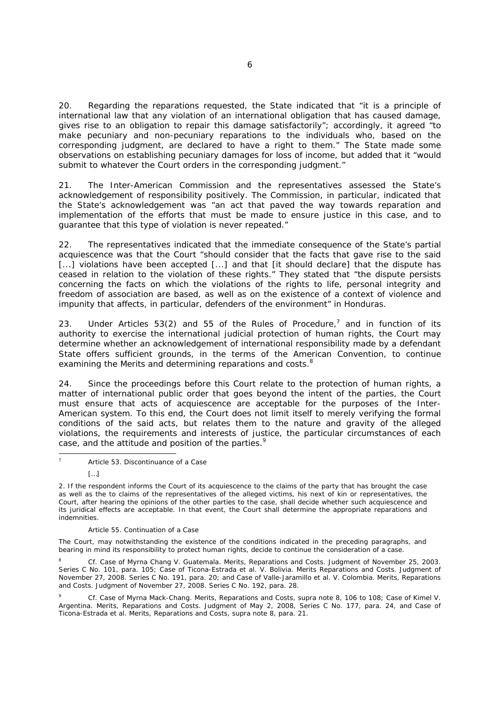20. Regarding the reparations requested, the State indicated that "it is a principle of international law that any violation of an international obligation that has caused damage, gives rise to an obligation to repair this damage satisfactorily"; accordingly, it agreed "to make pecuniary and non-pecuniary reparations to the individuals who, based on the corresponding judgment, are declared to have a right to them." The State made some observations on establishing pecuniary damages for loss of income, but added that it "would submit to whatever the Court orders in the corresponding judgment."

21. The Inter-American Commission and the representatives assessed the State's acknowledgement of responsibility positively. The Commission, in particular, indicated that the State's acknowledgement was "an act that paved the way towards reparation and implementation of the efforts that must be made to ensure justice in this case, and to guarantee that this type of violation is never repeated."

22. The representatives indicated that the immediate consequence of the State's partial acquiescence was that the Court "should consider that the facts that gave rise to the said [...] violations have been accepted [...] and that [it should declare] that the dispute has ceased in relation to the violation of these rights." They stated that "the dispute persists concerning the facts on which the violations of the rights to life, personal integrity and freedom of association are based, as well as on the existence of a context of violence and impunity that affects, in particular, defenders of the environment" in Honduras.

23. Under Articles 53(2) and 55 of the Rules of Procedure,<sup>7</sup> and in function of its authority to exercise the international judicial protection of human rights, the Court may determine whether an acknowledgement of international responsibility made by a defendant State offers sufficient grounds, in the terms of the American Convention, to continue examining the Merits and determining reparations and costs.<sup>8</sup>

24. Since the proceedings before this Court relate to the protection of human rights, a matter of international public order that goes beyond the intent of the parties, the Court must ensure that acts of acquiescence are acceptable for the purposes of the Inter-American system. To this end, the Court does not limit itself to merely verifying the formal conditions of the said acts, but relates them to the nature and gravity of the alleged violations, the requirements and interests of justice, the particular circumstances of each case, and the attitude and position of the parties.<sup>9</sup>

#### Article 55. Continuation of a Case

The Court, may notwithstanding the existence of the conditions indicated in the preceding paragraphs, and bearing in mind its responsibility to protect human rights, decide to continue the consideration of a case.

8 *Cf. Case of Myrna Chang V. Guatemala. Merits, Reparations and Costs.* Judgment of November 25, 2003. Series C No. 101, para. 105; *Case of Ticona-Estrada et al. V. Bolivia. Merits Reparations and Costs.* Judgment of November 27, 2008. Series C No. 191, para. 20; and *Case of Valle-Jaramillo et al. V. Colombia. Merits, Reparations and Costs.* Judgment of November 27, 2008. Series C No. 192, para. 28.

<sup>9</sup> *Cf. Case of Myrna Mack-Chang. Merits, Reparations and Costs, supra* note 8, 106 to 108*; Case of Kimel V. Argentina. Merits, Reparations and Costs.* Judgment of May 2, 2008, Series C No. 177, para. 24, and *Case of Ticona-Estrada et al. Merits, Reparations and Costs, supra* note 8, para. 21.

<sup>-</sup>7 Article 53. Discontinuance of a Case

<sup>[…]</sup> 

<sup>2.</sup> If the respondent informs the Court of its acquiescence to the claims of the party that has brought the case as well as the to claims of the representatives of the alleged victims, his next of kin or representatives, the Court, after hearing the opinions of the other parties to the case, shall decide whether such acquiescence and its juridical effects are acceptable. In that event, the Court shall determine the appropriate reparations and indemnities.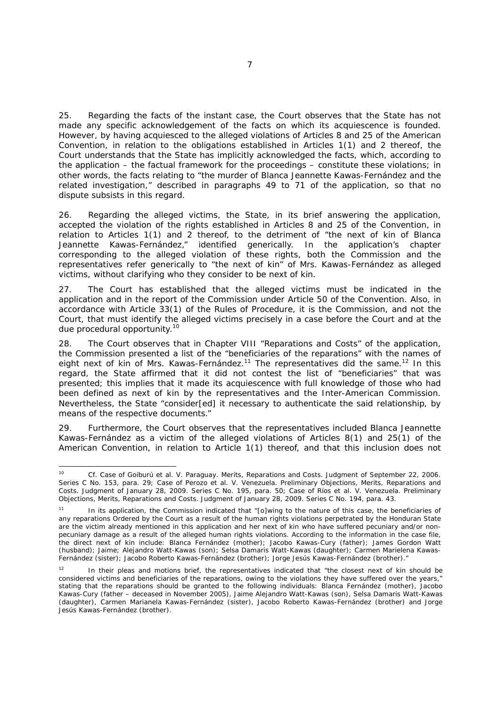25. Regarding the facts of the instant case, the Court observes that the State has not made any specific acknowledgement of the facts on which its acquiescence is founded. However, by having acquiesced to the alleged violations of Articles 8 and 25 of the American Convention, in relation to the obligations established in Articles 1(1) and 2 thereof, the Court understands that the State has implicitly acknowledged the facts, which, according to the application – the factual framework for the proceedings – constitute these violations; in other words, the facts relating to "the murder of Blanca Jeannette Kawas-Fernández and the related investigation," described in paragraphs 49 to 71 of the application, so that no dispute subsists in this regard.

26. Regarding the alleged victims, the State, in its brief answering the application, accepted the violation of the rights established in Articles 8 and 25 of the Convention, in relation to Articles 1(1) and 2 thereof, to the detriment of "the next of kin of Blanca Jeannette Kawas-Fernández," identified generically. In the application's chapter corresponding to the alleged violation of these rights, both the Commission and the representatives refer generically to "the next of kin" of Mrs. Kawas-Fernández as alleged victims, without clarifying who they consider to be next of kin.

27. The Court has established that the alleged victims must be indicated in the application and in the report of the Commission under Article 50 of the Convention. Also, in accordance with Article 33(1) of the Rules of Procedure, it is the Commission, and not the Court, that must identify the alleged victims precisely in a case before the Court and at the due procedural opportunity.10

28. The Court observes that in Chapter VIII "Reparations and Costs" of the application, the Commission presented a list of the "beneficiaries of the reparations" with the names of eight next of kin of Mrs. Kawas-Fernández.<sup>11</sup> The representatives did the same.<sup>12</sup> In this regard, the State affirmed that it did not contest the list of "beneficiaries" that was presented; this implies that it made its acquiescence with full knowledge of those who had been defined as next of kin by the representatives and the Inter-American Commission. Nevertheless, the State "consider[ed] it necessary to authenticate the said relationship, by means of the respective documents."

29. Furthermore, the Court observes that the representatives included Blanca Jeannette Kawas-Fernández as a victim of the alleged violations of Articles 8(1) and 25(1) of the American Convention, in relation to Article 1(1) thereof, and that this inclusion does not

 $10$ <sup>10</sup> *Cf*. *Case of Goiburú et al. V. Paraguay*. *Merits, Reparations and Costs*. Judgment of September 22, 2006. Series C No. 153, para. 29; *Case of Perozo et al. V. Venezuela*. *Preliminary Objections, Merits, Reparations and Costs.* Judgment of January 28, 2009. Series C No. 195, para. 50; *Case of Ríos et al. V. Venezuela*. *Preliminary Objections, Merits, Reparations and Costs*. Judgment of January 28, 2009. Series C No. 194, para. 43.

In its application, the Commission indicated that "[o]wing to the nature of this case, the beneficiaries of any reparations Ordered by the Court as a result of the human rights violations perpetrated by the Honduran State are the victim already mentioned in this application and her next of kin who have suffered pecuniary and/or nonpecuniary damage as a result of the alleged human rights violations. According to the information in the case file, the direct next of kin include: Blanca Fernández (mother); Jacobo Kawas-Cury (father); James Gordon Watt (husband); Jaime; Alejandro Watt-Kawas (son); Selsa Damaris Watt-Kawas (daughter); Carmen Marielena Kawas-Fernández (sister); Jacobo Roberto Kawas-Fernández (brother); Jorge Jesús Kawas-Fernández (brother)."

In their pleas and motions brief, the representatives indicated that "the closest next of kin should be considered victims and beneficiaries of the reparations, owing to the violations they have suffered over the years," stating that the reparations should be granted to the following individuals: Blanca Fernández (mother), Jacobo Kawas-Cury (father – deceased in November 2005), Jaime Alejandro Watt-Kawas (son), Selsa Damaris Watt-Kawas (daughter), Carmen Marianela Kawas-Fernández (sister), Jacobo Roberto Kawas-Fernández (brother) and Jorge Jesús Kawas-Fernández (brother).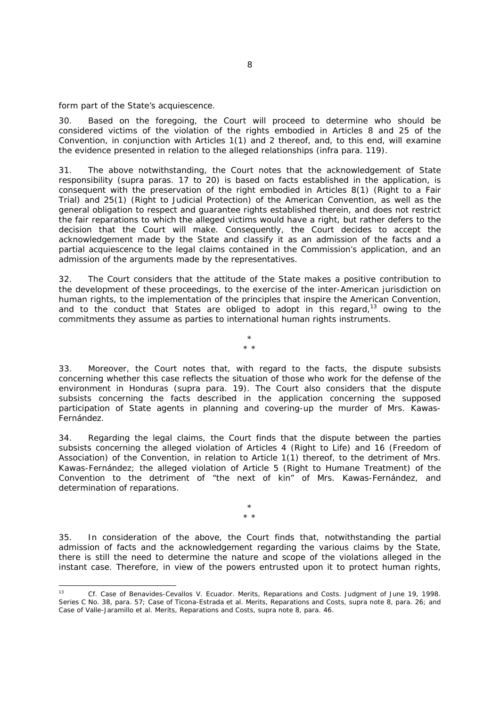form part of the State's acquiescence.

30. Based on the foregoing, the Court will proceed to determine who should be considered victims of the violation of the rights embodied in Articles 8 and 25 of the Convention, in conjunction with Articles 1(1) and 2 thereof, and, to this end, will examine the evidence presented in relation to the alleged relationships (*infra* para. 119).

31. The above notwithstanding, the Court notes that the acknowledgement of State responsibility (*supra* paras. 17 to 20) is based on facts established in the application, is consequent with the preservation of the right embodied in Articles 8(1) (Right to a Fair Trial) and 25(1) (Right to Judicial Protection) of the American Convention, as well as the general obligation to respect and guarantee rights established therein, and does not restrict the fair reparations to which the alleged victims would have a right, but rather defers to the decision that the Court will make. Consequently, the Court decides to accept the acknowledgement made by the State and classify it as an admission of the facts and a partial acquiescence to the legal claims contained in the Commission's application, and an admission of the arguments made by the representatives.

32. The Court considers that the attitude of the State makes a positive contribution to the development of these proceedings, to the exercise of the inter-American jurisdiction on human rights, to the implementation of the principles that inspire the American Convention, and to the conduct that States are obliged to adopt in this regard, $13$  owing to the commitments they assume as parties to international human rights instruments.

> \* \* \*

33. Moreover, the Court notes that, with regard to the facts, the dispute subsists concerning whether this case reflects the situation of those who work for the defense of the environment in Honduras (*supra* para. 19). The Court also considers that the dispute subsists concerning the facts described in the application concerning the supposed participation of State agents in planning and covering-up the murder of Mrs. Kawas-Fernández.

34. Regarding the legal claims, the Court finds that the dispute between the parties subsists concerning the alleged violation of Articles 4 (Right to Life) and 16 (Freedom of Association) of the Convention, in relation to Article 1(1) thereof, to the detriment of Mrs. Kawas-Fernández; the alleged violation of Article 5 (Right to Humane Treatment) of the Convention to the detriment of "the next of kin" of Mrs. Kawas-Fernández, and determination of reparations.

> \* \* \*

35. In consideration of the above, the Court finds that, notwithstanding the partial admission of facts and the acknowledgement regarding the various claims by the State, there is still the need to determine the nature and scope of the violations alleged in the instant case. Therefore, in view of the powers entrusted upon it to protect human rights,

 $1.3$ *13 Cf. Case of Benavides-Cevallos V. Ecuador. Merits, Reparations and Costs.* Judgment of June 19, 1998. Series C No. 38, para. 57; Case of Ticona-Estrada et al. Merits, Reparations and Costs, supra note 8, para. 26; and *Case of Valle-Jaramillo et al. Merits, Reparations and Costs, supra note 8, para. 46.*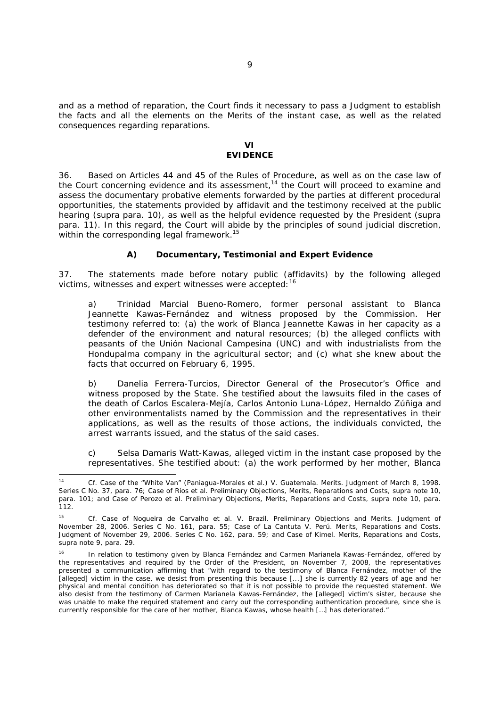and as a method of reparation, the Court finds it necessary to pass a Judgment to establish the facts and all the elements on the Merits of the instant case, as well as the related consequences regarding reparations.

## **VI EVIDENCE**

36. Based on Articles 44 and 45 of the Rules of Procedure, as well as on the case law of the Court concerning evidence and its assessment,<sup>14</sup> the Court will proceed to examine and assess the documentary probative elements forwarded by the parties at different procedural opportunities, the statements provided by affidavit and the testimony received at the public hearing (*supra* para. 10), as well as the helpful evidence requested by the President (*supra* para. 11). In this regard, the Court will abide by the principles of sound judicial discretion, within the corresponding legal framework.<sup>15</sup>

# *A) Documentary, Testimonial and Expert Evidence*

37. The statements made before notary public (affidavits) by the following alleged victims, witnesses and expert witnesses were accepted: <sup>16</sup>

a) *Trinidad Marcial Bueno-Romero*, former personal assistant to Blanca Jeannette Kawas-Fernández and witness proposed by the Commission. Her testimony referred to: (a) the work of Blanca Jeannette Kawas in her capacity as a defender of the environment and natural resources; (b) the alleged conflicts with peasants of the *Unión Nacional Campesina* (UNC) and with industrialists from the Hondupalma company in the agricultural sector; and (c) what she knew about the facts that occurred on February 6, 1995.

b) *Danelia Ferrera-Turcios*, Director General of the Prosecutor's Office and witness proposed by the State. She testified about the lawsuits filed in the cases of the death of Carlos Escalera-Mejía, Carlos Antonio Luna-López, Hernaldo Zúñiga and other environmentalists named by the Commission and the representatives in their applications, as well as the results of those actions, the individuals convicted, the arrest warrants issued, and the status of the said cases.

c) *Selsa Damaris Watt-Kawas*, alleged victim in the instant case proposed by the representatives. She testified about: (a) the work performed by her mother, Blanca

<sup>-</sup><sup>14</sup> *Cf. Case of the "White Van" (Paniagua-Morales et al.) V. Guatemala. Merits.* Judgment of March 8, 1998. Series C No. 37, para. 76*; Case of Ríos et al. Preliminary Objections, Merits, Reparations and Costs, supra* note 10, para. 101; and *Case of Perozo et al. Preliminary Objections, Merits, Reparations and Costs, supra* note 10, para. 112.

<sup>15</sup> *Cf. Case of Nogueira de Carvalho et al. V. Brazil*. *Preliminary Objections and Merits*. Judgment of November 28, 2006. Series C No. 161, para. 55; *Case of La Cantuta V. Perú*. *Merits, Reparations and Costs.* Judgment of November 29, 2006. Series C No. 162, para. 59; and *Case of Kimel. Merits, Reparations and Costs, supra* note 9, para. 29.

<sup>16</sup> In relation to testimony given by Blanca Fernández and Carmen Marianela Kawas-Fernández, offered by the representatives and required by the Order of the President, on November 7, 2008, the representatives presented a communication affirming that "with regard to the testimony of Blanca Fernández, mother of the [alleged] victim in the case, we desist from presenting this because [...] she is currently 82 years of age and her physical and mental condition has deteriorated so that it is not possible to provide the requested statement. We also desist from the testimony of Carmen Marianela Kawas-Fernández, the [alleged] victim's sister, because she was unable to make the required statement and carry out the corresponding authentication procedure, since she is currently responsible for the care of her mother, Blanca Kawas, whose health […] has deteriorated."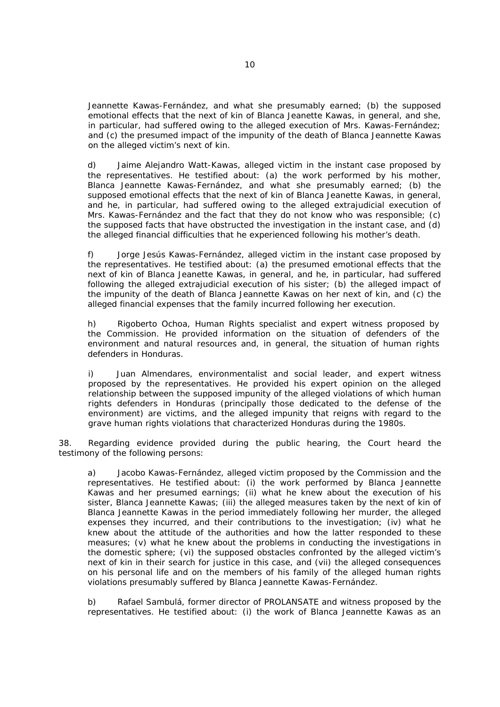Jeannette Kawas-Fernández, and what she presumably earned; (b) the supposed emotional effects that the next of kin of Blanca Jeanette Kawas, in general, and she, in particular, had suffered owing to the alleged execution of Mrs. Kawas-Fernández; and (c) the presumed impact of the impunity of the death of Blanca Jeannette Kawas on the alleged victim's next of kin.

d) *Jaime Alejandro Watt-Kawas*, alleged victim in the instant case proposed by the representatives. He testified about: (a) the work performed by his mother, Blanca Jeannette Kawas-Fernández, and what she presumably earned; (b) the supposed emotional effects that the next of kin of Blanca Jeanette Kawas, in general, and he, in particular, had suffered owing to the alleged extrajudicial execution of Mrs. Kawas-Fernández and the fact that they do not know who was responsible; (c) the supposed facts that have obstructed the investigation in the instant case, and (d) the alleged financial difficulties that he experienced following his mother's death.

f) *Jorge Jesús Kawas-Fernández,* alleged victim in the instant case proposed by the representatives. He testified about: (a) the presumed emotional effects that the next of kin of Blanca Jeanette Kawas, in general, and he, in particular, had suffered following the alleged extrajudicial execution of his sister; (b) the alleged impact of the impunity of the death of Blanca Jeannette Kawas on her next of kin, and (c) the alleged financial expenses that the family incurred following her execution.

h) *Rigoberto Ochoa,* Human Rights specialist and expert witness proposed by the Commission. He provided information on the situation of defenders of the environment and natural resources and, in general, the situation of human rights defenders in Honduras.

i) *Juan Almendares*, environmentalist and social leader, and expert witness proposed by the representatives. He provided his expert opinion on the alleged relationship between the supposed impunity of the alleged violations of which human rights defenders in Honduras (principally those dedicated to the defense of the environment) are victims, and the alleged impunity that reigns with regard to the grave human rights violations that characterized Honduras during the 1980s.

38. Regarding evidence provided during the public hearing, the Court heard the testimony of the following persons:

a) *Jacobo Kawas-Fernández*, alleged victim proposed by the Commission and the representatives. He testified about: (i) the work performed by Blanca Jeannette Kawas and her presumed earnings; (ii) what he knew about the execution of his sister, Blanca Jeannette Kawas; (iii) the alleged measures taken by the next of kin of Blanca Jeannette Kawas in the period immediately following her murder, the alleged expenses they incurred, and their contributions to the investigation; (iv) what he knew about the attitude of the authorities and how the latter responded to these measures; (v) what he knew about the problems in conducting the investigations in the domestic sphere; (vi) the supposed obstacles confronted by the alleged victim's next of kin in their search for justice in this case, and (vii) the alleged consequences on his personal life and on the members of his family of the alleged human rights violations presumably suffered by Blanca Jeannette Kawas-Fernández.

b) *Rafael Sambulá*, former director of PROLANSATE and witness proposed by the representatives. He testified about: (i) the work of Blanca Jeannette Kawas as an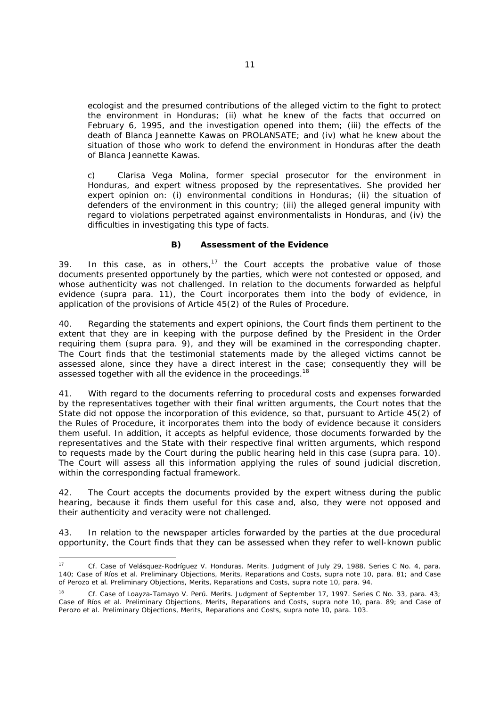ecologist and the presumed contributions of the alleged victim to the fight to protect the environment in Honduras; (ii) what he knew of the facts that occurred on February 6, 1995, and the investigation opened into them; (iii) the effects of the death of Blanca Jeannette Kawas on PROLANSATE; and (iv) what he knew about the situation of those who work to defend the environment in Honduras after the death of Blanca Jeannette Kawas.

c) *Clarisa Vega Molina*, former special prosecutor for the environment in Honduras, and expert witness proposed by the representatives. She provided her expert opinion on: (i) environmental conditions in Honduras; (ii) the situation of defenders of the environment in this country; (iii) the alleged general impunity with regard to violations perpetrated against environmentalists in Honduras, and (iv) the difficulties in investigating this type of facts.

# *B) Assessment of the Evidence*

39. In this case, as in others,<sup>17</sup> the Court accepts the probative value of those documents presented opportunely by the parties, which were not contested or opposed, and whose authenticity was not challenged. In relation to the documents forwarded as helpful evidence (*supra* para. 11), the Court incorporates them into the body of evidence, in application of the provisions of Article 45(2) of the Rules of Procedure.

40. Regarding the statements and expert opinions, the Court finds them pertinent to the extent that they are in keeping with the purpose defined by the President in the Order requiring them (*supra* para. 9), and they will be examined in the corresponding chapter. The Court finds that the testimonial statements made by the alleged victims cannot be assessed alone, since they have a direct interest in the case; consequently they will be assessed together with all the evidence in the proceedings.<sup>18</sup>

41. With regard to the documents referring to procedural costs and expenses forwarded by the representatives together with their final written arguments, the Court notes that the State did not oppose the incorporation of this evidence, so that, pursuant to Article 45(2) of the Rules of Procedure, it incorporates them into the body of evidence because it considers them useful. In addition, it accepts as helpful evidence, those documents forwarded by the representatives and the State with their respective final written arguments, which respond to requests made by the Court during the public hearing held in this case (*supra* para. 10). The Court will assess all this information applying the rules of sound judicial discretion, within the corresponding factual framework.

42. The Court accepts the documents provided by the expert witness during the public hearing, because it finds them useful for this case and, also, they were not opposed and their authenticity and veracity were not challenged.

43. In relation to the newspaper articles forwarded by the parties at the due procedural opportunity, the Court finds that they can be assessed when they refer to well-known public

-

<sup>17</sup> *Cf*. *Case of Velásquez-Rodríguez V. Honduras*. *Merits.* Judgment of July 29, 1988. Series C No. 4, para. 140; *Case of Ríos et al*. *Preliminary Objections, Merits, Reparations and Costs*, *supra* note 10, para. 81; and *Case of Perozo et al*. *Preliminary Objections, Merits, Reparations and Costs*, *supra* note 10, para. 94.

<sup>18</sup> *Cf. Case of Loayza-Tamayo V. Perú. Merits*. Judgment of September 17, 1997. Series C No. 33, para. 43; *Case of Ríos et al. Preliminary Objections, Merits, Reparations and Costs, supra* note 10, para. 89; and *Case of Perozo et al. Preliminary Objections, Merits, Reparations and Costs, supra* note 10, para. 103.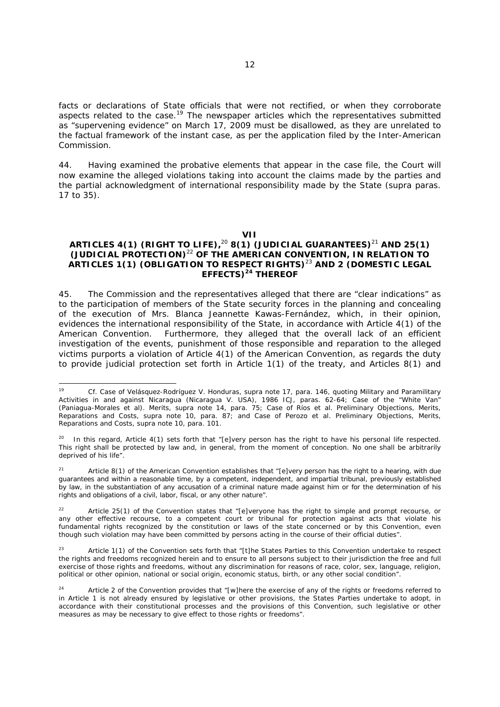facts or declarations of State officials that were not rectified, or when they corroborate aspects related to the case.19 The newspaper articles which the representatives submitted as "supervening evidence" on March 17, 2009 must be disallowed, as they are unrelated to the factual framework of the instant case, as per the application filed by the Inter-American Commission.

44. Having examined the probative elements that appear in the case file, the Court will now examine the alleged violations taking into account the claims made by the parties and the partial acknowledgment of international responsibility made by the State (*supra* paras. 17 to 35).

#### **VII**

# **ARTICLES 4(1) (RIGHT TO LIFE),**<sup>20</sup> **8(1) (JUDICIAL GUARANTEES)**<sup>21</sup> **AND 25(1) (JUDICIAL PROTECTION)**<sup>22</sup> **OF THE AMERICAN CONVENTION, IN RELATION TO ARTICLES 1(1) (OBLIGATION TO RESPECT RIGHTS)**<sup>23</sup> **AND 2 (DOMESTIC LEGAL EFFECTS)24 THEREOF**

45. The Commission and the representatives alleged that there are "clear indications" as to the participation of members of the State security forces in the planning and concealing of the execution of Mrs. Blanca Jeannette Kawas-Fernández, which, in their opinion, evidences the international responsibility of the State, in accordance with Article 4(1) of the American Convention. Furthermore, they alleged that the overall lack of an efficient investigation of the events, punishment of those responsible and reparation to the alleged victims purports a violation of Article 4(1) of the American Convention, as regards the duty to provide judicial protection set forth in Article 1(1) of the treaty, and Articles 8(1) and

 $19$ 19 *Cf*. *Case of Velásquez-Rodríguez V. Honduras, supra* note 17, para. 146, quoting *Military and Paramilitary Activities in and against Nicaragua (Nicaragua V. USA)*, 1986 ICJ, paras. 62-64; *Case of the "White Van" (Paniagua-Morales et al). Merits, supra* note 14, para. 75; *Case of Ríos et al. Preliminary Objections, Merits, Reparations and Costs, supra* note 10, para. 87; and *Case of Perozo et al. Preliminary Objections, Merits, Reparations and Costs, supra* note 10, para. 101.

In this regard, Article 4(1) sets forth that "[e]very person has the right to have his personal life respected. This right shall be protected by law and, in general, from the moment of conception. No one shall be arbitrarily deprived of his life".

Article 8(1) of the American Convention establishes that "[e]very person has the right to a hearing, with due guarantees and within a reasonable time, by a competent, independent, and impartial tribunal, previously established by law, in the substantiation of any accusation of a criminal nature made against him or for the determination of his rights and obligations of a civil, labor, fiscal, or any other nature".

<sup>22</sup> Article 25(1) of the Convention states that "[e]veryone has the right to simple and prompt recourse, or any other effective recourse, to a competent court or tribunal for protection against acts that violate his fundamental rights recognized by the constitution or laws of the state concerned or by this Convention, even though such violation may have been committed by persons acting in the course of their official duties".

<sup>&</sup>lt;sup>23</sup> Article 1(1) of the Convention sets forth that "[t]he States Parties to this Convention undertake to respect the rights and freedoms recognized herein and to ensure to all persons subject to their jurisdiction the free and full exercise of those rights and freedoms, without any discrimination for reasons of race, color, sex, language, religion, political or other opinion, national or social origin, economic status, birth, or any other social condition".

<sup>&</sup>lt;sup>24</sup> Article 2 of the Convention provides that "[w]here the exercise of any of the rights or freedoms referred to in Article 1 is not already ensured by legislative or other provisions, the States Parties undertake to adopt, in accordance with their constitutional processes and the provisions of this Convention, such legislative or other measures as may be necessary to give effect to those rights or freedoms".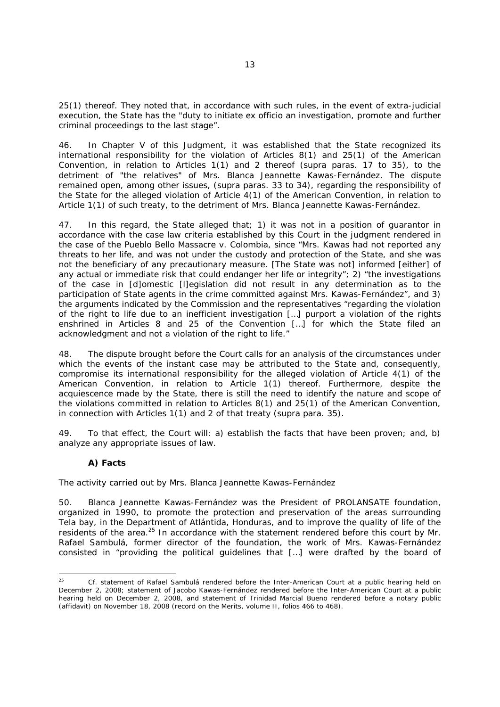25(1) thereof. They noted that, in accordance with such rules, in the event of extra-judicial execution, the State has the "duty to initiate *ex officio* an investigation, promote and further criminal proceedings to the last stage".

46. In Chapter V of this Judgment, it was established that the State recognized its international responsibility for the violation of Articles 8(1) and 25(1) of the American Convention, in relation to Articles 1(1) and 2 thereof (*supra* paras. 17 to 35), to the detriment of "the relatives" of Mrs. Blanca Jeannette Kawas-Fernández. The dispute remained open, among other issues, (*supra* paras. 33 to 34), regarding the responsibility of the State for the alleged violation of Article 4(1) of the American Convention, in relation to Article 1(1) of such treaty, to the detriment of Mrs. Blanca Jeannette Kawas-Fernández.

47. In this regard, the State alleged that; 1) it was not in a position of guarantor in accordance with the case law criteria established by this Court in the judgment rendered in the case of *the Pueblo Bello Massacre v. Colombia*, since "Mrs. Kawas had not reported any threats to her life, and was not under the custody and protection of the State, and she was not the beneficiary of any precautionary measure. [The State was not] informed [either] of any actual or immediate risk that could endanger her life or integrity"; 2) "the investigations of the case in [d]omestic [l]egislation did not result in any determination as to the participation of State agents in the crime committed against Mrs. Kawas-Fernández", and 3) the arguments indicated by the Commission and the representatives "regarding the violation of the right to life due to an inefficient investigation […] purport a violation of the rights enshrined in Articles 8 and 25 of the Convention […] for which the State filed an acknowledgment and not a violation of the right to life."

48. The dispute brought before the Court calls for an analysis of the circumstances under which the events of the instant case may be attributed to the State and, consequently, compromise its international responsibility for the alleged violation of Article 4(1) of the American Convention, in relation to Article 1(1) thereof. Furthermore, despite the acquiescence made by the State, there is still the need to identify the nature and scope of the violations committed in relation to Articles 8(1) and 25(1) of the American Convention, in connection with Articles 1(1) and 2 of that treaty (*supra* para. 35).

49. To that effect, the Court will: a) establish the facts that have been proven; and, b) analyze any appropriate issues of law.

# *A) Facts*

# *The activity carried out by Mrs. Blanca Jeannette Kawas-Fernández*

50. Blanca Jeannette Kawas-Fernández was the President of PROLANSATE foundation, organized in 1990, to promote the protection and preservation of the areas surrounding Tela bay, in the Department of Atlántida, Honduras, and to improve the quality of life of the residents of the area.<sup>25</sup> In accordance with the statement rendered before this court by Mr. Rafael Sambulá, former director of the foundation, the work of Mrs. Kawas-Fernández consisted in "providing the political guidelines that […] were drafted by the board of

 $25$ 25 *Cf.* statement of Rafael Sambulá rendered before the Inter-American Court at a public hearing held on December 2, 2008; statement of Jacobo Kawas-Fernández rendered before the Inter-American Court at a public hearing held on December 2, 2008, and statement of Trinidad Marcial Bueno rendered before a notary public (affidavit) on November 18, 2008 (record on the Merits, volume II, folios 466 to 468).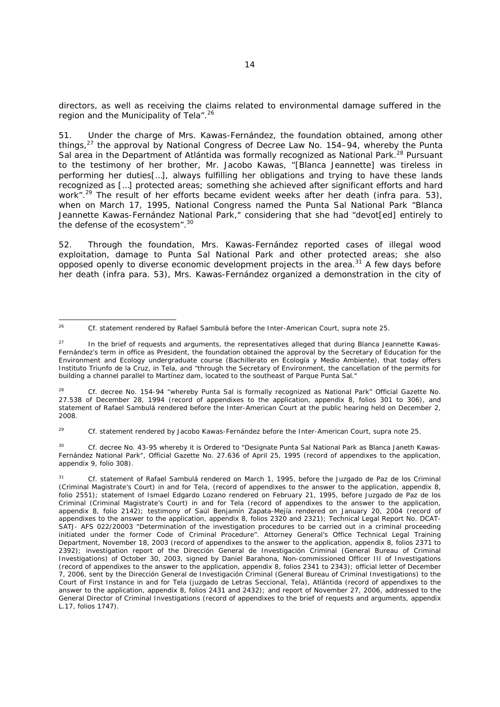directors, as well as receiving the claims related to environmental damage suffered in the region and the Municipality of Tela".<sup>26</sup>

51. Under the charge of Mrs. Kawas-Fernández, the foundation obtained, among other things, $27$  the approval by National Congress of Decree Law No. 154–94, whereby the Punta Sal area in the Department of Atlántida was formally recognized as National Park.<sup>28</sup> Pursuant to the testimony of her brother, Mr. Jacobo Kawas, "[Blanca Jeannette] was tireless in performing her duties[…], always fulfilling her obligations and trying to have these lands recognized as […] protected areas; something she achieved after significant efforts and hard work".29 The result of her efforts became evident weeks after her death (*infra* para. 53), when on March 17, 1995, National Congress named the Punta Sal National Park "Blanca Jeannette Kawas-Fernández National Park," considering that she had "devot[ed] entirely to the defense of the ecosystem".<sup>30</sup>

52. Through the foundation, Mrs. Kawas-Fernández reported cases of illegal wood exploitation, damage to Punta Sal National Park and other protected areas; she also opposed openly to diverse economic development projects in the area. $31$  A few days before her death (*infra* para. 53), Mrs. Kawas-Fernández organized a demonstration in the city of

28 *Cf*. decree No. 154-94 "whereby Punta Sal is formally recognized as National Park" Official Gazette No. 27.538 of December 28, 1994 (record of appendixes to the application, appendix 8, folios 301 to 306), and statement of Rafael Sambulá rendered before the Inter-American Court at the public hearing held on December 2, 2008.

29 *Cf.* statement rendered by Jacobo Kawas-Fernández before the Inter-American Court, *supra* note 25.

30 *Cf*. decree No. 43-95 whereby it is Ordered to "Designate Punta Sal National Park as Blanca Janeth Kawas-Fernández National Park", Official Gazette No. 27.636 of April 25, 1995 (record of appendixes to the application, appendix 9, folio 308).

 $26$ 26 *Cf.* statement rendered by Rafael Sambulá before the Inter-American Court, *supra* note 25.

<sup>&</sup>lt;sup>27</sup> In the brief of requests and arguments, the representatives alleged that during Blanca Jeannette Kawas-Fernández's term in office as President, the foundation obtained the approval by the Secretary of Education for the Environment and Ecology undergraduate course (*Bachillerato en Ecología y Medio Ambiente*), that today offers Instituto Triunfo de la Cruz, in Tela, and "through the Secretary of Environment, the cancellation of the permits for building a channel parallel to Martínez dam, located to the southeast of Parque Punta Sal."

<sup>31</sup> *Cf*. statement of Rafael Sambulá rendered on March 1, 1995, before the *Juzgado de Paz de los Criminal*  (Criminal Magistrate's Court) in and for Tela, (record of appendixes to the answer to the application, appendix 8, folio 2551); statement of Ismael Edgardo Lozano rendered on February 21, 1995, before *Juzgado de Paz de los Criminal* (Criminal Magistrate's Court) in and for Tela (record of appendixes to the answer to the application, appendix 8, folio 2142); testimony of Saúl Benjamín Zapata-Mejía rendered on January 20, 2004 (record of appendixes to the answer to the application, appendix 8, folios 2320 and 2321); Technical Legal Report No. DCAT-SATJ- AFS 022/20003 "Determination of the investigation procedures to be carried out in a criminal proceeding initiated under the former Code of Criminal Procedure". Attorney General's Office Technical Legal Training Department, November 18, 2003 (record of appendixes to the answer to the application, appendix 8, folios 2371 to 2392); investigation report of the *Dirección General de Investigación Criminal* (General Bureau of Criminal Investigations) of October 30, 2003, signed by Daniel Barahona, Non-commissioned Officer III of Investigations (record of appendixes to the answer to the application, appendix 8, folios 2341 to 2343); official letter of December 7, 2006, sent by the *Dirección General de Investigación Criminal* (General Bureau of Criminal Investigations) to the Court of First Instance in and for Tela (*juzgado de Letras Seccional, Tela)*, Atlántida (record of appendixes to the answer to the application, appendix 8, folios 2431 and 2432); and report of November 27, 2006, addressed to the General Director of Criminal Investigations (record of appendixes to the brief of requests and arguments, appendix L.17, folios 1747).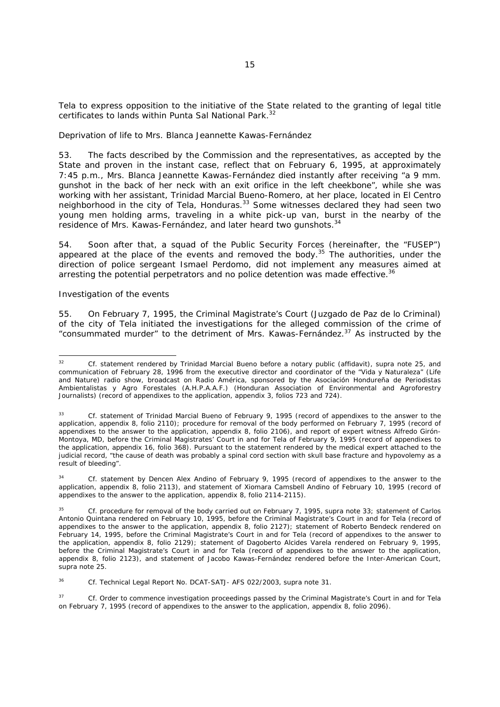Tela to express opposition to the initiative of the State related to the granting of legal title certificates to lands within Punta Sal National Park.<sup>32</sup>

#### *Deprivation of life to Mrs. Blanca Jeannette Kawas-Fernández*

53. The facts described by the Commission and the representatives, as accepted by the State and proven in the instant case, reflect that on February 6, 1995, at approximately 7:45 p.m., Mrs. Blanca Jeannette Kawas-Fernández died instantly after receiving "a 9 mm. gunshot in the back of her neck with an exit orifice in the left cheekbone", while she was working with her assistant, Trinidad Marcial Bueno-Romero, at her place, located in *El Centro* neighborhood in the city of Tela, Honduras.<sup>33</sup> Some witnesses declared they had seen two young men holding arms, traveling in a white pick-up van, burst in the nearby of the residence of Mrs. Kawas-Fernández, and later heard two gunshots.<sup>34</sup>

54. Soon after that, a squad of the Public Security Forces (hereinafter, the "FUSEP") appeared at the place of the events and removed the body.<sup>35</sup> The authorities, under the direction of police sergeant Ismael Perdomo, did not implement any measures aimed at arresting the potential perpetrators and no police detention was made effective.<sup>36</sup>

#### *Investigation of the events*

55. On February 7, 1995, the Criminal Magistrate's Court (*Juzgado de Paz de lo Criminal*) of the city of Tela initiated the investigations for the alleged commission of the crime of "consummated murder" to the detriment of Mrs. Kawas-Fernández.37 As instructed by the

 $32$ 32 *Cf*. statement rendered by Trinidad Marcial Bueno before a notary public (affidavit), *supra* note 25, and communication of February 28, 1996 from the executive director and coordinator of the "*Vida y Naturaleza"* (Life and Nature) radio show, broadcast on *Radio América*, sponsored by the *Asociación Hondureña de Periodistas Ambientalistas y Agro Forestales* (A.H.P.A.A.F.) (Honduran Association of Environmental and Agroforestry Journalists) (record of appendixes to the application, appendix 3, folios 723 and 724).

<sup>33</sup> *Cf*. statement of Trinidad Marcial Bueno of February 9, 1995 (record of appendixes to the answer to the application, appendix 8, folio 2110); procedure for removal of the body performed on February 7, 1995 (record of appendixes to the answer to the application, appendix 8, folio 2106), and report of expert witness Alfredo Girón-Montoya, MD, before the Criminal Magistrates' Court in and for Tela of February 9, 1995 (record of appendixes to the application, appendix 16, folio 368). Pursuant to the statement rendered by the medical expert attached to the judicial record, "the cause of death was probably a spinal cord section with skull base fracture and hypovolemy as a result of bleeding".

<sup>34</sup> *Cf*. statement by Dencen Alex Andino of February 9, 1995 (record of appendixes to the answer to the application, appendix 8, folio 2113), and statement of Xiomara Camsbell Andino of February 10, 1995 (record of appendixes to the answer to the application, appendix 8, folio 2114-2115).

<sup>35</sup> *Cf*. procedure for removal of the body carried out on February 7, 1995, *supra* note 33; statement of Carlos Antonio Quintana rendered on February 10, 1995, before the Criminal Magistrate's Court in and for Tela (record of appendixes to the answer to the application, appendix 8, folio 2127); statement of Roberto Bendeck rendered on February 14, 1995, before the Criminal Magistrate's Court in and for Tela (record of appendixes to the answer to the application, appendix 8, folio 2129); statement of Dagoberto Alcides Varela rendered on February 9, 1995, before the Criminal Magistrate's Court in and for Tela (record of appendixes to the answer to the application, appendix 8, folio 2123), and statement of Jacobo Kawas-Fernández rendered before the Inter-American Court, *supra* note 25.

<sup>36</sup> *Cf*. Technical Legal Report No. DCAT-SATJ- AFS 022/2003, *supra* note 31.

<sup>37</sup> *Cf*. Order to commence investigation proceedings passed by the *Criminal* Magistrate's Court in and for Tela on February 7, 1995 (record of appendixes to the answer to the application, appendix 8, folio 2096).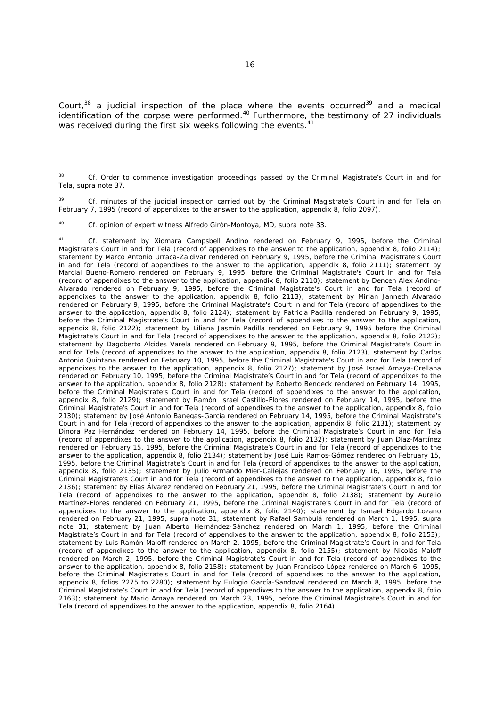Court, $38$  a judicial inspection of the place where the events occurred $39$  and a medical identification of the corpse were performed.<sup>40</sup> Furthermore, the testimony of 27 individuals was received during the first six weeks following the events.<sup>41</sup>

<sup>39</sup> *Cf.* minutes of the judicial inspection carried out by the Criminal Magistrate's Court in and for Tela on February 7, 1995 (record of appendixes to the answer to the application, appendix 8, folio 2097).

40 *Cf.* opinion of expert witness Alfredo Girón-Montoya, MD, *supra* note 33.

41 *Cf.* statement by Xiomara Campsbell Andino rendered on February 9, 1995, before the Criminal Magistrate's Court in and for Tela (record of appendixes to the answer to the application, appendix 8, folio 2114); statement by Marco Antonio Urraca-Zaldivar rendered on February 9, 1995, before the Criminal Magistrate's Court in and for Tela (record of appendixes to the answer to the application, appendix 8, folio 2111); statement by Marcial Bueno-Romero rendered on February 9, 1995, before the Criminal Magistrate's Court in and for Tela (record of appendixes to the answer to the application, appendix 8, folio 2110); statement by Dencen Alex Andino-Alvarado rendered on February 9, 1995, before the Criminal Magistrate's Court in and for Tela (record of appendixes to the answer to the application, appendix 8, folio 2113); statement by Mirian Janneth Alvarado rendered on February 9, 1995, before the Criminal Magistrate's Court in and for Tela (record of appendixes to the answer to the application, appendix 8, folio 2124); statement by Patricia Padilla rendered on February 9, 1995, before the Criminal Magistrate's Court in and for Tela (record of appendixes to the answer to the application, appendix 8, folio 2122); statement by Liliana Jasmín Padilla rendered on February 9, 1995 before the Criminal Magistrate's Court in and for Tela (record of appendixes to the answer to the application, appendix 8, folio 2122); statement by Dagoberto Alcides Varela rendered on February 9, 1995, before the Criminal Magistrate's Court in and for Tela (record of appendixes to the answer to the application, appendix 8, folio 2123); statement by Carlos Antonio Quintana rendered on February 10, 1995, before the Criminal Magistrate's Court in and for Tela (record of appendixes to the answer to the application, appendix 8, folio 2127); statement by José Israel Amaya-Orellana rendered on February 10, 1995, before the Criminal Magistrate's Court in and for Tela (record of appendixes to the answer to the application, appendix 8, folio 2128); statement by Roberto Bendeck rendered on February 14, 1995, before the Criminal Magistrate's Court in and for Tela (record of appendixes to the answer to the application, appendix 8, folio 2129); statement by Ramón Israel Castillo-Flores rendered on February 14, 1995, before the Criminal Magistrate's Court in and for Tela (record of appendixes to the answer to the application, appendix 8, folio 2130); statement by José Antonio Banegas-García rendered on February 14, 1995, before the Criminal Magistrate's Court in and for Tela (record of appendixes to the answer to the application, appendix 8, folio 2131); statement by Dinora Paz Hernández rendered on February 14, 1995, before the Criminal Magistrate's Court in and for Tela (record of appendixes to the answer to the application, appendix 8, folio 2132); statement by Juan Díaz-Martínez rendered on February 15, 1995, before the Criminal Magistrate's Court in and for Tela (record of appendixes to the answer to the application, appendix 8, folio 2134); statement by José Luis Ramos-Gómez rendered on February 15, 1995, before the Criminal Magistrate's Court in and for Tela (record of appendixes to the answer to the application, appendix 8, folio 2135); statement by Julio Armando Mier-Callejas rendered on February 16, 1995, before the Criminal Magistrate's Court in and for Tela (record of appendixes to the answer to the application, appendix 8, folio 2136); statement by Elías Álvarez rendered on February 21, 1995, before the Criminal Magistrate's Court in and for Tela (record of appendixes to the answer to the application, appendix 8, folio 2138); statement by Aurelio Martínez-Flores rendered on February 21, 1995, before the Criminal Magistrate's Court in and for Tela (record of appendixes to the answer to the application, appendix 8, folio 2140); statement by Ismael Edgardo Lozano rendered on February 21, 1995, *supra* note 31; statement by Rafael Sambulá rendered on March 1, 1995, *supra*  note 31; statement by Juan Alberto Hernández-Sánchez rendered on March 1, 1995, before the Criminal Magistrate's Court in and for Tela (record of appendixes to the answer to the application, appendix 8, folio 2153); statement by Luis Ramón Maloff rendered on March 2, 1995, before the Criminal Magistrate's Court in and for Tela (record of appendixes to the answer to the application, appendix 8, folio 2155); statement by Nicolás Maloff rendered on March 2, 1995, before the Criminal Magistrate's Court in and for Tela (record of appendixes to the answer to the application, appendix 8, folio 2158); statement by Juan Francisco López rendered on March 6, 1995, before the Criminal Magistrate's Court in and for Tela (record of appendixes to the answer to the application, appendix 8, folios 2275 to 2280); statement by Eulogio García-Sandoval rendered on March 8, 1995, before the Criminal Magistrate's Court in and for Tela (record of appendixes to the answer to the application, appendix 8, folio 2163); statement by Mario Amaya rendered on March 23, 1995, before the Criminal Magistrate's Court in and for Tela (record of appendixes to the answer to the application, appendix 8, folio 2164).

 $20^{\circ}$ 38 *Cf*. Order to commence investigation proceedings passed by the Criminal Magistrate's Court in and for Tela, *supra* note 37.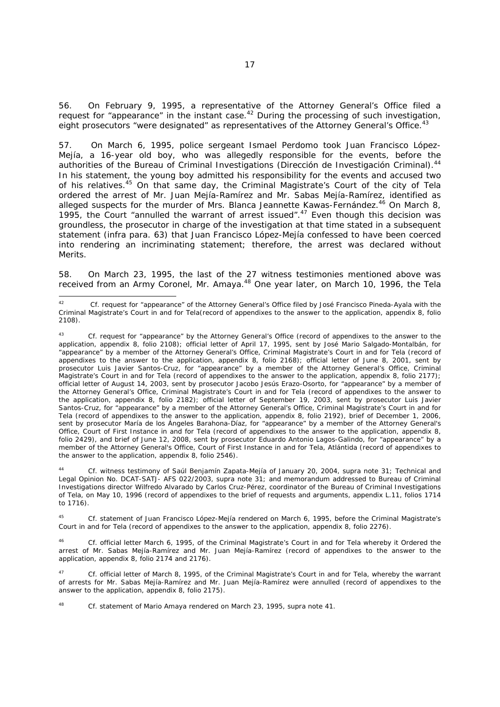56. On February 9, 1995, a representative of the Attorney General's Office filed a request for "appearance" in the instant case.<sup>42</sup> During the processing of such investigation, eight prosecutors "were designated" as representatives of the Attorney General's Office.<sup>43</sup>

57. On March 6, 1995, police sergeant Ismael Perdomo took Juan Francisco López-Mejía, a 16-year old boy, who was allegedly responsible for the events, before the authorities of the Bureau of Criminal Investigations (*Dirección de Investigación Criminal*).<sup>44</sup> In his statement, the young boy admitted his responsibility for the events and accused two of his relatives.<sup>45</sup> On that same day, the Criminal Magistrate's Court of the city of Tela ordered the arrest of Mr. Juan Mejía-Ramírez and Mr. Sabas Mejía-Ramírez, identified as alleged suspects for the murder of Mrs. Blanca Jeannette Kawas-Fernández.<sup>46</sup> On March 8, 1995, the Court "annulled the warrant of arrest issued".<sup>47</sup> Even though this decision was groundless, the prosecutor in charge of the investigation at that time stated in a subsequent statement (*infra* para. 63) that Juan Francisco López-Mejía confessed to have been coerced into rendering an incriminating statement; therefore, the arrest was declared without Merits.

58. On March 23, 1995, the last of the 27 witness testimonies mentioned above was received from an Army Coronel, Mr. Amaya.<sup>48</sup> One year later, on March 10, 1996, the Tela

-

44 *Cf.* witness testimony of Saúl Benjamín Zapata-Mejía of January 20, 2004, *supra* note 31; Technical and Legal Opinion No. DCAT-SATJ- AFS 022/2003, *supra* note 31; and memorandum addressed to Bureau of Criminal Investigations director Wilfredo Alvarado by Carlos Cruz-Pérez, coordinator of the Bureau of Criminal Investigations of Tela, on May 10, 1996 (record of appendixes to the brief of requests and arguments, appendix L.11, folios 1714 to 1716).

45 *Cf.* statement of Juan Francisco López-Mejía rendered on March 6, 1995, before the Criminal Magistrate's Court in and for Tela (record of appendixes to the answer to the application, appendix 8, folio 2276).

46 *Cf.* official letter March 6, 1995, of the Criminal Magistrate's Court in and for Tela whereby it Ordered the arrest of Mr. Sabas Mejía-Ramírez and Mr. Juan Mejía-Ramírez (record of appendixes to the answer to the application, appendix 8, folio 2174 and 2176).

47 *Cf.* official letter of March 8, 1995, of the Criminal Magistrate's Court in and for Tela, whereby the warrant of arrests for Mr. Sabas Mejía-Ramírez and Mr. Juan Mejía-Ramírez were annulled (record of appendixes to the answer to the application, appendix 8, folio 2175).

48 *Cf.* statement of Mario Amaya rendered on March 23, 1995, *supra* note 41.

<sup>42</sup> *Cf.* request for "appearance" of the Attorney General's Office filed by José Francisco Pineda-Ayala with the Criminal Magistrate's Court in and for Tela(record of appendixes to the answer to the application, appendix 8, folio 2108).

<sup>43</sup> *Cf.* request for "appearance" by the Attorney General's Office (record of appendixes to the answer to the application, appendix 8, folio 2108); official letter of April 17, 1995, sent by José Mario Salgado-Montalbán, for "appearance" by a member of the Attorney General's Office, Criminal Magistrate's Court in and for Tela (record of appendixes to the answer to the application, appendix 8, folio 2168); official letter of June 8, 2001, sent by prosecutor Luis Javier Santos-Cruz, for "appearance" by a member of the Attorney General's Office, Criminal Magistrate's Court in and for Tela (record of appendixes to the answer to the application, appendix 8, folio 2177); official letter of August 14, 2003, sent by prosecutor Jacobo Jesús Erazo-Osorto, for "appearance" by a member of the Attorney General's Office, Criminal Magistrate's Court in and for Tela (record of appendixes to the answer to the application, appendix 8, folio 2182); official letter of September 19, 2003, sent by prosecutor Luis Javier Santos-Cruz, for "appearance" by a member of the Attorney General's Office, Criminal Magistrate's Court in and for Tela (record of appendixes to the answer to the application, appendix 8, folio 2192), brief of December 1, 2006, sent by prosecutor María de los Ángeles Barahona-Díaz, for "appearance" by a member of the Attorney General's Office, Court of First Instance in and for Tela (record of appendixes to the answer to the application, appendix 8, folio 2429), and brief of June 12, 2008, sent by prosecutor Eduardo Antonio Lagos-Galindo, for "appearance" by a member of the Attorney General's Office, Court of First Instance in and for Tela, Atlántida (record of appendixes to the answer to the application, appendix 8, folio 2546).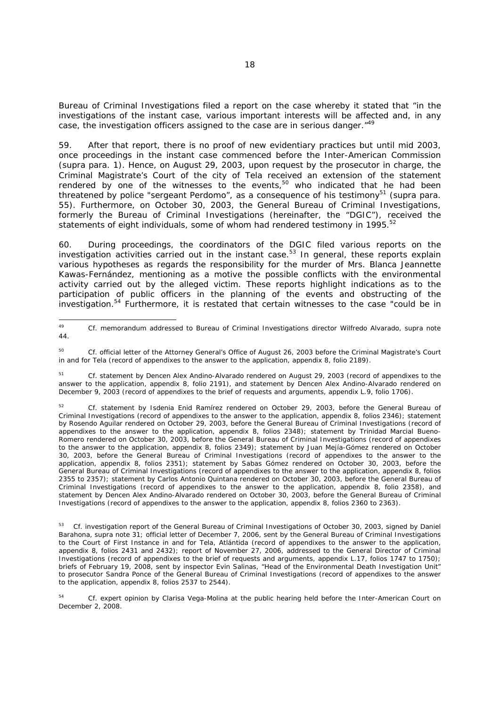Bureau of Criminal Investigations filed a report on the case whereby it stated that "in the investigations of the instant case, various important interests will be affected and, in any case, the investigation officers assigned to the case are in serious danger."<sup>49</sup>

59. After that report, there is no proof of new evidentiary practices but until mid 2003, once proceedings in the instant case commenced before the Inter-American Commission (*supra* para. 1). Hence, on August 29, 2003, upon request by the prosecutor in charge, the Criminal Magistrate's Court of the city of Tela received an extension of the statement rendered by one of the witnesses to the events, $50$  who indicated that he had been threatened by police "sergeant Perdomo", as a consequence of his testimony<sup>51</sup> (*supra* para. 55). Furthermore, on October 30, 2003, the General Bureau of Criminal Investigations, formerly the Bureau of Criminal Investigations (hereinafter, the "DGIC"), received the statements of eight individuals, some of whom had rendered testimony in 1995.<sup>52</sup>

60. During proceedings, the coordinators of the DGIC filed various reports on the investigation activities carried out in the instant case.53 In general, these reports explain various hypotheses as regards the responsibility for the murder of Mrs. Blanca Jeannette Kawas-Fernández, mentioning as a motive the possible conflicts with the environmental activity carried out by the alleged victim. These reports highlight indications as to the participation of public officers in the planning of the events and obstructing of the investigation.54 Furthermore, it is restated that certain witnesses to the case "could be in

 $49$ 49 *Cf.* memorandum addressed to Bureau of Criminal Investigations director Wilfredo Alvarado, *supra* note 44.

<sup>50</sup> *Cf.* official letter of the Attorney General's Office of August 26, 2003 before the Criminal Magistrate's Court in and for Tela (record of appendixes to the answer to the application, appendix 8, folio 2189).

<sup>51</sup> *Cf.* statement by Dencen Alex Andino-Alvarado rendered on August 29, 2003 (record of appendixes to the answer to the application, appendix 8, folio 2191), and statement by Dencen Alex Andino-Alvarado rendered on December 9, 2003 (record of appendixes to the brief of requests and arguments, appendix L.9, folio 1706).

<sup>52</sup> *Cf.* statement by Isdenia Enid Ramírez rendered on October 29, 2003, before the General Bureau of Criminal Investigations (record of appendixes to the answer to the application, appendix 8, folios 2346); statement by Rosendo Aguilar rendered on October 29, 2003, before the General Bureau of Criminal Investigations (record of appendixes to the answer to the application, appendix 8, folios 2348); statement by Trinidad Marcial Bueno-Romero rendered on October 30, 2003, before the General Bureau of Criminal Investigations (record of appendixes to the answer to the application, appendix 8, folios 2349); statement by Juan Mejía-Gómez rendered on October 30, 2003, before the General Bureau of Criminal Investigations (record of appendixes to the answer to the application, appendix 8, folios 2351); statement by Sabas Gómez rendered on October 30, 2003, before the General Bureau of Criminal Investigations (record of appendixes to the answer to the application, appendix 8, folios 2355 to 2357); statement by Carlos Antonio Quintana rendered on October 30, 2003, before the General Bureau of Criminal Investigations (record of appendixes to the answer to the application, appendix 8, folio 2358), and statement by Dencen Alex Andino-Alvarado rendered on October 30, 2003, before the General Bureau of Criminal Investigations (record of appendixes to the answer to the application, appendix 8, folios 2360 to 2363).

<sup>53</sup> *Cf.* investigation report of the General Bureau of Criminal Investigations of October 30, 2003, signed by Daniel Barahona, *supra* note 31; official letter of December 7, 2006, sent by the General Bureau of Criminal Investigations to the Court of First Instance in and for Tela, Atlántida (record of appendixes to the answer to the application, appendix 8, folios 2431 and 2432); report of November 27, 2006, addressed to the General Director of Criminal Investigations (record of appendixes to the brief of requests and arguments, appendix L.17, folios 1747 to 1750); briefs of February 19, 2008, sent by inspector Evin Salinas, "Head of the Environmental Death Investigation Unit" to prosecutor Sandra Ponce of the General Bureau of Criminal Investigations (record of appendixes to the answer to the application, appendix 8, folios 2537 to 2544).

<sup>54</sup> *Cf.* expert opinion by Clarisa Vega-Molina at the public hearing held before the Inter-American Court on December 2, 2008.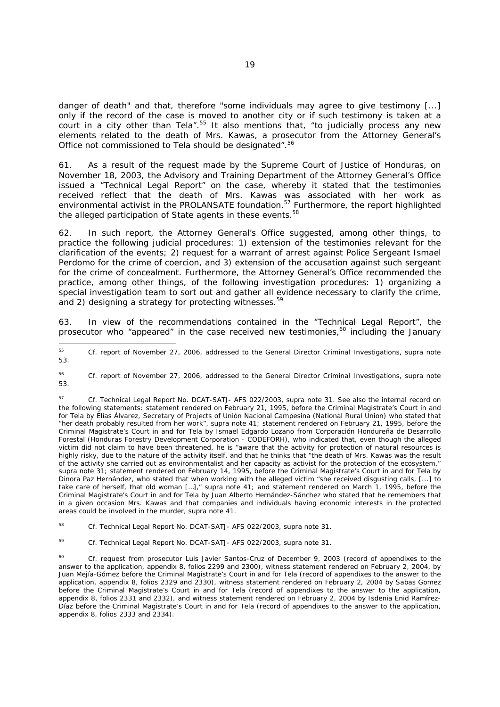danger of death" and that, therefore "some individuals may agree to give testimony [...] only if the record of the case is moved to another city or if such testimony is taken at a court in a city other than Tela".<sup>55</sup> It also mentions that, "to judicially process any new elements related to the death of Mrs. Kawas, a prosecutor from the Attorney General's Office not commissioned to Tela should be designated".56

61. As a result of the request made by the Supreme Court of Justice of Honduras, on November 18, 2003, the Advisory and Training Department of the Attorney General's Office issued a "Technical Legal Report" on the case, whereby it stated that the testimonies received reflect that the death of Mrs. Kawas was associated with her work as environmental activist in the PROLANSATE foundation.<sup>57</sup> Furthermore, the report highlighted the alleged participation of State agents in these events.<sup>58</sup>

62. In such report, the Attorney General's Office suggested, among other things, to practice the following judicial procedures: 1) extension of the testimonies relevant for the clarification of the events; 2) request for a warrant of arrest against Police Sergeant Ismael Perdomo for the crime of coercion, and 3) extension of the accusation against such sergeant for the crime of concealment. Furthermore, the Attorney General's Office recommended the practice, among other things, of the following investigation procedures: 1) organizing a special investigation team to sort out and gather all evidence necessary to clarify the crime, and 2) designing a strategy for protecting witnesses.<sup>59</sup>

63. In view of the recommendations contained in the "Technical Legal Report", the prosecutor who "appeared" in the case received new testimonies, $^{60}$  including the January

-

<sup>55</sup> *Cf.* report of November 27, 2006, addressed to the General Director Criminal Investigations, *supra* note 53.

<sup>56</sup> *Cf.* report of November 27, 2006, addressed to the General Director Criminal Investigations, *supra* note 53.

<sup>57</sup> *Cf*. Technical Legal Report No. DCAT-SATJ- AFS 022/2003, *supra* note 31. See also the internal record on the following statements: statement rendered on February 21, 1995, before the Criminal Magistrate's Court in and for Tela by Elías Álvarez, Secretary of Projects of *Unión Nacional Campesina* (National Rural Union) who stated that "her death probably resulted from her work", *supra* note 41; statement rendered on February 21, 1995, before the Criminal Magistrate's Court in and for Tela by Ismael Edgardo Lozano from *Corporación Hondureña de Desarrollo Forestal* (Honduras Forestry Development Corporation - CODEFORH), who indicated that, even though the alleged victim did not claim to have been threatened, he is "aware that the activity for protection of natural resources is highly risky, due to the nature of the activity itself, and that he thinks that "the death of Mrs. Kawas was the result of the activity she carried out as environmentalist and her capacity as activist for the protection of the ecosystem," *supra* note 31; statement rendered on February 14, 1995, before the Criminal Magistrate's Court in and for Tela by Dinora Paz Hernández, who stated that when working with the alleged victim "she received disgusting calls, [...] to take care of herself, that old woman […]," *supra* note 41; and statement rendered on March 1, 1995, before the Criminal Magistrate's Court in and for Tela by Juan Alberto Hernández-Sánchez who stated that he remembers that in a given occasion Mrs. Kawas and that companies and individuals having economic interests in the protected areas could be involved in the murder, *supra* note 41.

<sup>58</sup> *Cf*. Technical Legal Report No. DCAT-SATJ- AFS 022/2003, *supra* note 31.

<sup>59</sup> *Cf*. Technical Legal Report No. DCAT-SATJ- AFS 022/2003, *supra* note 31.

<sup>60</sup> *Cf.* request from prosecutor Luis Javier Santos-Cruz of December 9, 2003 (record of appendixes to the answer to the application, appendix 8, folios 2299 and 2300), witness statement rendered on February 2, 2004, by Juan Mejía-Gómez before the Criminal Magistrate's Court in and for Tela (record of appendixes to the answer to the application, appendix 8, folios 2329 and 2330), witness statement rendered on February 2, 2004 by Sabas Gomez before the Criminal Magistrate's Court in and for Tela (record of appendixes to the answer to the application, appendix 8, folios 2331 and 2332), and witness statement rendered on February 2, 2004 by Isdenia Enid Ramírez-Díaz before the Criminal Magistrate's Court in and for Tela (record of appendixes to the answer to the application, appendix 8, folios 2333 and 2334).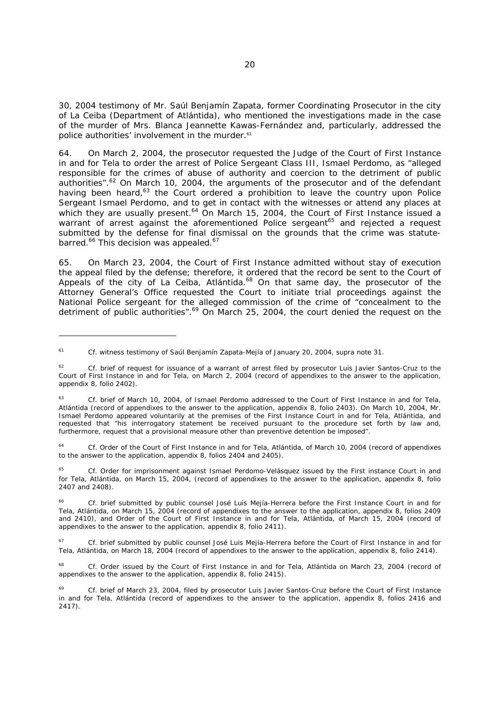30, 2004 testimony of Mr. Saúl Benjamín Zapata, former Coordinating Prosecutor in the city of La Ceiba (Department of Atlántida), who mentioned the investigations made in the case of the murder of Mrs. Blanca Jeannette Kawas-Fernández and, particularly, addressed the police authorities' involvement in the murder.<sup>61</sup>

64. On March 2, 2004, the prosecutor requested the Judge of the Court of First Instance in and for Tela to order the arrest of Police Sergeant Class III, Ismael Perdomo, as "alleged responsible for the crimes of abuse of authority and coercion to the detriment of public authorities".<sup>62</sup> On March 10, 2004, the arguments of the prosecutor and of the defendant having been heard, $63$  the Court ordered a prohibition to leave the country upon Police Sergeant Ismael Perdomo, and to get in contact with the witnesses or attend any places at which they are usually present.<sup>64</sup> On March 15, 2004, the Court of First Instance issued a warrant of arrest against the aforementioned Police sergeant<sup>65</sup> and rejected a request submitted by the defense for final dismissal on the grounds that the crime was statutebarred.<sup>66</sup> This decision was appealed.<sup>67</sup>

65. On March 23, 2004, the Court of First Instance admitted without stay of execution the appeal filed by the defense; therefore, it ordered that the record be sent to the Court of Appeals of the city of La Ceiba, Atlántida.<sup>68</sup> On that same day, the prosecutor of the Attorney General's Office requested the Court to initiate trial proceedings against the National Police sergeant for the alleged commission of the crime of "concealment to the detriment of public authorities".<sup>69</sup> On March 25, 2004, the court denied the request on the

-

<sup>61</sup> *Cf.* witness testimony of Saúl Benjamín Zapata-Mejía of January 20, 2004, *supra* note 31.

<sup>&</sup>lt;sup>62</sup> *Cf.* brief of request for issuance of a warrant of arrest filed by prosecutor Luis Javier Santos-Cruz to the Court of First Instance in and for Tela, on March 2, 2004 (record of appendixes to the answer to the application, appendix 8, folio 2402).

<sup>&</sup>lt;sup>63</sup> *Cf.* brief of March 10, 2004, of Ismael Perdomo addressed to the Court of First Instance in and for Tela, Atlántida (record of appendixes to the answer to the application, appendix 8, folio 2403). On March 10, 2004, Mr. Ismael Perdomo appeared voluntarily at the premises of the First Instance Court in and for Tela, Atlántida, and requested that "his interrogatory statement be received pursuant to the procedure set forth by law and, furthermore, request that a provisional measure other than preventive detention be imposed".

<sup>64</sup> *Cf.* Order of the Court of First Instance in and for Tela, Atlántida, of March 10, 2004 (record of appendixes to the answer to the application, appendix 8, folios 2404 and 2405).

<sup>65</sup> *Cf.* Order for imprisonment against Ismael Perdomo-Velásquez issued by the First instance Court in and for Tela, Atlántida, on March 15, 2004, (record of appendixes to the answer to the application, appendix 8, folio 2407 and 2408).

<sup>66</sup> *Cf.* brief submitted by public counsel José Luis Mejía-Herrera before the First Instance Court in and for Tela, Atlántida, on March 15, 2004 (record of appendixes to the answer to the application, appendix 8, folios 2409 and 2410), and Order of the Court of First Instance in and for Tela, Atlántida, of March 15, 2004 (record of appendixes to the answer to the application, appendix 8, folio 2411).

<sup>&</sup>lt;sup>67</sup> *Cf.* brief submitted by public counsel José Luis Mejía-Herrera before the Court of First Instance in and for Tela, Atlántida, on March 18, 2004 (record of appendixes to the answer to the application, appendix 8, folio 2414).

<sup>&</sup>lt;sup>68</sup> *Cf.* Order issued by the Court of First Instance in and for Tela, Atlántida on March 23, 2004 (record of appendixes to the answer to the application, appendix 8, folio 2415).

Cf. brief of March 23, 2004, filed by prosecutor Luis Javier Santos-Cruz before the Court of First Instance in and for Tela, Atlántida (record of appendixes to the answer to the application, appendix 8, folios 2416 and 2417).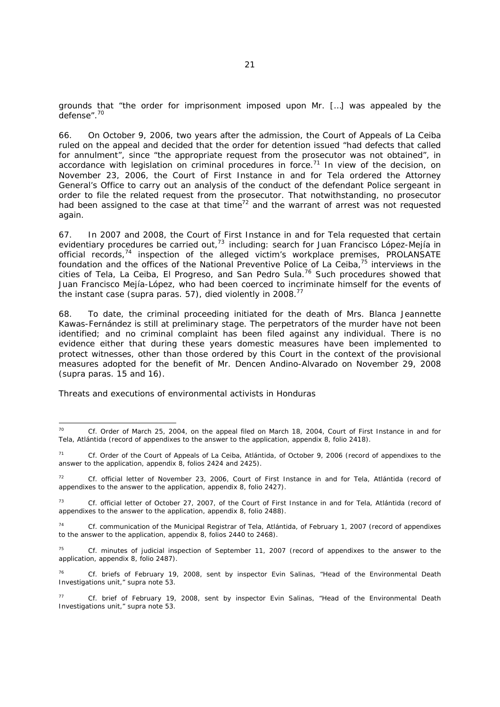grounds that "the order for imprisonment imposed upon Mr. […] was appealed by the defense".70

66. On October 9, 2006, two years after the admission, the Court of Appeals of La Ceiba ruled on the appeal and decided that the order for detention issued "had defects that called for annulment", since "the appropriate request from the prosecutor was not obtained", in accordance with legislation on criminal procedures in force.<sup>71</sup> In view of the decision, on November 23, 2006, the Court of First Instance in and for Tela ordered the Attorney General's Office to carry out an analysis of the conduct of the defendant Police sergeant in order to file the related request from the prosecutor. That notwithstanding, no prosecutor had been assigned to the case at that time<sup>72</sup> and the warrant of arrest was not requested again.

67. In 2007 and 2008, the Court of First Instance in and for Tela requested that certain evidentiary procedures be carried out,<sup>73</sup> including: search for Juan Francisco López-Mejía in official records,<sup>74</sup> inspection of the alleged victim's workplace premises, PROLANSATE foundation and the offices of the National Preventive Police of La Ceiba,<sup>75</sup> interviews in the cities of Tela, La Ceiba, El Progreso, and San Pedro Sula.<sup>76</sup> Such procedures showed that Juan Francisco Mejía-López, who had been coerced to incriminate himself for the events of the instant case (*supra* paras. 57), died violently in 2008.77

68. To date, the criminal proceeding initiated for the death of Mrs. Blanca Jeannette Kawas-Fernández is still at preliminary stage. The perpetrators of the murder have not been identified; and no criminal complaint has been filed against any individual. There is no evidence either that during these years domestic measures have been implemented to protect witnesses, other than those ordered by this Court in the context of the provisional measures adopted for the benefit of Mr. Dencen Andino-Alvarado on November 29, 2008 (*supra* paras. 15 and 16).

*Threats and executions of environmental activists in Honduras* 

 $70$ 70 *Cf.* Order of March 25, 2004, on the appeal filed on March 18, 2004, Court of First Instance in and for Tela, Atlántida (record of appendixes to the answer to the application, appendix 8, folio 2418).

<sup>71</sup> *Cf.* Order of the Court of Appeals of La Ceiba, Atlántida, of October 9, 2006 (record of appendixes to the answer to the application, appendix 8, folios 2424 and 2425).

<sup>72</sup> *Cf.* official letter of November 23, 2006, Court of First Instance in and for Tela, Atlántida (record of appendixes to the answer to the application, appendix 8, folio 2427).

<sup>73</sup> *Cf.* official letter of October 27, 2007, of the Court of First Instance in and for Tela, Atlántida (record of appendixes to the answer to the application, appendix 8, folio 2488).

<sup>74</sup> *Cf.* communication of the Municipal Registrar of Tela, Atlántida, of February 1, 2007 (record of appendixes to the answer to the application, appendix 8, folios 2440 to 2468).

<sup>75</sup> *Cf.* minutes of judicial inspection of September 11, 2007 (record of appendixes to the answer to the application, appendix 8, folio 2487).

<sup>76</sup> *Cf.* briefs of February 19, 2008, sent by inspector Evin Salinas, "Head of the Environmental Death Investigations unit," *supra* note 53.

<sup>77</sup> *Cf.* brief of February 19, 2008, sent by inspector Evin Salinas, "Head of the Environmental Death Investigations unit," *supra* note 53.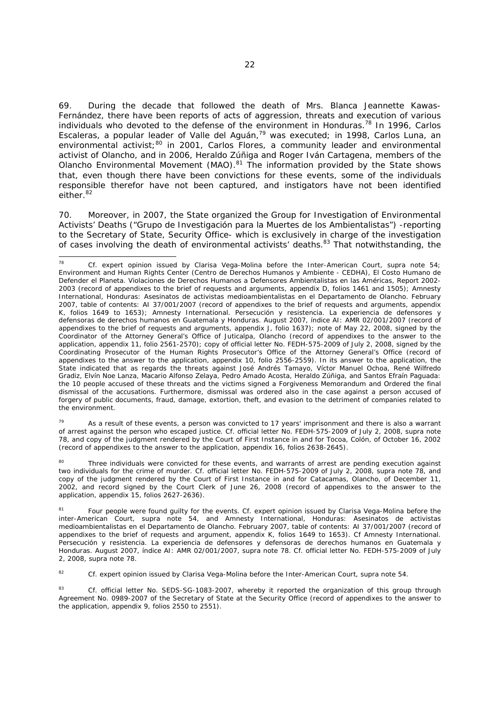69. During the decade that followed the death of Mrs. Blanca Jeannette Kawas-Fernández, there have been reports of acts of aggression, threats and execution of various individuals who devoted to the defense of the environment in Honduras.<sup>78</sup> In 1996, Carlos Escaleras, a popular leader of Valle del Aguán,<sup>79</sup> was executed; in 1998, Carlos Luna, an environmental activist;<sup>80</sup> in 2001, Carlos Flores, a community leader and environmental activist of Olancho, and in 2006, Heraldo Zúñiga and Roger Iván Cartagena, members of the Olancho Environmental Movement (MAO).81 The information provided by the State shows that, even though there have been convictions for these events, some of the individuals responsible therefor have not been captured, and instigators have not been identified either.<sup>82</sup>

70. Moreover, in 2007, the State organized the Group for Investigation of Environmental Activists' Deaths ("*Grupo de Investigación para la Muertes de los Ambientalistas*") -reporting to the Secretary of State, Security Office- which is exclusively in charge of the investigation of cases involving the death of environmental activists' deaths.<sup>83</sup> That notwithstanding, the

 $79$  As a result of these events, a person was convicted to 17 years' imprisonment and there is also a warrant of arrest against the person who escaped justice. *Cf.* official letter No. FEDH-575-2009 of July 2, 2008, *supra* note 78, and copy of the judgment rendered by the Court of First Instance in and for Tocoa, Colón, of October 16, 2002 (record of appendixes to the answer to the application, appendix 16, folios 2638-2645).

Three individuals were convicted for these events, and warrants of arrest are pending execution against two individuals for the crime of murder. *Cf.* official letter No. FEDH-575-2009 of July 2, 2008, *supra* note 78, and copy of the judgment rendered by the Court of First Instance in and for Catacamas, Olancho, of December 11, 2002, and record signed by the Court Clerk of June 26, 2008 (record of appendixes to the answer to the application, appendix 15, folios 2627-2636).

81 Four people were found guilty for the events. *Cf.* expert opinion issued by Clarisa Vega-Molina before the inter-American Court, *supra* note 54, and Amnesty International, Honduras: *Asesinatos de activistas medioambientalistas en el Departamento de Olancho*. February 2007, table of contents: AI 37/001/2007 (record of appendixes to the brief of requests and argument, appendix K, folios 1649 to 1653). *Cf* Amnesty International. Persecución y resistencia. *La experiencia de defensores y defensoras de derechos humanos en Guatemala y Honduras*. August 2007, índice AI: AMR 02/001/2007, *supra* note 78. *Cf.* official letter No. FEDH-575-2009 of July 2, 2008, *supra* note 78.

82 *Cf.* expert opinion issued by Clarisa Vega-Molina before the Inter-American Court, *supra* note 54.

83 *Cf.* official letter No. SEDS-SG-1083-2007, whereby it reported the organization of this group through Agreement No. 0989-2007 of the Secretary of State at the Security Office (record of appendixes to the answer to the application, appendix 9, folios 2550 to 2551).

<sup>78</sup> 78 *Cf.* expert opinion issued by Clarisa Vega-Molina before the Inter-American Court, *supra* note 54; Environment and Human Rights Center (*Centro de Derechos Humanos y Ambiente* - CEDHA), *El Costo Humano de Defender el Planeta. Violaciones de Derechos Humanos a Defensores Ambientalistas en las Américas,* Report 2002- 2003 (record of appendixes to the brief of requests and arguments, appendix D, folios 1461 and 1505); Amnesty International, Honduras: *Asesinatos de activistas medioambientalistas en el Departamento de Olancho.* February 2007, table of contents: AI 37/001/2007 (record of appendixes to the brief of requests and arguments, appendix K, folios 1649 to 1653); Amnesty International. *Persecución y resistencia. La experiencia de defensores y defensoras de derechos humanos en Guatemala y Honduras.* August 2007, índice AI: AMR 02/001/2007 (record of appendixes to the brief of requests and arguments, appendix J, folio 1637); note of May 22, 2008, signed by the Coordinator of the Attorney General's Office of Juticalpa, Olancho (record of appendixes to the answer to the application, appendix 11, folio 2561-2570); copy of official letter No. FEDH-575-2009 of July 2, 2008, signed by the Coordinating Prosecutor of the Human Rights Prosecutor's Office of the Attorney General's Office (record of appendixes to the answer to the application, appendix 10, folio 2556-2559). In its answer to the application, the State indicated that as regards the threats against José Andrés Tamayo, Víctor Manuel Ochoa, René Wilfredo Gradiz, Elvín Noe Lanza, Macario Alfonso Zelaya, Pedro Amado Acosta, Heraldo Zúñiga, and Santos Efraín Paguada: the 10 people accused of these threats and the victims signed a Forgiveness Memorandum and Ordered the final dismissal of the accusations. Furthermore, dismissal was ordered also in the case against a person accused of forgery of public documents, fraud, damage, extortion, theft, and evasion to the detriment of companies related to the environment.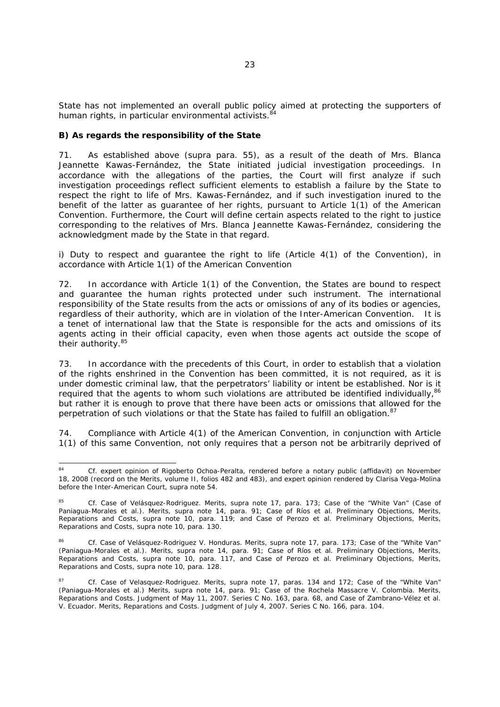State has not implemented an overall public policy aimed at protecting the supporters of human rights, in particular environmental activists.<sup>84</sup>

# *B) As regards the responsibility of the State*

71. As established above (*supra* para. 55), as a result of the death of Mrs. Blanca Jeannette Kawas-Fernández, the State initiated judicial investigation proceedings. In accordance with the allegations of the parties, the Court will first analyze if such investigation proceedings reflect sufficient elements to establish a failure by the State to respect the right to life of Mrs. Kawas-Fernández, and if such investigation inured to the benefit of the latter as guarantee of her rights, pursuant to Article 1(1) of the American Convention. Furthermore, the Court will define certain aspects related to the right to justice corresponding to the relatives of Mrs. Blanca Jeannette Kawas-Fernández, considering the acknowledgment made by the State in that regard.

*i)* Duty to respect and quarantee the right to life (Article 4(1) of the Convention), in *accordance with Article 1(1) of the American Convention* 

72. In accordance with Article 1(1) of the Convention, the States are bound to respect and guarantee the human rights protected under such instrument. The international responsibility of the State results from the acts or omissions of any of its bodies or agencies, regardless of their authority, which are in violation of the Inter-American Convention. It is a tenet of international law that the State is responsible for the acts and omissions of its agents acting in their official capacity, even when those agents act outside the scope of their authority.<sup>85</sup>

73. In accordance with the precedents of this Court, in order to establish that a violation of the rights enshrined in the Convention has been committed, it is not required, as it is under domestic criminal law, that the perpetrators' liability or intent be established. Nor is it required that the agents to whom such violations are attributed be identified individually.<sup>86</sup> but rather it is enough to prove that there have been acts or omissions that allowed for the perpetration of such violations or that the State has failed to fulfill an obligation.<sup>87</sup>

74. Compliance with Article 4(1) of the American Convention, in conjunction with Article 1(1) of this same Convention, not only requires that a person not be arbitrarily deprived of

<sup>84</sup> Cf. expert opinion of Rigoberto Ochoa-Peralta, rendered before a notary public (affidavit) on November 18, 2008 (record on the Merits, volume II, folios 482 and 483), and expert opinion rendered by Clarisa Vega-Molina before the Inter-American Court, *supra* note 54.

*<sup>85</sup> Cf. Case of Velásquez-Rodriguez*. *Merits, supra* note 17, para. 173; *Case of the "White Van" (Case of Paniagua-Morales et al.). Merits, supra* note 14, para. 91; *Case of Ríos et al. Preliminary Objections, Merits, Reparations and Costs, supra* note 10, para. 119; and *Case of Perozo et al. Preliminary Objections, Merits, Reparations and Costs, supra* note 10, para. 130.

<sup>86</sup> *Cf. Case of Velásquez-Rodriguez V. Honduras*. *Merits, supra* note 17, para. 173; *Case of the "White Van" (Paniagua-Morales et al.). Merits, supra* note 14, para. 91; *Case of Ríos et al. Preliminary Objections, Merits, Reparations and Costs, supra* note 10, para. 117, and *Case of Perozo et al. Preliminary Objections, Merits, Reparations and Costs, supra* note 10, para. 128.

<sup>87</sup> *Cf. Case of Velasquez-Rodriguez. Merits*, *supra* note 17, paras. 134 and 172; *Case of the "White Van" (Paniagua-Morales et al.) Merits*, *supra* note 14, para. 91; *Case of the Rochela Massacre V. Colombia. Merits, Reparations and Costs.* Judgment of May 11, 2007. Series C No. 163, para. 68, and *Case of Zambrano-Vélez et al. V. Ecuador. Merits, Reparations and Costs.* Judgment of July 4, 2007. Series C No. 166, para. 104.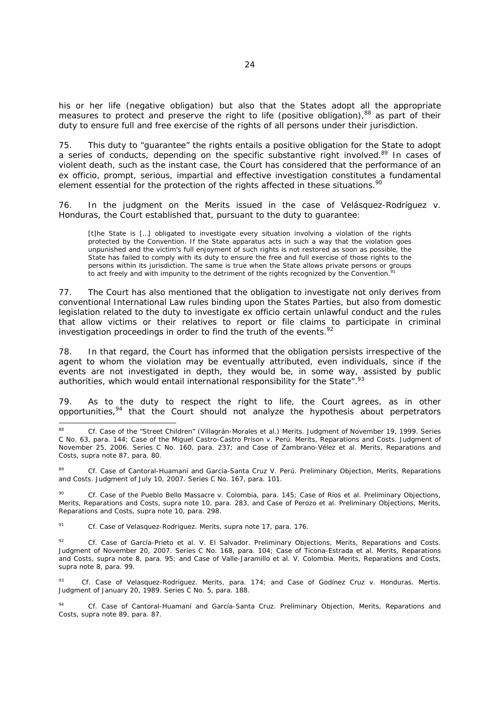his or her life (negative obligation) but also that the States adopt all the appropriate measures to protect and preserve the right to life (positive obligation), $88$  as part of their duty to ensure full and free exercise of the rights of all persons under their jurisdiction.

75. This duty to "guarantee" the rights entails a positive obligation for the State to adopt a series of conducts, depending on the specific substantive right involved.<sup>89</sup> In cases of violent death, such as the instant case, the Court has considered that the performance of an *ex officio*, prompt, serious, impartial and effective investigation constitutes a fundamental element essential for the protection of the rights affected in these situations.<sup>90</sup>

76. In the judgment on the Merits issued in the case of *Velásquez-Rodríguez v. Honduras*, the Court established that, pursuant to the duty to guarantee:

[t]he State is [...] obligated to investigate every situation involving a violation of the rights protected by the Convention. If the State apparatus acts in such a way that the violation goes unpunished and the victim's full enjoyment of such rights is not restored as soon as possible, the State has failed to comply with its duty to ensure the free and full exercise of those rights to the persons within its jurisdiction. The same is true when the State allows private persons or groups to act freely and with impunity to the detriment of the rights recognized by the Convention.

77. The Court has also mentioned that the obligation to investigate not only derives from conventional International Law rules binding upon the States Parties, but also from domestic legislation related to the duty to investigate ex officio certain unlawful conduct and the rules that allow victims or their relatives to report or file claims to participate in criminal investigation proceedings in order to find the truth of the events.<sup>92</sup>

78. In that regard, the Court has informed that the obligation persists irrespective of the agent to whom the violation may be eventually attributed, even individuals, since if the events are not investigated in depth, they would be, in some way, assisted by public authorities, which would entail international responsibility for the State". $93$ 

79. As to the duty to respect the right to life, the Court agrees, as in other opportunities, $94$  that the Court should not analyze the hypothesis about perpetrators

89 *Cf. Case of Cantoral-Huamaní and García-Santa Cruz V. Perú. Preliminary Objection, Merits, Reparations and Costs.* Judgment of July 10, 2007. Series C No. 167, para. 101.

90 *Cf. Case of the Pueblo Bello Massacre v. Colombia*, para. 145; *Case of Ríos et al. Preliminary Objections, Merits, Reparations and Costs, supra* note 10, para. 283, and *Case of Perozo et al. Preliminary Objections, Merits, Reparations and Costs, supra* note 10, para. 298.

91 *Cf. Case of Velasquez-Rodriguez. Merits, supra* note 17, para*.* 176.

-

92 *Cf. Case of García-Prieto et al*. *V. El Salvador. Preliminary Objections, Merits, Reparations and Costs.*  Judgment of November 20, 2007. Series C No. 168, para. 104; *Case of Ticona-Estrada et al. Merits, Reparations and Costs, supra* note 8, para. 95; and *Case of Valle-Jaramillo et al. V. Colombia. Merits, Reparations and Costs, supra* note 8, para. 99.

93 *Cf. Case of Velasquez-Rodriguez. Merits,* para*.* 174; and *Case of Godínez Cruz v. Honduras*. *Mertis*. Judgment of January 20, 1989. Series C No. 5*,* para*.* 188.

94 *Cf. Case of Cantoral-Huamaní and García-Santa Cruz. Preliminary Objection, Merits, Reparations and Costs, supra* note 89, para*.* 87.

<sup>88</sup> *Cf. Case of the "Street Children"* (*Villagrán-Morales et al*.) *Merits.* Judgment of November 19, 1999. Series C No. 63, para. 144; Case of the Miguel Castro-Castro Prison v. Perú. Merits, Reparations and Costs. Judgment of November 25, 2006. Series C No. 160, para. 237; and *Case of Zambrano-Vélez et al. Merits, Reparations and Costs, supra* note 87, para. 80.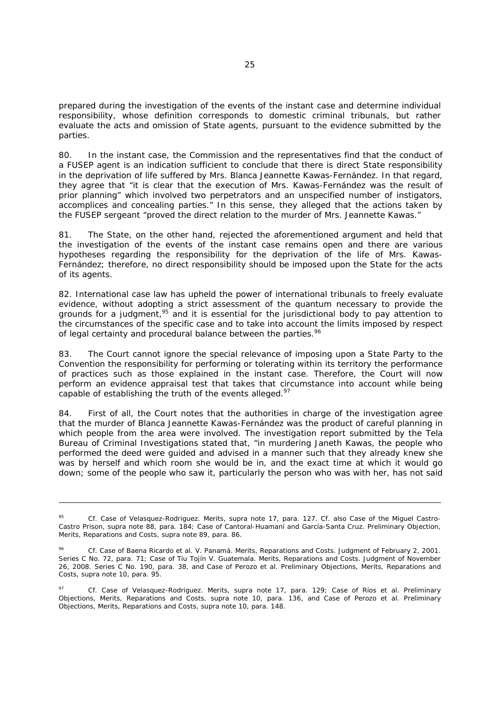prepared during the investigation of the events of the instant case and determine individual responsibility, whose definition corresponds to domestic criminal tribunals, but rather evaluate the acts and omission of State agents, pursuant to the evidence submitted by the parties.

80. In the instant case, the Commission and the representatives find that the conduct of a FUSEP agent is an indication sufficient to conclude that there is direct State responsibility in the deprivation of life suffered by Mrs. Blanca Jeannette Kawas-Fernández. In that regard, they agree that "it is clear that the execution of Mrs. Kawas-Fernández was the result of prior planning" which involved two perpetrators and an unspecified number of instigators, accomplices and concealing parties." In this sense, they alleged that the actions taken by the FUSEP sergeant "proved the direct relation to the murder of Mrs. Jeannette Kawas."

81. The State, on the other hand, rejected the aforementioned argument and held that the investigation of the events of the instant case remains open and there are various hypotheses regarding the responsibility for the deprivation of the life of Mrs. Kawas-Fernández; therefore, no direct responsibility should be imposed upon the State for the acts of its agents.

82. International case law has upheld the power of international tribunals to freely evaluate evidence, without adopting a strict assessment of the quantum necessary to provide the grounds for a judgment,  $95$  and it is essential for the jurisdictional body to pay attention to the circumstances of the specific case and to take into account the limits imposed by respect of legal certainty and procedural balance between the parties.<sup>96</sup>

83. The Court cannot ignore the special relevance of imposing upon a State Party to the Convention the responsibility for performing or tolerating within its territory the performance of practices such as those explained in the instant case. Therefore, the Court will now perform an evidence appraisal test that takes that circumstance into account while being capable of establishing the truth of the events alleged. $97$ 

84. First of all, the Court notes that the authorities in charge of the investigation agree that the murder of Blanca Jeannette Kawas-Fernández was the product of careful planning in which people from the area were involved. The investigation report submitted by the Tela Bureau of Criminal Investigations stated that, "in murdering Janeth Kawas, the people who performed the deed were guided and advised in a manner such that they already knew she was by herself and which room she would be in, and the exact time at which it would go down; some of the people who saw it, particularly the person who was with her, has not said

 $\overline{a}$ 

<sup>95</sup> *Cf. Case of Velasquez-Rodriguez. Merits, supra* note 17, para. 127. *Cf.* also *Case of the Miguel Castro-Castro Prison, supra* note 88, para. 184; *Case of Cantoral-Huamaní and García-Santa Cruz. Preliminary Objection, Merits, Reparations and Costs, supra* note 89, para. 86.

<sup>96</sup> *Cf. Case of Baena Ricardo et al. V. Panamá. Merits, Reparations and Costs.* Judgment of February 2, 2001. Series C No. 72, para. 71; *Case of Tiu Tojín V. Guatemala. Merits, Reparations and Costs.* Judgment of November 26, 2008. Series C No. 190, para. 38, and *Case of Perozo et al. Preliminary Objections, Merits, Reparations and Costs, supra* note 10, para. 95.

<sup>97</sup> *Cf. Case of Velasquez-Rodriguez*. *Merits, supra* note 17, para. 129; *Case of Ríos et al. Preliminary Objections, Merits, Reparations and Costs, supra* note 10, para. 136, and *Case of Perozo et al. Preliminary Objections, Merits, Reparations and Costs, supra* note 10, para. 148.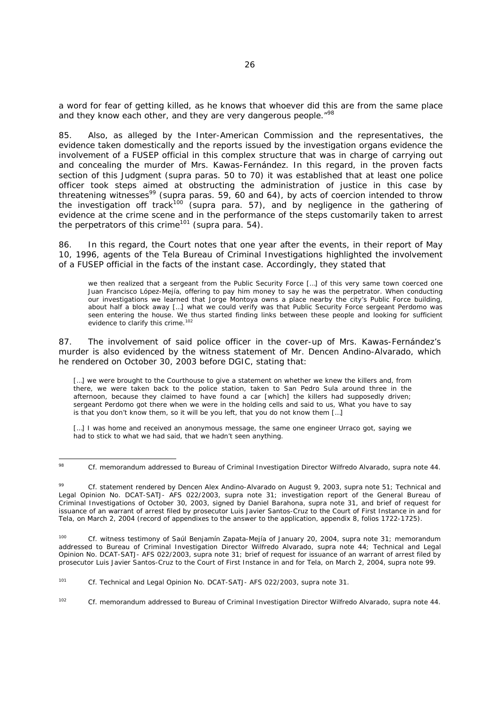a word for fear of getting killed, as he knows that whoever did this are from the same place and they know each other, and they are very dangerous people."<sup>98</sup>

85. Also, as alleged by the Inter-American Commission and the representatives, the evidence taken domestically and the reports issued by the investigation organs evidence the involvement of a FUSEP official in this complex structure that was in charge of carrying out and concealing the murder of Mrs. Kawas-Fernández. In this regard, in the proven facts section of this Judgment (*supra* paras. 50 to 70) it was established that at least one police officer took steps aimed at obstructing the administration of justice in this case by threatening witnesses<sup>99</sup> (*supra* paras. 59, 60 and 64), by acts of coercion intended to throw the investigation off track<sup>100</sup> (*supra* para. 57), and by negligence in the gathering of evidence at the crime scene and in the performance of the steps customarily taken to arrest the perpetrators of this crime<sup>101</sup> (*supra* para. 54).

86. In this regard, the Court notes that one year after the events, in their report of May 10, 1996, agents of the Tela Bureau of Criminal Investigations highlighted the involvement of a FUSEP official in the facts of the instant case. Accordingly, they stated that

we then realized that a sergeant from the Public Security Force […] of this very same town coerced one Juan Francisco López-Mejía, offering to pay him money to say he was the perpetrator. When conducting our investigations we learned that Jorge Montoya owns a place nearby the city's Public Force building, about half a block away [...] what we could verify was that Public Security Force sergeant Perdomo was seen entering the house. We thus started finding links between these people and looking for sufficient evidence to clarify this crime.<sup>102</sup>

87. The involvement of said police officer in the cover-up of Mrs. Kawas-Fernández's murder is also evidenced by the witness statement of Mr. Dencen Andino-Alvarado, which he rendered on October 30, 2003 before DGIC, stating that:

[...] we were brought to the Courthouse to give a statement on whether we knew the killers and, from there, we were taken back to the police station, taken to San Pedro Sula around three in the afternoon, because they claimed to have found a car [which] the killers had supposedly driven; sergeant Perdomo got there when we were in the holding cells and said to us, What you have to say is that you don't know them, so it will be you left, that you do not know them […]

[...] I was home and received an anonymous message, the same one engineer Urraco got, saying we had to stick to what we had said, that we hadn't seen anything.

100 *Cf.* witness testimony of Saúl Benjamín Zapata-Mejía of January 20, 2004, *supra* note 31; memorandum addressed to Bureau of Criminal Investigation Director Wilfredo Alvarado, *supra* note 44; Technical and Legal Opinion No. DCAT-SATJ- AFS 022/2003, *supra* note 31; brief of request for issuance of an warrant of arrest filed by prosecutor Luis Javier Santos-Cruz to the Court of First Instance in and for Tela, on March 2, 2004, *supra* note 99.

<sup>98</sup> 98 *Cf*. memorandum addressed to Bureau of Criminal Investigation Director Wilfredo Alvarado, *supra* note 44.

Cf. statement rendered by Dencen Alex Andino-Alvarado on August 9, 2003, *supra* note 51; Technical and Legal Opinion No. DCAT-SATJ- AFS 022/2003, *supra* note 31; investigation report of the General Bureau of Criminal Investigations of October 30, 2003, signed by Daniel Barahona, *supra* note 31, and brief of request for issuance of an warrant of arrest filed by prosecutor Luis Javier Santos-Cruz to the Court of First Instance in and for Tela, on March 2, 2004 (record of appendixes to the answer to the application, appendix 8, folios 1722-1725).

<sup>101</sup> *Cf.* Technical and Legal Opinion No. DCAT-SATJ- AFS 022/2003, *supra* note 31.

<sup>102</sup> *Cf*. memorandum addressed to Bureau of Criminal Investigation Director Wilfredo Alvarado, *supra* note 44.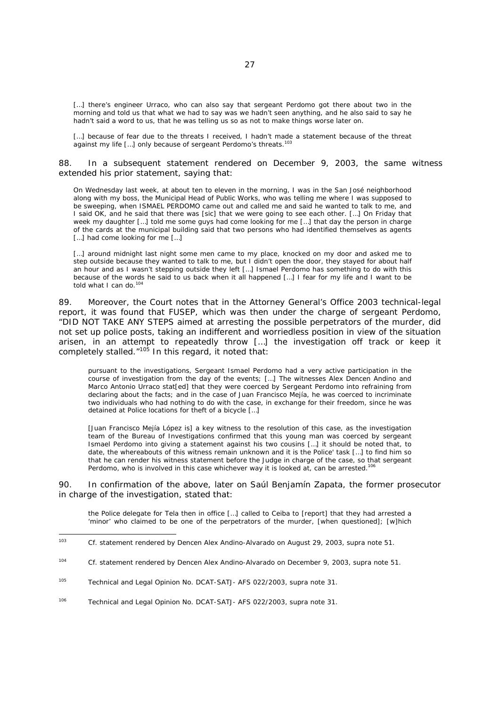[...] there's engineer Urraco, who can also say that sergeant Perdomo got there about two in the morning and told us that what we had to say was we hadn't seen anything, and he also said to say he hadn't said a word to us, that he was telling us so as not to make things worse later on.

[...] because of fear due to the threats I received, I hadn't made a statement because of the threat against my life [...] only because of sergeant Perdomo's threats.<sup>103</sup>

88. In a subsequent statement rendered on December 9, 2003, the same witness extended his prior statement, saying that:

On Wednesday last week, at about ten to eleven in the morning, I was in the San José neighborhood along with my boss, the Municipal Head of Public Works, who was telling me where I was supposed to be sweeping, when ISMAEL PERDOMO came out and called me and said he wanted to talk to me, and I said OK, and he said that there was *[sic]* that we were going to see each other. […] On Friday that week my daughter […] told me some guys had come looking for me […] that day the person in charge of the cards at the municipal building said that two persons who had identified themselves as agents [...] had come looking for me [...]

[...] around midnight last night some men came to my place, knocked on my door and asked me to step outside because they wanted to talk to me, but I didn't open the door, they stayed for about half an hour and as I wasn't stepping outside they left […] Ismael Perdomo has something to do with this because of the words he said to us back when it all happened […] I fear for my life and I want to be told what I can do.<sup>104</sup>

89. Moreover, the Court notes that in the Attorney General's Office 2003 technical-legal report, it was found that FUSEP, which was then under the charge of sergeant Perdomo, "DID NOT TAKE ANY STEPS aimed at arresting the possible perpetrators of the murder, did not set up police posts, taking an indifferent and worriedless position in view of the situation arisen, in an attempt to repeatedly throw [*…*] the investigation off track or keep it completely stalled. $105$  In this regard, it noted that:

pursuant to the investigations, Sergeant Ismael Perdomo had a very active participation in the course of investigation from the day of the events; […] The witnesses Alex Dencen Andino and Marco Antonio Urraco stat[ed] that they were coerced by Sergeant Perdomo into refraining from declaring about the facts; and in the case of Juan Francisco Mejía, he was coerced to incriminate two individuals who had nothing to do with the case, in exchange for their freedom, since he was detained at Police locations for theft of a bicycle […]

[Juan Francisco Mejía López is] a key witness to the resolution of this case, as the investigation team of the Bureau of Investigations confirmed that this young man was coerced by sergeant Ismael Perdomo into giving a statement against his two cousins […] it should be noted that, to date, the whereabouts of this witness remain unknown and it is the Police' task […] to find him so that he can render his witness statement before the Judge in charge of the case, so that sergeant Perdomo, who is involved in this case whichever way it is looked at, can be arrested.<sup>106</sup>

90. In confirmation of the above, later on Saúl Benjamín Zapata, the former prosecutor in charge of the investigation, stated that:

the Police delegate for Tela then in office […] called to Ceiba to [report] that they had arrested a 'minor' who claimed to be one of the perpetrators of the murder, [when questioned]; [w]hich

 $103$ 103 *Cf.* statement rendered by Dencen Alex Andino-Alvarado on August 29, 2003, *supra* note 51.

<sup>104</sup> *Cf*. statement rendered by Dencen Alex Andino-Alvarado on December 9, 2003, *supra* note 51.

<sup>105</sup> Technical and Legal Opinion No. DCAT-SATJ- AFS 022/2003, *supra* note 31.

<sup>106</sup> Technical and Legal Opinion No. DCAT-SATJ- AFS 022/2003, *supra* note 31.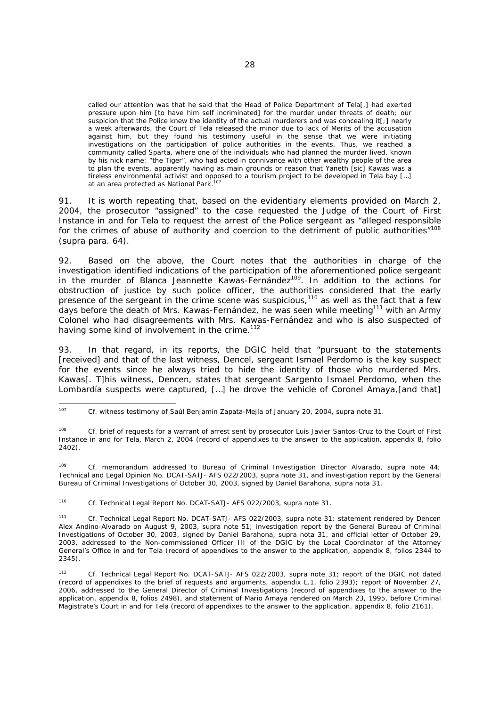called our attention was that he said that the Head of Police Department of Tela[,] had exerted pressure upon him [to have him self incriminated] for the murder under threats of death; our suspicion that the Police knew the identity of the actual murderers and was concealing it[;] nearly a week afterwards, the Court of Tela released the minor due to lack of Merits of the accusation against him, but they found his testimony useful in the sense that we were initiating investigations on the participation of police authorities in the events. Thus, we reached a community called Sparta, where one of the individuals who had planned the murder lived, known by his nick name: "the Tiger", who had acted in connivance with other wealthy people of the area to plan the events, apparently having as main grounds or reason that Yaneth [*sic*] Kawas was a tireless environmental activist and opposed to a tourism project to be developed in Tela bay […] at an area protected as National Park.<sup>1</sup>

91. It is worth repeating that, based on the evidentiary elements provided on March 2, 2004, the prosecutor "assigned" to the case requested the Judge of the Court of First Instance in and for Tela to request the arrest of the Police sergeant as "alleged responsible for the crimes of abuse of authority and coercion to the detriment of public authorities"<sup>108</sup> (*supra* para. 64).

92. Based on the above, the Court notes that the authorities in charge of the investigation identified indications of the participation of the aforementioned police sergeant in the murder of Blanca Jeannette Kawas-Fernández<sup>109</sup>. In addition to the actions for obstruction of justice by such police officer, the authorities considered that the early presence of the sergeant in the crime scene was suspicious, $110$  as well as the fact that a few days before the death of Mrs. Kawas-Fernández, he was seen while meeting<sup>111</sup> with an Army Colonel who had disagreements with Mrs. Kawas-Fernández and who is also suspected of having some kind of involvement in the crime.<sup>112</sup>

93. In that regard, in its reports, the DGIC held that "pursuant to the statements [received] and that of the last witness, Dencel, sergeant Ismael Perdomo is the key suspect for the events since he always tried to hide the identity of those who murdered Mrs. Kawas[. T]his witness, Dencen, states that sergeant Sargento Ismael Perdomo, when the Lombardía suspects were captured, […] he drove the vehicle of Coronel Amaya,[and that]

109 *Cf.* memorandum addressed to Bureau of Criminal Investigation Director Alvarado, *supra* note 44; Technical and Legal Opinion No. DCAT-SATJ- AFS 022/2003, *supra* note 31, and investigation report by the General Bureau of Criminal Investigations of October 30, 2003, signed by Daniel Barahona, *supra* nota 31.

110 *Cf.* Technical Legal Report No. DCAT-SATJ- AFS 022/2003, *supra* note 31.

111 *Cf.* Technical Legal Report No. DCAT-SATJ- AFS 022/2003, *supra* note 31; statement rendered by Dencen Alex Andino-Alvarado on August 9, 2003, *supra* note 51; investigation report by the General Bureau of Criminal Investigations of October 30, 2003, signed by Daniel Barahona, *supra* nota 31, and official letter of October 29, 2003, addressed to the Non-commissioned Officer III of the DGIC by the Local Coordinator of the Attorney General's Office in and for Tela (record of appendixes to the answer to the application, appendix 8, folios 2344 to 2345).

112 *Cf.* Technical Legal Report No. DCAT-SATJ- AFS 022/2003, *supra* note 31; report of the DGIC not dated (record of appendixes to the brief of requests and arguments, appendix L.1, folio 2393); report of November 27, 2006, addressed to the General Director of Criminal Investigations (record of appendixes to the answer to the application, appendix 8, folios 2498), and statement of Mario Amaya rendered on March 23, 1995, before Criminal Magistrate's Court in and for Tela (record of appendixes to the answer to the application, appendix 8, folio 2161).

<sup>107</sup> 107 *Cf.* witness testimony of Saúl Benjamín Zapata-Mejía of January 20, 2004, *supra* note 31.

<sup>108</sup> *Cf*. brief of requests for a warrant of arrest sent by prosecutor Luis Javier Santos-Cruz to the Court of First Instance in and for Tela, March 2, 2004 (record of appendixes to the answer to the application, appendix 8, folio 2402).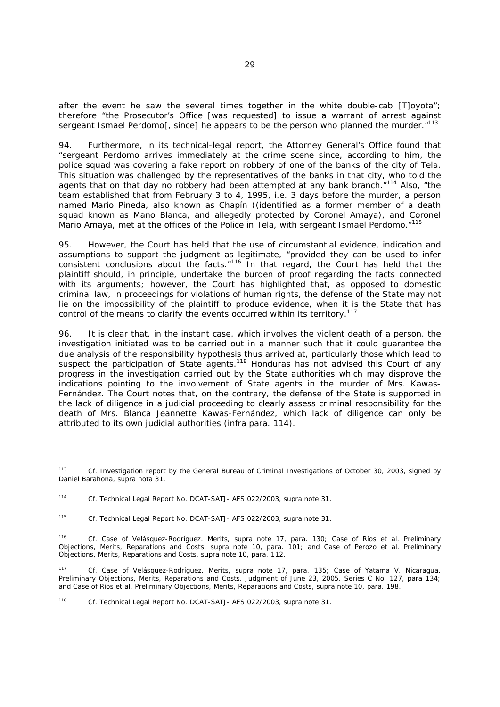after the event he saw the several times together in the white double-cab [T]oyota"; therefore "the Prosecutor's Office [was requested] to issue a warrant of arrest against sergeant Ismael Perdomol, since] he appears to be the person who planned the murder. $113$ 

94. Furthermore, in its technical-legal report, the Attorney General's Office found that "sergeant Perdomo arrives immediately at the crime scene since, according to him, the police squad was covering a fake report on robbery of one of the banks of the city of Tela. This situation was challenged by the representatives of the banks in that city, who told the agents that on that day no robbery had been attempted at any bank branch.<sup>"114</sup> Also, "the team established that from February 3 to 4, 1995, i.e. 3 days before the murder, a person named Mario Pineda, also known as Chapín ((identified as a former member of a death squad known as Mano Blanca, and allegedly protected by Coronel Amaya), and Coronel Mario Amaya, met at the offices of the Police in Tela, with sergeant Ismael Perdomo."<sup>115</sup>

95. However, the Court has held that the use of circumstantial evidence, indication and assumptions to support the judgment as legitimate, "provided they can be used to infer consistent conclusions about the facts.<sup>"116</sup> In that regard, the Court has held that the plaintiff should, in principle, undertake the burden of proof regarding the facts connected with its arguments; however, the Court has highlighted that, as opposed to domestic criminal law, in proceedings for violations of human rights, the defense of the State may not lie on the impossibility of the plaintiff to produce evidence, when it is the State that has control of the means to clarify the events occurred within its territory.<sup>117</sup>

96. It is clear that, in the instant case, which involves the violent death of a person, the investigation initiated was to be carried out in a manner such that it could guarantee the due analysis of the responsibility hypothesis thus arrived at, particularly those which lead to suspect the participation of State agents.<sup>118</sup> Honduras has not advised this Court of any progress in the investigation carried out by the State authorities which may disprove the indications pointing to the involvement of State agents in the murder of Mrs. Kawas-Fernández. The Court notes that, on the contrary, the defense of the State is supported in the lack of diligence in a judicial proceeding to clearly assess criminal responsibility for the death of Mrs. Blanca Jeannette Kawas-Fernández, which lack of diligence can only be attributed to its own judicial authorities (*infra* para. 114).

 $113$ 113 *Cf*. Investigation report by the General Bureau of Criminal Investigations of October 30, 2003, signed by Daniel Barahona, *supra* nota 31.

<sup>114</sup> *Cf.* Technical Legal Report No. DCAT-SATJ- AFS 022/2003, *supra* note 31.

<sup>115</sup> *Cf.* Technical Legal Report No. DCAT-SATJ- AFS 022/2003, *supra* note 31.

<sup>116</sup> *Cf. Case of Velásquez-Rodríguez. Merits, supra* note 17*,* para. 130; *Case of Ríos et al. Preliminary Objections, Merits, Reparations and Costs, supra* note 10, para. 101; and *Case of Perozo et al. Preliminary Objections, Merits, Reparations and Costs, supra* note 10, para. 112.

<sup>117</sup> *Cf. Case of Velásquez-Rodríguez. Merits, supra* note 17*,* para. 135; *Case of Yatama V. Nicaragua. Preliminary Objections, Merits, Reparations and Costs.* Judgment of June 23, 2005. Series C No. 127, para 134; and *Case of Ríos et al. Preliminary Objections, Merits, Reparations and Costs, supra* note 10, para. 198.

<sup>118</sup> *Cf.* Technical Legal Report No. DCAT-SATJ- AFS 022/2003, *supra* note 31.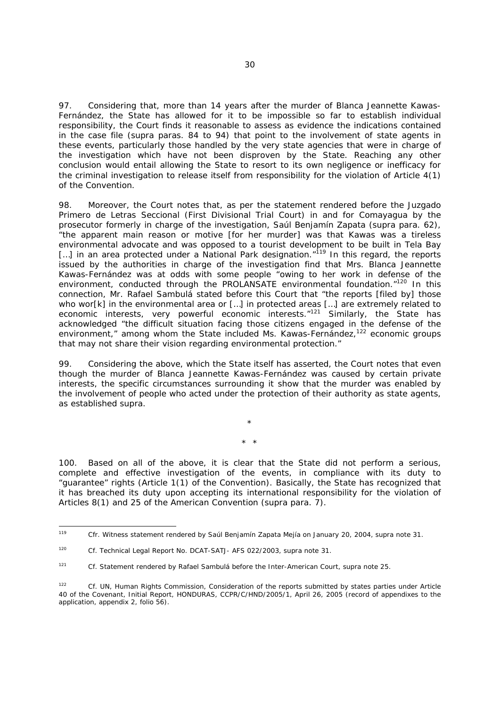97. Considering that, more than 14 years after the murder of Blanca Jeannette Kawas-Fernández, the State has allowed for it to be impossible so far to establish individual responsibility, the Court finds it reasonable to assess as evidence the indications contained in the case file (*supra* paras. 84 to 94) that point to the involvement of state agents in these events, particularly those handled by the very state agencies that were in charge of the investigation which have not been disproven by the State. Reaching any other conclusion would entail allowing the State to resort to its own negligence or inefficacy for the criminal investigation to release itself from responsibility for the violation of Article 4(1) of the Convention.

98. Moreover, the Court notes that, as per the statement rendered before the *Juzgado Primero de Letras Seccional* (First Divisional Trial Court) in and for Comayagua by the prosecutor formerly in charge of the investigation, Saúl Benjamín Zapata (*supra* para. 62), "the apparent main reason or motive [for her murder] was that Kawas was a tireless environmental advocate and was opposed to a tourist development to be built in Tela Bay […] in an area protected under a National Park designation."119 In this regard, the reports issued by the authorities in charge of the investigation find that Mrs. Blanca Jeannette Kawas-Fernández was at odds with some people "owing to her work in defense of the environment, conducted through the PROLANSATE environmental foundation."<sup>120</sup> In this connection, Mr. Rafael Sambulá stated before this Court that "the reports [filed by] those who wor[k] in the environmental area or [...] in protected areas [...] are extremely related to economic interests, very powerful economic interests.<sup>"121</sup> Similarly, the State has acknowledged "the difficult situation facing those citizens engaged in the defense of the environment," among whom the State included Ms. Kawas-Fernández,<sup>122</sup> economic groups that may not share their vision regarding environmental protection."

99. Considering the above, which the State itself has asserted, the Court notes that even though the murder of Blanca Jeannette Kawas-Fernández was caused by certain private interests, the specific circumstances surrounding it show that the murder was enabled by the involvement of people who acted under the protection of their authority as state agents, as established *supra.* 

\* \*

\*

100. Based on all of the above, it is clear that the State did not perform a serious, complete and effective investigation of the events, in compliance with its duty to "guarantee" rights (Article 1(1) of the Convention). Basically, the State has recognized that it has breached its duty upon accepting its international responsibility for the violation of Articles 8(1) and 25 of the American Convention (*supra* para. 7).

<sup>119</sup> 119 *Cfr.* Witness statement rendered by Saúl Benjamín Zapata Mejía on January 20, 2004, *supra* note 31.

<sup>120</sup> *Cf.* Technical Legal Report No. DCAT-SATJ- AFS 022/2003, *supra* note 31.

<sup>121</sup> *Cf*. Statement rendered by Rafael Sambulá before the Inter-American Court, *supra* note 25.

<sup>122</sup> *Cf*. UN, Human Rights Commission, Consideration of the reports submitted by states parties under Article 40 of the Covenant, Initial Report, HONDURAS, CCPR/C/HND/2005/1, April 26, 2005 (record of appendixes to the application, appendix 2, folio 56).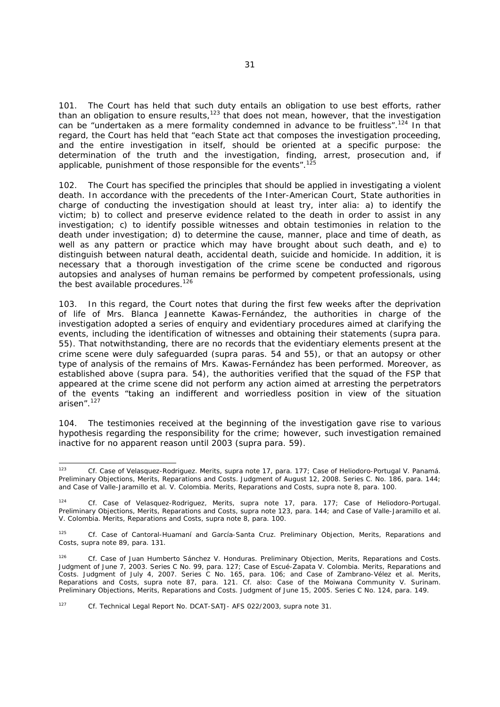101. The Court has held that such duty entails an obligation to use best efforts, rather than an obligation to ensure results, $123$  that does not mean, however, that the investigation can be "undertaken as a mere formality condemned in advance to be fruitless".<sup>124</sup> In that regard, the Court has held that "each State act that composes the investigation proceeding, and the entire investigation in itself, should be oriented at a specific purpose: the determination of the truth and the investigation, finding, arrest, prosecution and, if applicable, punishment of those responsible for the events".<sup>1</sup>

102. The Court has specified the principles that should be applied in investigating a violent death. In accordance with the precedents of the Inter-American Court, State authorities in charge of conducting the investigation should at least try, *inter alia*: a) to identify the victim; b) to collect and preserve evidence related to the death in order to assist in any investigation; c) to identify possible witnesses and obtain testimonies in relation to the death under investigation; d) to determine the cause, manner, place and time of death, as well as any pattern or practice which may have brought about such death, and e) to distinguish between natural death, accidental death, suicide and homicide. In addition, it is necessary that a thorough investigation of the crime scene be conducted and rigorous autopsies and analyses of human remains be performed by competent professionals, using the best available procedures.<sup>126</sup>

103. In this regard, the Court notes that during the first few weeks after the deprivation of life of Mrs. Blanca Jeannette Kawas-Fernández, the authorities in charge of the investigation adopted a series of enquiry and evidentiary procedures aimed at clarifying the events, including the identification of witnesses and obtaining their statements (*supra* para. 55). That notwithstanding, there are no records that the evidentiary elements present at the crime scene were duly safeguarded (*supra* paras. 54 and 55), or that an autopsy or other type of analysis of the remains of Mrs. Kawas-Fernández has been performed. Moreover, as established above (*supra* para. 54), the authorities verified that the squad of the FSP that appeared at the crime scene did not perform any action aimed at arresting the perpetrators of the events "taking an indifferent and worriedless position in view of the situation arisen".127

104. The testimonies received at the beginning of the investigation gave rise to various hypothesis regarding the responsibility for the crime; however, such investigation remained inactive for no apparent reason until 2003 (*supra* para. 59).

 $123$ 123 *Cf. Case of Velasquez-Rodriguez. Merits, supra* note 17, para. 177; *Case of Heliodoro-Portugal V. Panamá. Preliminary Objections, Merits, Reparations and Costs.* Judgment of August 12, 2008. Series C. No. 186, para. 144; and *Case of Valle-Jaramillo et al. V. Colombia. Merits, Reparations and Costs, supra* note 8, para. 100.

<sup>124</sup> *Cf. Case of Velasquez-Rodriguez*, *Merits, supra* note 17, para. 177; *Case of Heliodoro-Portugal. Preliminary Objections, Merits, Reparations and Costs, supra note 123, para. 144; and Case of Valle-Jaramillo et al. V. Colombia. Merits, Reparations and Costs, supra* note 8, para. 100.

 $125$ 125 *Cf. Case of Cantoral-Huamaní and García-Santa Cruz. Preliminary Objection, Merits, Reparations and Costs, supra* note 89, para*.* 131.

<sup>126</sup> *Cf. Case of Juan Humberto Sánchez V. Honduras. Preliminary Objection, Merits, Reparations and Costs*. Judgment of June 7, 2003. Series C No. 99, para. 127; *Case of Escué-Zapata V. Colombia. Merits, Reparations and Costs.* Judgment of July 4, 2007. Series C No. 165, para. 106; and *Case of Zambrano-Vélez et al. Merits, Reparations and Costs, supra* note 87, para. 121. *Cf.* also: *Case of the Moiwana Community V. Surinam. Preliminary Objections, Merits, Reparations and Costs.* Judgment of June 15, 2005. Series C No. 124, para. 149.

<sup>127</sup> *Cf.* Technical Legal Report No. DCAT-SATJ- AFS 022/2003, *supra* note 31.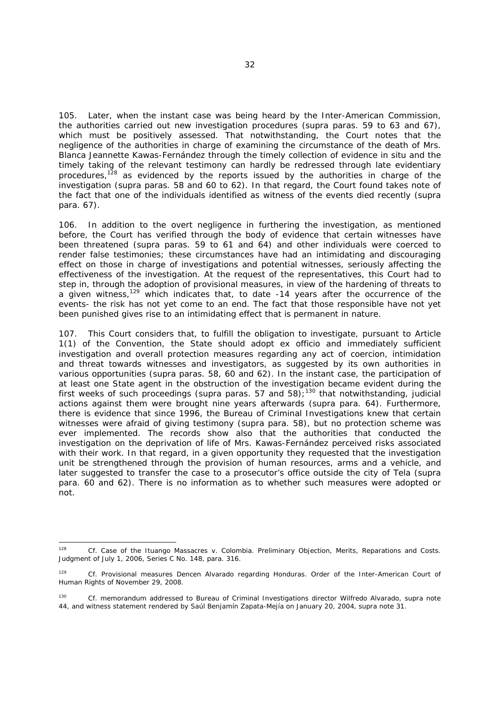105. Later, when the instant case was being heard by the Inter-American Commission, the authorities carried out new investigation procedures (*supra* paras. 59 to 63 and 67), which must be positively assessed. That notwithstanding, the Court notes that the negligence of the authorities in charge of examining the circumstance of the death of Mrs. Blanca Jeannette Kawas-Fernández through the timely collection of evidence *in situ* and the timely taking of the relevant testimony can hardly be redressed through late evidentiary procedures,<sup>128</sup> as evidenced by the reports issued by the authorities in charge of the investigation (*supra* paras. 58 and 60 to 62). In that regard, the Court found takes note of the fact that one of the individuals identified as witness of the events died recently (*supra* para. 67).

106. In addition to the overt negligence in furthering the investigation, as mentioned before, the Court has verified through the body of evidence that certain witnesses have been threatened (*supra* paras. 59 to 61 and 64) and other individuals were coerced to render false testimonies; these circumstances have had an intimidating and discouraging effect on those in charge of investigations and potential witnesses, seriously affecting the effectiveness of the investigation. At the request of the representatives, this Court had to step in, through the adoption of provisional measures, in view of the hardening of threats to a given witness,<sup>129</sup> which indicates that, to date -14 years after the occurrence of the events- the risk has not yet come to an end. The fact that those responsible have not yet been punished gives rise to an intimidating effect that is permanent in nature.

107. This Court considers that, to fulfill the obligation to investigate, pursuant to Article 1(1) of the Convention, the State should adopt *ex officio* and immediately sufficient investigation and overall protection measures regarding any act of coercion, intimidation and threat towards witnesses and investigators, as suggested by its own authorities in various opportunities (*supra* paras. 58, 60 and 62). In the instant case, the participation of at least one State agent in the obstruction of the investigation became evident during the first weeks of such proceedings (*supra* paras. 57 and 58);130 that notwithstanding, judicial actions against them were brought nine years afterwards (*supra* para. 64). Furthermore, there is evidence that since 1996, the Bureau of Criminal Investigations knew that certain witnesses were afraid of giving testimony (*supra* para. 58), but no protection scheme was ever implemented. The records show also that the authorities that conducted the investigation on the deprivation of life of Mrs. Kawas-Fernández perceived risks associated with their work. In that regard, in a given opportunity they requested that the investigation unit be strengthened through the provision of human resources, arms and a vehicle, and later suggested to transfer the case to a prosecutor's office outside the city of Tela (*supra* para. 60 and 62). There is no information as to whether such measures were adopted or not.

<sup>128</sup> 128 *Cf. Case of the Ituango Massacres v. Colombia. Preliminary Objection, Merits, Reparations and Costs.*  Judgment of July 1, 2006, Series C No. 148, para. 316.

<sup>129</sup> *Cf. Provisional measures Dencen Alvarado regarding Honduras*. Order of the Inter-American Court of Human Rights of November 29, 2008.

<sup>130</sup> *Cf.* memorandum addressed to Bureau of Criminal Investigations director Wilfredo Alvarado, *supra* note 44, and witness statement rendered by Saúl Benjamín Zapata-Mejía on January 20, 2004, *supra* note 31.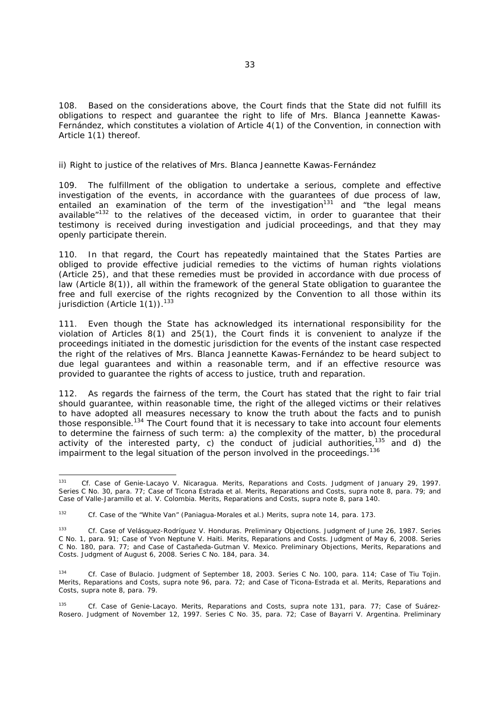108. Based on the considerations above, the Court finds that the State did not fulfill its obligations to respect and guarantee the right to life of Mrs. Blanca Jeannette Kawas-Fernández, which constitutes a violation of Article 4(1) of the Convention, in connection with Article 1(1) thereof.

#### *ii) Right to justice of the relatives of Mrs. Blanca Jeannette Kawas-Fernández*

109. The fulfillment of the obligation to undertake a serious, complete and effective investigation of the events, in accordance with the guarantees of due process of law, entailed an examination of the term of the investigation<sup>131</sup> and "the legal means available<sup>"132</sup> to the relatives of the deceased victim, in order to guarantee that their testimony is received during investigation and judicial proceedings, and that they may openly participate therein.

110. In that regard, the Court has repeatedly maintained that the States Parties are obliged to provide effective judicial remedies to the victims of human rights violations (Article 25), and that these remedies must be provided in accordance with due process of law (Article 8(1)), all within the framework of the general State obligation to guarantee the free and full exercise of the rights recognized by the Convention to all those within its jurisdiction (Article 1(1)).<sup>133</sup>

111. Even though the State has acknowledged its international responsibility for the violation of Articles 8(1) and 25(1), the Court finds it is convenient to analyze if the proceedings initiated in the domestic jurisdiction for the events of the instant case respected the right of the relatives of Mrs. Blanca Jeannette Kawas-Fernández to be heard subject to due legal guarantees and within a reasonable term, and if an effective resource was provided to guarantee the rights of access to justice, truth and reparation.

112. As regards the fairness of the term, the Court has stated that the right to fair trial should guarantee, within reasonable time, the right of the alleged victims or their relatives to have adopted all measures necessary to know the truth about the facts and to punish those responsible.<sup>134</sup> The Court found that it is necessary to take into account four elements to determine the fairness of such term: a) the complexity of the matter, b) the procedural activity of the interested party, c) the conduct of judicial authorities,  $135$  and d) the impairment to the legal situation of the person involved in the proceedings.<sup>136</sup>

<sup>131</sup> 131 *Cf. Case of Genie-Lacayo V. Nicaragua. Merits, Reparations and Costs.* Judgment of January 29, 1997. Series C No. 30, para. 77; *Case of Ticona Estrada et al. Merits, Reparations and Costs, supra* note 8*,* para. 79; and *Case of Valle-Jaramillo et al. V. Colombia. Merits, Reparations and Costs, supra note 8, para 140.* 

<sup>&</sup>lt;sup>132</sup> *Cf. Case of the "White Van" (Paniagua-Morales et al.) Merits, supra* note 14, para. 173.

<sup>133</sup> *Cf*. *Case of Velásquez-Rodríguez V. Honduras. Preliminary Objections*. Judgment of June 26, 1987. Series C No. 1, para. 91; *Case of Yvon Neptune V. Haiti. Merits, Reparations and Costs*. Judgment of May 6, 2008. Series C No. 180, para. 77; and *Case of Castañeda-Gutman V. Mexico. Preliminary Objections, Merits, Reparations and Costs.* Judgment of August 6, 2008. Series C No. 184, para. 34.

<sup>134</sup> *Cf. Case of Bulacio*. Judgment of September 18, 2003. Series C No. 100*,* para. 114; *Case of Tiu Tojin. Merits, Reparations and Costs, supra* note 96, para. 72; and *Case of Ticona-Estrada et al. Merits, Reparations and Costs, supra* note 8, para. 79.

<sup>135</sup> *Cf. Case of Genie-Lacayo. Merits, Reparations and Costs, supra* note 131, para. 77*; Case of Suárez-Rosero*. Judgment of November 12, 1997. Series C No. 35*,* para. 72; *Case of Bayarri V. Argentina. Preliminary*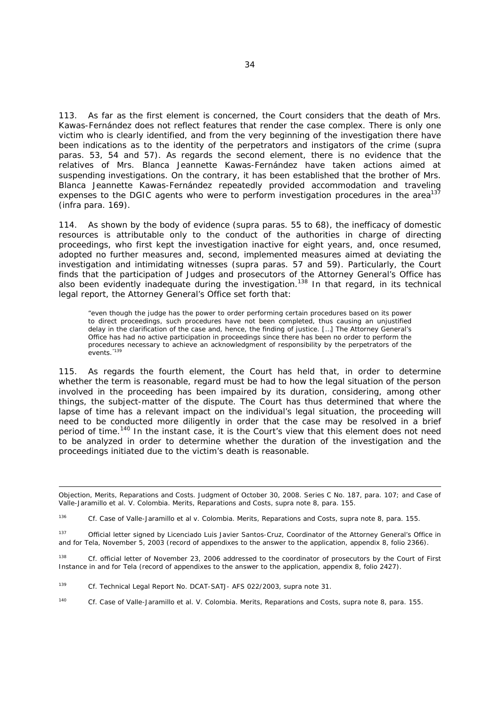113. As far as the first element is concerned, the Court considers that the death of Mrs. Kawas-Fernández does not reflect features that render the case complex. There is only one victim who is clearly identified, and from the very beginning of the investigation there have been indications as to the identity of the perpetrators and instigators of the crime (*supra*  paras. 53, 54 and 57). As regards the second element, there is no evidence that the relatives of Mrs. Blanca Jeannette Kawas-Fernández have taken actions aimed at suspending investigations. On the contrary, it has been established that the brother of Mrs. Blanca Jeannette Kawas-Fernández repeatedly provided accommodation and traveling expenses to the DGIC agents who were to perform investigation procedures in the area<sup>137</sup> (*infra* para. 169).

114. As shown by the body of evidence (*supra* paras. 55 to 68), the inefficacy of domestic resources is attributable only to the conduct of the authorities in charge of directing proceedings, who first kept the investigation inactive for eight years, and, once resumed, adopted no further measures and, second, implemented measures aimed at deviating the investigation and intimidating witnesses (*supra* paras. 57 and 59). Particularly, the Court finds that the participation of Judges and prosecutors of the Attorney General's Office has also been evidently inadequate during the investigation.<sup>138</sup> In that regard, in its technical legal report, the Attorney General's Office set forth that:

"even though the judge has the power to order performing certain procedures based on its power to direct proceedings, such procedures have not been completed, thus causing an unjustified delay in the clarification of the case and, hence, the finding of justice. […] The Attorney General's Office has had no active participation in proceedings since there has been no order to perform the procedures necessary to achieve an acknowledgment of responsibility by the perpetrators of the events.<sup>"139</sup>

115. As regards the fourth element, the Court has held that, in order to determine whether the term is reasonable, regard must be had to how the legal situation of the person involved in the proceeding has been impaired by its duration, considering, among other things, the subject-matter of the dispute. The Court has thus determined that where the lapse of time has a relevant impact on the individual's legal situation, the proceeding will need to be conducted more diligently in order that the case may be resolved in a brief period of time.<sup>140</sup> In the instant case, it is the Court's view that this element does not need to be analyzed in order to determine whether the duration of the investigation and the proceedings initiated due to the victim's death is reasonable.

<sup>138</sup> *Cf.* official letter of November 23, 2006 addressed to the coordinator of prosecutors by the Court of First Instance in and for Tela (record of appendixes to the answer to the application, appendix 8, folio 2427).

*Objection, Merits, Reparations and Costs*. Judgment of October 30, 2008. Series C No. 187, para. 107; and *Case of Valle-Jaramillo et al. V. Colombia. Merits, Reparations and Costs, supra* note 8, para. 155.

<sup>&</sup>lt;sup>136</sup> *Cf. Case of Valle-Jaramillo et al v. Colombia. Merits, Reparations and Costs, supra note 8, para. 155.* 

<sup>137</sup> Official letter signed by *Licenciado* Luis Javier Santos-Cruz, Coordinator of the Attorney General's Office in and for Tela, November 5, 2003 (record of appendixes to the answer to the application, appendix 8, folio 2366).

<sup>139</sup> *Cf.* Technical Legal Report No. DCAT-SATJ- AFS 022/2003, *supra* note 31.

<sup>140</sup> *Cf. Case of Valle-Jaramillo et al. V. Colombia. Merits, Reparations and Costs, supra* note 8, para. 155.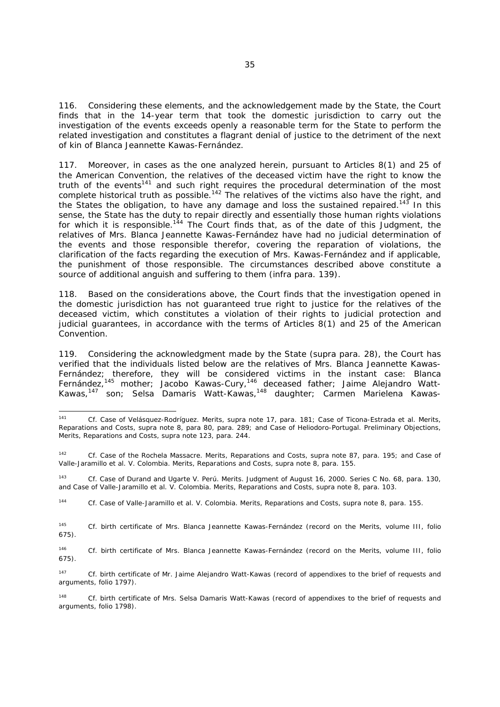116. Considering these elements, and the acknowledgement made by the State, the Court finds that in the 14-year term that took the domestic jurisdiction to carry out the investigation of the events exceeds openly a reasonable term for the State to perform the related investigation and constitutes a flagrant denial of justice to the detriment of the next of kin of Blanca Jeannette Kawas-Fernández.

117. Moreover, in cases as the one analyzed herein, pursuant to Articles 8(1) and 25 of the American Convention, the relatives of the deceased victim have the right to know the truth of the events<sup>141</sup> and such right requires the procedural determination of the most complete historical truth as possible.<sup>142</sup> The relatives of the victims also have the right, and the States the obligation, to have any damage and loss the sustained repaired.<sup>143</sup> In this sense, the State has the duty to repair directly and essentially those human rights violations for which it is responsible.<sup>144</sup> The Court finds that, as of the date of this Judgment, the relatives of Mrs. Blanca Jeannette Kawas-Fernández have had no judicial determination of the events and those responsible therefor, covering the reparation of violations, the clarification of the facts regarding the execution of Mrs. Kawas-Fernández and if applicable, the punishment of those responsible. The circumstances described above constitute a source of additional anguish and suffering to them (*infra* para. 139).

118. Based on the considerations above, the Court finds that the investigation opened in the domestic jurisdiction has not guaranteed true right to justice for the relatives of the deceased victim, which constitutes a violation of their rights to judicial protection and judicial guarantees, in accordance with the terms of Articles 8(1) and 25 of the American Convention.

119. Considering the acknowledgment made by the State (*supra* para. 28), the Court has verified that the individuals listed below are the relatives of Mrs. Blanca Jeannette Kawas-Fernández; therefore, they will be considered victims in the instant case: Blanca Fernández,<sup>145</sup> mother; Jacobo Kawas-Cury,<sup>146</sup> deceased father; Jaime Alejandro Watt-Kawas,<sup>147</sup> son; Selsa Damaris Watt-Kawas,<sup>148</sup> daughter; Carmen Marielena Kawas-

144 *Cf. Case of Valle-Jaramillo et al. V. Colombia. Merits, Reparations and Costs, supra* note 8, para. 155.

145 *Cf.* birth certificate of Mrs. Blanca Jeannette Kawas-Fernández (record on the Merits, volume III, folio 675).

146 *Cf.* birth certificate of Mrs. Blanca Jeannette Kawas-Fernández (record on the Merits, volume III, folio 675).

 $141$ 141 *Cf. Case of Velásquez-Rodríguez. Merits, supra* note 17*,* para. 181; *Case of Ticona-Estrada et al. Merits, Reparations and Costs, supra* note 8, para 80, para. 289; and *Case of Heliodoro-Portugal. Preliminary Objections, Merits, Reparations and Costs, supra* note 123, para. 244.

<sup>&</sup>lt;sup>142</sup> *Cf. Case of the Rochela Massacre. Merits, Reparations and Costs, supra note 87, para. 195; and <i>Case of* Valle-Jaramillo et al. V. Colombia. Merits, Reparations and Costs, supra note 8, para. 155.

<sup>143</sup> *Cf. Case of Durand and Ugarte V. Perú. Merits.* Judgment of August 16, 2000. Series C No. 68, para. 130, and *Case of Valle-Jaramillo et al. V. Colombia. Merits, Reparations and Costs, supra* note 8, para. 103.

<sup>&</sup>lt;sup>147</sup> *Cf.* birth certificate of Mr. Jaime Alejandro Watt-Kawas (record of appendixes to the brief of requests and arguments, folio 1797).

<sup>148</sup> *Cf.* birth certificate of Mrs. Selsa Damaris Watt-Kawas (record of appendixes to the brief of requests and arguments, folio 1798).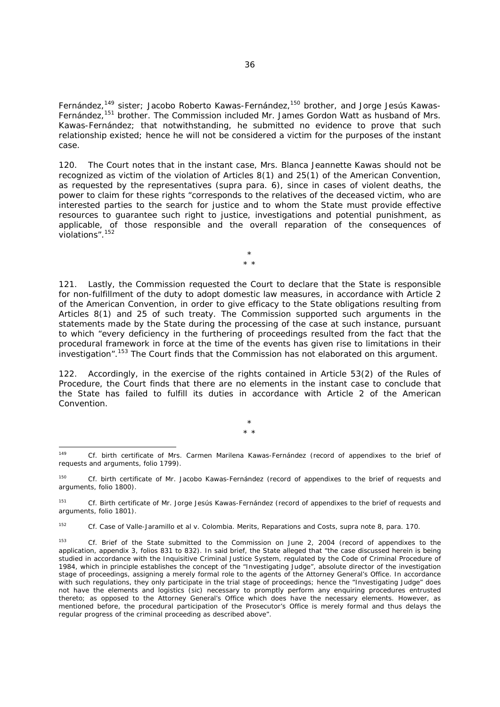Fernández,<sup>149</sup> sister; Jacobo Roberto Kawas-Fernández,<sup>150</sup> brother, and Jorge Jesús Kawas-Fernández.<sup>151</sup> brother. The Commission included Mr. James Gordon Watt as husband of Mrs. Kawas-Fernández; that notwithstanding, he submitted no evidence to prove that such relationship existed; hence he will not be considered a victim for the purposes of the instant case.

120. The Court notes that in the instant case, Mrs. Blanca Jeannette Kawas should not be recognized as victim of the violation of Articles 8(1) and 25(1) of the American Convention, as requested by the representatives (*supra* para. 6), since in cases of violent deaths, the power to claim for these rights "corresponds to the relatives of the deceased victim, who are interested parties to the search for justice and to whom the State must provide effective resources to guarantee such right to justice, investigations and potential punishment, as applicable, of those responsible and the overall reparation of the consequences of violations".<sup>152</sup>

> \* \* \*

121. Lastly, the Commission requested the Court to declare that the State is responsible for non-fulfillment of the duty to adopt domestic law measures, in accordance with Article 2 of the American Convention, in order to give efficacy to the State obligations resulting from Articles 8(1) and 25 of such treaty. The Commission supported such arguments in the statements made by the State during the processing of the case at such instance, pursuant to which "every deficiency in the furthering of proceedings resulted from the fact that the procedural framework in force at the time of the events has given rise to limitations in their investigation".153 The Court finds that the Commission has not elaborated on this argument.

122. Accordingly, in the exercise of the rights contained in Article 53(2) of the Rules of Procedure, the Court finds that there are no elements in the instant case to conclude that the State has failed to fulfill its duties in accordance with Article 2 of the American Convention.

> \* \* \*

<sup>149</sup> 149 *Cf.* birth certificate of Mrs. Carmen Marilena Kawas-Fernández (record of appendixes to the brief of requests and arguments, folio 1799).

<sup>150</sup> *Cf.* birth certificate of Mr. Jacobo Kawas-Fernández (record of appendixes to the brief of requests and arguments, folio 1800).

<sup>151</sup> *Cf.* Birth certificate of Mr. Jorge Jesús Kawas-Fernández (record of appendixes to the brief of requests and arguments, folio 1801).

<sup>&</sup>lt;sup>152</sup> *Cf. Case of Valle-Jaramillo et al v. Colombia. Merits, Reparations and Costs, supra note 8, para. 170.* 

<sup>153</sup> *Cf.* Brief of the State submitted to the Commission on June 2, 2004 (record of appendixes to the application, appendix 3, folios 831 to 832). In said brief, the State alleged that "the case discussed herein is being studied in accordance with the Inquisitive Criminal Justice System, regulated by the Code of Criminal Procedure of 1984, which in principle establishes the concept of the "Investigating Judge", absolute director of the investigation stage of proceedings, assigning a merely formal role to the agents of the Attorney General's Office. In accordance with such regulations, they only participate in the trial stage of proceedings; hence the "Investigating Judge" does not have the elements and logistics *(sic)* necessary to promptly perform any enquiring procedures entrusted thereto; as opposed to the Attorney General's Office which does have the necessary elements. However, as mentioned before, the procedural participation of the Prosecutor's Office is merely formal and thus delays the regular progress of the criminal proceeding as described above".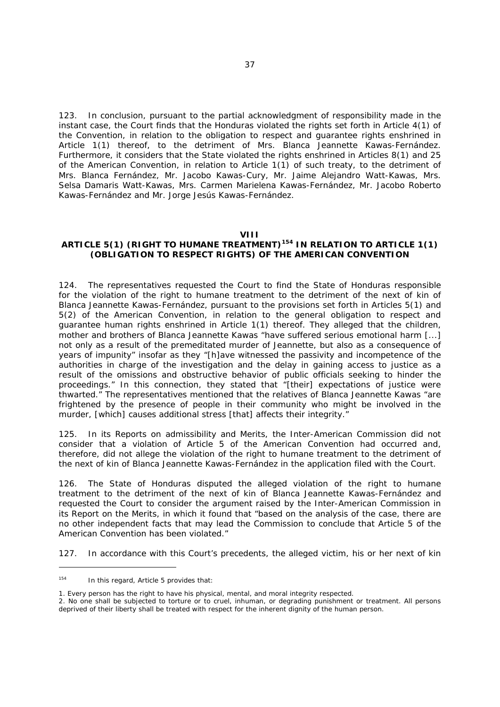123. In conclusion, pursuant to the partial acknowledgment of responsibility made in the instant case, the Court finds that the Honduras violated the rights set forth in Article 4(1) of the Convention, in relation to the obligation to respect and guarantee rights enshrined in Article 1(1) thereof, to the detriment of Mrs. Blanca Jeannette Kawas-Fernández. Furthermore, it considers that the State violated the rights enshrined in Articles 8(1) and 25 of the American Convention, in relation to Article 1(1) of such treaty, to the detriment of Mrs. Blanca Fernández, Mr. Jacobo Kawas-Cury, Mr. Jaime Alejandro Watt-Kawas, Mrs. Selsa Damaris Watt-Kawas, Mrs. Carmen Marielena Kawas-Fernández, Mr. Jacobo Roberto Kawas-Fernández and Mr. Jorge Jesús Kawas-Fernández.

#### **VIII**

# **ARTICLE 5(1) (RIGHT TO HUMANE TREATMENT)154 IN RELATION TO ARTICLE 1(1) (OBLIGATION TO RESPECT RIGHTS) OF THE AMERICAN CONVENTION**

124. The representatives requested the Court to find the State of Honduras responsible for the violation of the right to humane treatment to the detriment of the next of kin of Blanca Jeannette Kawas-Fernández, pursuant to the provisions set forth in Articles 5(1) and 5(2) of the American Convention, in relation to the general obligation to respect and guarantee human rights enshrined in Article 1(1) thereof. They alleged that the children, mother and brothers of Blanca Jeannette Kawas "have suffered serious emotional harm [...] not only as a result of the premeditated murder of Jeannette, but also as a consequence of years of impunity" insofar as they "[h]ave witnessed the passivity and incompetence of the authorities in charge of the investigation and the delay in gaining access to justice as a result of the omissions and obstructive behavior of public officials seeking to hinder the proceedings." In this connection, they stated that "[their] expectations of justice were thwarted." The representatives mentioned that the relatives of Blanca Jeannette Kawas "are frightened by the presence of people in their community who might be involved in the murder, [which] causes additional stress [that] affects their integrity."

125. In its Reports on admissibility and Merits, the Inter-American Commission did not consider that a violation of Article 5 of the American Convention had occurred and, therefore, did not allege the violation of the right to humane treatment to the detriment of the next of kin of Blanca Jeannette Kawas-Fernández in the application filed with the Court.

126. The State of Honduras disputed the alleged violation of the right to humane treatment to the detriment of the next of kin of Blanca Jeannette Kawas-Fernández and requested the Court to consider the argument raised by the Inter-American Commission in its Report on the Merits, in which it found that "based on the analysis of the case, there are no other independent facts that may lead the Commission to conclude that Article 5 of the American Convention has been violated."

127. In accordance with this Court's precedents, the alleged victim, his or her next of kin

-

<sup>&</sup>lt;sup>154</sup> In this regard, Article 5 provides that:

<sup>1.</sup> Every person has the right to have his physical, mental, and moral integrity respected.

<sup>2.</sup> No one shall be subjected to torture or to cruel, inhuman, or degrading punishment or treatment. All persons deprived of their liberty shall be treated with respect for the inherent dignity of the human person.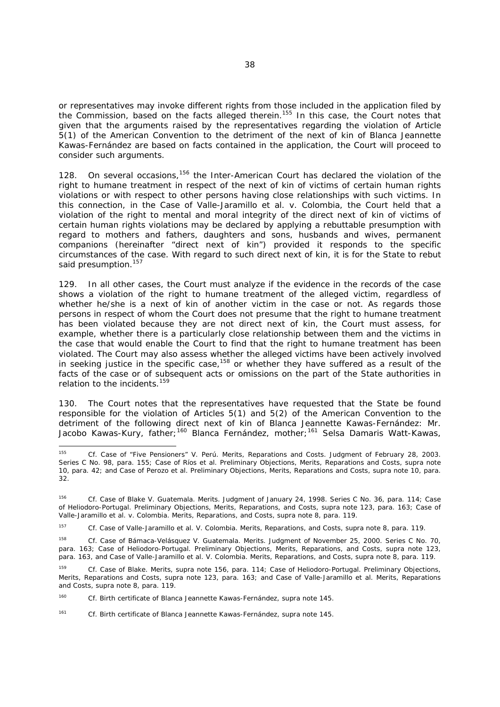or representatives may invoke different rights from those included in the application filed by the Commission, based on the facts alleged therein.<sup>155</sup> In this case, the Court notes that given that the arguments raised by the representatives regarding the violation of Article 5(1) of the American Convention to the detriment of the next of kin of Blanca Jeannette Kawas-Fernández are based on facts contained in the application, the Court will proceed to consider such arguments.

128. On several occasions,<sup>156</sup> the Inter-American Court has declared the violation of the right to humane treatment in respect of the next of kin of victims of certain human rights violations or with respect to other persons having close relationships with such victims. In this connection, in the Case of *Valle-Jaramillo et al. v. Colombia*, the Court held that a violation of the right to mental and moral integrity of the direct next of kin of victims of certain human rights violations may be declared by applying a rebuttable presumption with regard to mothers and fathers, daughters and sons, husbands and wives, permanent companions (hereinafter "direct next of kin") provided it responds to the specific circumstances of the case. With regard to such direct next of kin, it is for the State to rebut said presumption.<sup>157</sup>

129. In all other cases, the Court must analyze if the evidence in the records of the case shows a violation of the right to humane treatment of the alleged victim, regardless of whether he/she is a next of kin of another victim in the case or not. As regards those persons in respect of whom the Court does not presume that the right to humane treatment has been violated because they are not direct next of kin, the Court must assess, for example, whether there is a particularly close relationship between them and the victims in the case that would enable the Court to find that the right to humane treatment has been violated. The Court may also assess whether the alleged victims have been actively involved in seeking justice in the specific case,  $158$  or whether they have suffered as a result of the facts of the case or of subsequent acts or omissions on the part of the State authorities in relation to the incidents.<sup>159</sup>

130. The Court notes that the representatives have requested that the State be found responsible for the violation of Articles 5(1) and 5(2) of the American Convention to the detriment of the following direct next of kin of Blanca Jeannette Kawas-Fernández: Mr. Jacobo Kawas-Kury, father;<sup>160</sup> Blanca Fernández, mother;<sup>161</sup> Selsa Damaris Watt-Kawas,

<sup>157</sup> *Cf. Case of Valle-Jaramillo et al. V. Colombia. Merits, Reparations, and Costs, supra note 8, para. 119.* 

-

<sup>155</sup> *Cf. Case of "Five Pensioners" V. Perú. Merits, Reparations and Costs.* Judgment of February 28, 2003. Series C No. 98, para. 155; Case of Ríos et al. Preliminary Objections, Merits, Reparations and Costs, supra note 10, para. 42; and *Case of Perozo et al. Preliminary Objections, Merits, Reparations and Costs, supra* note 10, para. 32.

<sup>156</sup> *Cf. Case of Blake V. Guatemala. Merits*. Judgment of January 24, 1998. Series C No. 36, para. 114; *Case of Heliodoro-Portugal. Preliminary Objections, Merits, Reparations, and Costs, supra* note 123, para. 163; *Case of*  Valle-Jaramillo et al. v. Colombia. Merits, Reparations, and Costs, supra note 8, para. 119.

<sup>158</sup> *Cf. Case of Bámaca-Velásquez V. Guatemala. Merits.* Judgment of November 25, 2000. Series C No. 70*,*  para. 163; *Case of Heliodoro-Portugal. Preliminary Objections, Merits, Reparations, and Costs, supra* note 123, para. 163, and *Case of Valle-Jaramillo et al. V. Colombia. Merits, Reparations, and Costs, supra* note 8, para. 119.

<sup>159</sup> *Cf. Case of Blake. Merits*, *supra* note 156, para. 114; *Case of Heliodoro-Portugal. Preliminary Objections, Merits, Reparations and Costs, supra* note 123, para. 163; and *Case of Valle-Jaramillo et al. Merits, Reparations and Costs, supra* note 8, para. 119.

<sup>160</sup> *Cf.* Birth certificate of Blanca Jeannette Kawas-Fernández*, supra* note 145.

<sup>161</sup> *Cf.* Birth certificate of Blanca Jeannette Kawas-Fernández, *supra* note 145.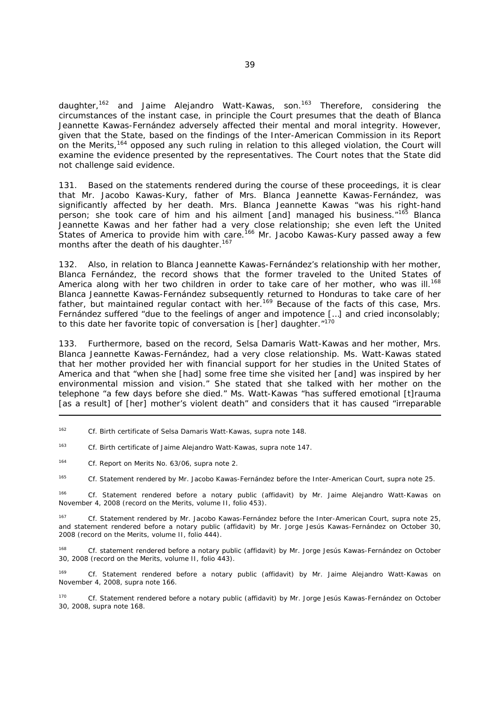daughter,<sup>162</sup> and Jaime Alejandro Watt-Kawas, son.<sup>163</sup> Therefore, considering the circumstances of the instant case, in principle the Court presumes that the death of Blanca Jeannette Kawas-Fernández adversely affected their mental and moral integrity. However, given that the State, based on the findings of the Inter-American Commission in its Report on the Merits,  $164$  opposed any such ruling in relation to this alleged violation, the Court will examine the evidence presented by the representatives. The Court notes that the State did not challenge said evidence.

131. Based on the statements rendered during the course of these proceedings, it is clear that Mr. Jacobo Kawas-Kury, father of Mrs. Blanca Jeannette Kawas-Fernández, was significantly affected by her death. Mrs. Blanca Jeannette Kawas "was his right-hand person; she took care of him and his ailment [and] managed his business."<sup>165</sup> Blanca Jeannette Kawas and her father had a very close relationship; she even left the United States of America to provide him with care.<sup>166</sup> Mr. Jacobo Kawas-Kury passed away a few months after the death of his daughter.<sup>167</sup>

132. Also, in relation to Blanca Jeannette Kawas-Fernández's relationship with her mother, Blanca Fernández, the record shows that the former traveled to the United States of America along with her two children in order to take care of her mother, who was ill.<sup>168</sup> Blanca Jeannette Kawas-Fernández subsequently returned to Honduras to take care of her father, but maintained regular contact with her.169 Because of the facts of this case, Mrs. Fernández suffered "due to the feelings of anger and impotence […] and cried inconsolably; to this date her favorite topic of conversation is [her] daughter."170

133. Furthermore, based on the record, Selsa Damaris Watt-Kawas and her mother, Mrs. Blanca Jeannette Kawas-Fernández, had a very close relationship. Ms. Watt-Kawas stated that her mother provided her with financial support for her studies in the United States of America and that "when she [had] some free time she visited her [and] was inspired by her environmental mission and vision." She stated that she talked with her mother on the telephone "a few days before she died." Ms. Watt-Kawas "has suffered emotional [t]rauma [as a result] of [her] mother's violent death" and considers that it has caused "irreparable

162 *Cf.* Birth certificate of Selsa Damaris Watt-Kawas, *supra* note 148.

163 *Cf.* Birth certificate of Jaime Alejandro Watt-Kawas, *supra* note 147.

164 *Cf.* Report on Merits No. 63/06, *supra* note 2.

165 *Cf.* Statement rendered by Mr. Jacobo Kawas-Fernández before the Inter-American Court, *supra* note 25.

166 *Cf.* Statement rendered before a notary public (affidavit) by Mr. Jaime Alejandro Watt-Kawas on November 4, 2008 (record on the Merits, volume II, folio 453).

167 *Cf.* Statement rendered by Mr. Jacobo Kawas-Fernández before the Inter-American Court, *supra* note 25, and statement rendered before a notary public (affidavit) by Mr. Jorge Jesús Kawas-Fernández on October 30, 2008 (record on the Merits, volume II, folio 444).

168 *Cf.* statement rendered before a notary public (affidavit) by Mr. Jorge Jesús Kawas-Fernández on October 30, 2008 (record on the Merits, volume II, folio 443).

169 *Cf.* Statement rendered before a notary public (affidavit) by Mr. Jaime Alejandro Watt-Kawas on November 4, 2008, *supra* note 166.

170 *Cf.* Statement rendered before a notary public (affidavit) by Mr. Jorge Jesús Kawas-Fernández on October 30, 2008, *supra* note 168.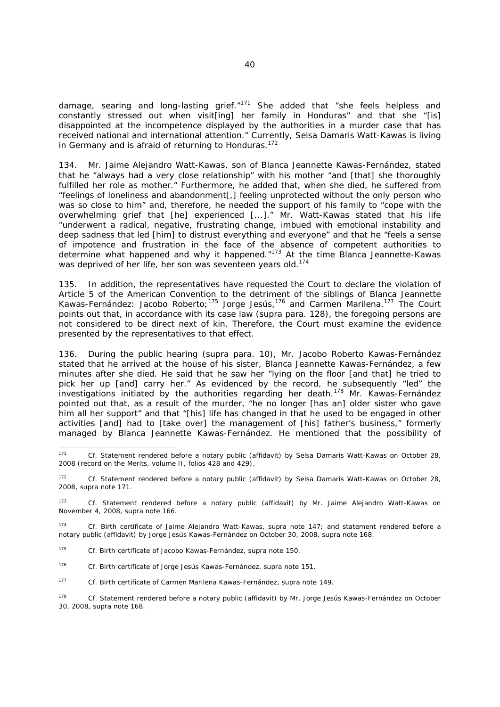damage, searing and long-lasting grief."<sup>171</sup> She added that "she feels helpless and constantly stressed out when visit[ing] her family in Honduras" and that she "[is] disappointed at the incompetence displayed by the authorities in a murder case that has received national and international attention." Currently, Selsa Damaris Watt-Kawas is living in Germany and is afraid of returning to Honduras.<sup>172</sup>

134. Mr. Jaime Alejandro Watt-Kawas, son of Blanca Jeannette Kawas-Fernández, stated that he "always had a very close relationship" with his mother "and [that] she thoroughly fulfilled her role as mother." Furthermore, he added that, when she died, he suffered from "feelings of loneliness and abandonment[,] feeling unprotected without the only person who was so close to him" and, therefore, he needed the support of his family to "cope with the overwhelming grief that [he] experienced [...]." Mr. Watt-Kawas stated that his life "underwent a radical, negative, frustrating change, imbued with emotional instability and deep sadness that led [him] to distrust everything and everyone" and that he "feels a sense of impotence and frustration in the face of the absence of competent authorities to determine what happened and why it happened."173 At the time Blanca Jeannette-Kawas was deprived of her life, her son was seventeen vears old.<sup>174</sup>

135. In addition, the representatives have requested the Court to declare the violation of Article 5 of the American Convention to the detriment of the siblings of Blanca Jeannette Kawas-Fernández: Jacobo Roberto;<sup>175</sup> Jorge Jesús,<sup>176</sup> and Carmen Marilena.<sup>177</sup> The Court points out that, in accordance with its case law (*supra* para. 128), the foregoing persons are not considered to be direct next of kin. Therefore, the Court must examine the evidence presented by the representatives to that effect.

136. During the public hearing (*supra* para. 10), Mr. Jacobo Roberto Kawas-Fernández stated that he arrived at the house of his sister, Blanca Jeannette Kawas-Fernández, a few minutes after she died. He said that he saw her "lying on the floor [and that] he tried to pick her up [and] carry her." As evidenced by the record, he subsequently "led" the investigations initiated by the authorities regarding her death.<sup>178</sup> Mr. Kawas-Fernández pointed out that, as a result of the murder, "he no longer [has an] older sister who gave him all her support" and that "[his] life has changed in that he used to be engaged in other activities [and] had to [take over] the management of [his] father's business," formerly managed by Blanca Jeannette Kawas-Fernández. He mentioned that the possibility of

<sup>171</sup> 171 *Cf.* Statement rendered before a notary public (affidavit) by Selsa Damaris Watt-Kawas on October 28, 2008 (record on the Merits, volume II, folios 428 and 429).

<sup>172</sup> *Cf.* Statement rendered before a notary public (affidavit) by Selsa Damaris Watt-Kawas on October 28, 2008, *supra* note 171.

<sup>173</sup> *Cf.* Statement rendered before a notary public (affidavit) by Mr. Jaime Alejandro Watt-Kawas on November 4, 2008, *supra* note 166.

<sup>174</sup> *Cf.* Birth certificate of Jaime Alejandro Watt-Kawas, *supra* note 147; and statement rendered before a notary public (affidavit) by Jorge Jesús Kawas-Fernández on October 30, 2008, *supra* note 168.

<sup>175</sup> *Cf.* Birth certificate of Jacobo Kawas-Fernández, *supra* note 150.

<sup>176</sup> *Cf.* Birth certificate of Jorge Jesús Kawas-Fernández, *supra* note 151.

<sup>177</sup> *Cf.* Birth certificate of Carmen Marilena Kawas-Fernández, *supra* note 149.

<sup>178</sup> *Cf.* Statement rendered before a notary public (affidavit) by Mr. Jorge Jesús Kawas-Fernández on October 30, 2008, *supra* note 168.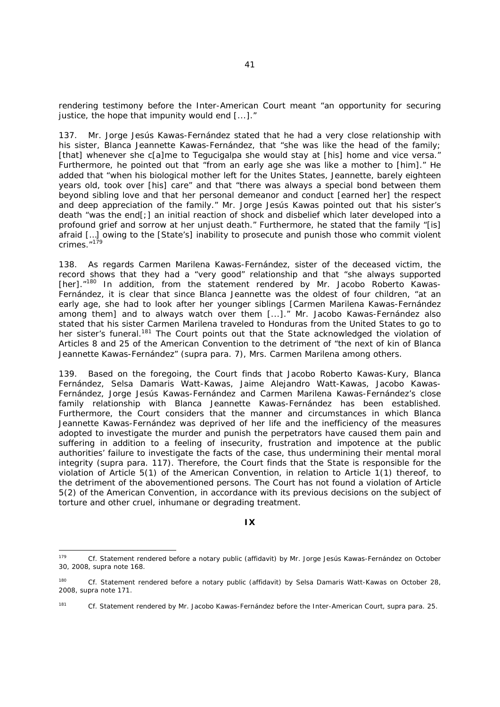rendering testimony before the Inter-American Court meant "an opportunity for securing justice, the hope that impunity would end [...]."

137. Mr. Jorge Jesús Kawas-Fernández stated that he had a very close relationship with his sister, Blanca Jeannette Kawas-Fernández, that "she was like the head of the family; [that] whenever she c[a]me to Tegucigalpa she would stay at [his] home and vice versa." Furthermore, he pointed out that "from an early age she was like a mother to [him]." He added that "when his biological mother left for the Unites States, Jeannette, barely eighteen years old, took over [his] care" and that "there was always a special bond between them beyond sibling love and that her personal demeanor and conduct [earned her] the respect and deep appreciation of the family." Mr. Jorge Jesús Kawas pointed out that his sister's death "was the end[;] an initial reaction of shock and disbelief which later developed into a profound grief and sorrow at her unjust death." Furthermore, he stated that the family "[is] afraid […] owing to the [State's] inability to prosecute and punish those who commit violent crimes."<sup>179</sup>

138. As regards Carmen Marilena Kawas-Fernández, sister of the deceased victim, the record shows that they had a "very good" relationship and that "she always supported [her]."<sup>180</sup> In addition, from the statement rendered by Mr. Jacobo Roberto Kawas-Fernández, it is clear that since Blanca Jeannette was the oldest of four children, "at an early age, she had to look after her younger siblings [Carmen Marilena Kawas-Fernández among them] and to always watch over them [...]." Mr. Jacobo Kawas-Fernández also stated that his sister Carmen Marilena traveled to Honduras from the United States to go to her sister's funeral.<sup>181</sup> The Court points out that the State acknowledged the violation of Articles 8 and 25 of the American Convention to the detriment of "the next of kin of Blanca Jeannette Kawas-Fernández" (*supra* para. 7), Mrs. Carmen Marilena among others.

139. Based on the foregoing, the Court finds that Jacobo Roberto Kawas-Kury, Blanca Fernández, Selsa Damaris Watt-Kawas, Jaime Alejandro Watt-Kawas, Jacobo Kawas-Fernández, Jorge Jesús Kawas-Fernández and Carmen Marilena Kawas-Fernández's close family relationship with Blanca Jeannette Kawas-Fernández has been established. Furthermore, the Court considers that the manner and circumstances in which Blanca Jeannette Kawas-Fernández was deprived of her life and the inefficiency of the measures adopted to investigate the murder and punish the perpetrators have caused them pain and suffering in addition to a feeling of insecurity, frustration and impotence at the public authorities' failure to investigate the facts of the case, thus undermining their mental moral integrity (*supra* para. 117). Therefore, the Court finds that the State is responsible for the violation of Article 5(1) of the American Convention, in relation to Article 1(1) thereof, to the detriment of the abovementioned persons. The Court has not found a violation of Article 5(2) of the American Convention, in accordance with its previous decisions on the subject of torture and other cruel, inhumane or degrading treatment.

-

<sup>179</sup> *Cf.* Statement rendered before a notary public (affidavit) by Mr. Jorge Jesús Kawas-Fernández on October 30, 2008, *supra* note 168.

<sup>&</sup>lt;sup>180</sup> *Cf.* Statement rendered before a notary public (affidavit) by Selsa Damaris Watt-Kawas on October 28, 2008, *supra* note 171.

<sup>181</sup> *Cf.* Statement rendered by Mr. Jacobo Kawas-Fernández before the Inter-American Court, *supra* para. 25.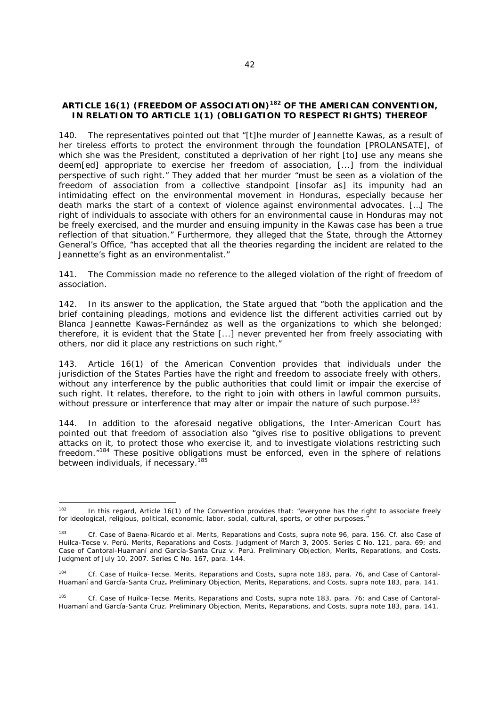# **ARTICLE 16(1) (FREEDOM OF ASSOCIATION)182 OF THE AMERICAN CONVENTION, IN RELATION TO ARTICLE 1(1) (OBLIGATION TO RESPECT RIGHTS) THEREOF**

140. The representatives pointed out that "[t]he murder of Jeannette Kawas, as a result of her tireless efforts to protect the environment through the foundation [PROLANSATE], of which she was the President, constituted a deprivation of her right [to] use any means she deem[ed] appropriate to exercise her freedom of association, [...] from the individual perspective of such right." They added that her murder "must be seen as a violation of the freedom of association from a collective standpoint [insofar as] its impunity had an intimidating effect on the environmental movement in Honduras, especially because her death marks the start of a context of violence against environmental advocates. […] The right of individuals to associate with others for an environmental cause in Honduras may not be freely exercised, and the murder and ensuing impunity in the Kawas case has been a true reflection of that situation." Furthermore, they alleged that the State, through the Attorney General's Office, "has accepted that all the theories regarding the incident are related to the Jeannette's fight as an environmentalist."

141. The Commission made no reference to the alleged violation of the right of freedom of association.

142. In its answer to the application, the State argued that "both the application and the brief containing pleadings, motions and evidence list the different activities carried out by Blanca Jeannette Kawas-Fernández as well as the organizations to which she belonged; therefore, it is evident that the State [...] never prevented her from freely associating with others, nor did it place any restrictions on such right."

143. Article 16(1) of the American Convention provides that individuals under the jurisdiction of the States Parties have the right and freedom to associate freely with others, without any interference by the public authorities that could limit or impair the exercise of such right. It relates, therefore, to the right to join with others in lawful common pursuits, without pressure or interference that may alter or impair the nature of such purpose.<sup>183</sup>

144. In addition to the aforesaid negative obligations, the Inter-American Court has pointed out that freedom of association also "gives rise to positive obligations to prevent attacks on it, to protect those who exercise it, and to investigate violations restricting such freedom."<sup>184</sup> These positive obligations must be enforced, even in the sphere of relations between individuals, if necessary.<sup>185</sup>

<sup>182</sup> In this regard, Article 16(1) of the Convention provides that: "everyone has the right to associate freely for ideological, religious, political, economic, labor, social, cultural, sports, or other purposes."

<sup>183</sup> *Cf*. *Case of Baena-Ricardo et al*. *Merits, Reparations and Costs, supra* note 96, para. 156. *Cf. also Case of Huilca-Tecse v. Perú*. *Merits, Reparations and Costs*. Judgment of March 3, 2005. Series C No. 121, para. 69; and *Case of Cantoral-Huamaní and García-Santa Cruz v. Perú. Preliminary Objection, Merits, Reparations, and Costs.* Judgment of July 10, 2007. Series C No. 167, para. 144.

<sup>184</sup> *Cf*. *Case of Huilca-Tecse*. *Merits, Reparations and Costs*, *supra* note 183, para. 76, and *Case of Cantoral-Huamaní and García-Santa Cruz. Preliminary Objection, Merits, Reparations, and Costs, supra* note 183, para. 141.

<sup>185</sup> *Cf*. *Case of Huilca-Tecse*. *Merits, Reparations and Costs*, *supra* note 183, para. 76; and *Case of Cantoral-Huamaní and García-Santa Cruz. Preliminary Objection, Merits, Reparations, and Costs*, *supra* note 183, para. 141.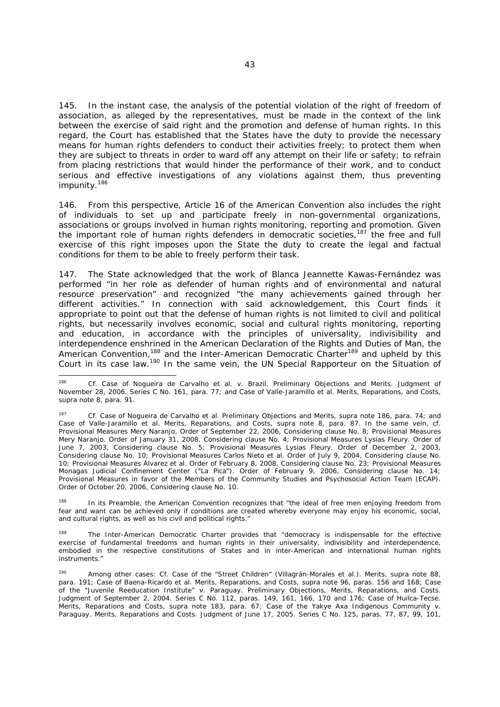In the instant case, the analysis of the potential violation of the right of freedom of association, as alleged by the representatives, must be made in the context of the link between the exercise of said right and the promotion and defense of human rights. In this regard, the Court has established that the States have the duty to provide the necessary means for human rights defenders to conduct their activities freely; to protect them when they are subject to threats in order to ward off any attempt on their life or safety; to refrain from placing restrictions that would hinder the performance of their work, and to conduct serious and effective investigations of any violations against them, thus preventing impunity.186

146. From this perspective, Article 16 of the American Convention also includes the right of individuals to set up and participate freely in non-governmental organizations, associations or groups involved in human rights monitoring, reporting and promotion. Given the important role of human rights defenders in democratic societies, $187$  the free and full exercise of this right imposes upon the State the duty to create the legal and factual conditions for them to be able to freely perform their task.

147. The State acknowledged that the work of Blanca Jeannette Kawas-Fernández was performed "in her role as defender of human rights and of environmental and natural resource preservation" and recognized "the many achievements gained through her different activities." In connection with said acknowledgement, this Court finds it appropriate to point out that the defense of human rights is not limited to civil and political rights, but necessarily involves economic, social and cultural rights monitoring, reporting and education, in accordance with the principles of universality, indivisibility and interdependence enshrined in the American Declaration of the Rights and Duties of Man, the American Convention,<sup>188</sup> and the Inter-American Democratic Charter<sup>189</sup> and upheld by this Court in its case law.<sup>190</sup> In the same vein, the UN Special Rapporteur on the Situation of

<sup>188</sup> In its Preamble, the American Convention recognizes that "the ideal of free men enjoying freedom from fear and want can be achieved only if conditions are created whereby everyone may enjoy his economic, social, and cultural rights, as well as his civil and political rights."

<sup>189</sup> The Inter-American Democratic Charter provides that "democracy is indispensable for the effective exercise of fundamental freedoms and human rights in their universality, indivisibility and interdependence, embodied in the respective constitutions of States and in inter-American and international human rights instruments."

<sup>186</sup> 186 *Cf. Case of Nogueira de Carvalho et al. v. Brazil. Preliminary Objections and Merits*. Judgment of November 28, 2006. Series C No. 161, para. 77; and *Case of Valle-Jaramillo et al. Merits, Reparations, and Costs, supra* note 8, para. 91.

<sup>187</sup> *Cf*. *Case of Nogueira de Carvalho et al. Preliminary Objections and Merits*, *supra* note 186, para. 74; and *Case of Valle-Jaramillo et al. Merits, Reparations, and Costs, supra note 8, para. 87. In the same vein, cf.* Provisional Measures Mery Naranjo. Order of September 22, 2006, Considering clause No. 8; Provisional Measures Mery Naranjo. Order of January 31, 2008, Considering clause No. 4; Provisional Measures Lysias Fleury. Order of June 7, 2003, Considering clause No. 5; Provisional Measures Lysias Fleury. Order of December 2, 2003, Considering clause No. 10; Provisional Measures Carlos Nieto et al. Order of July 9, 2004, Considering clause No. 10; Provisional Measures Álvarez et al. Order of February 8, 2008, Considering clause No. 23; Provisional Measures Monagas Judicial Confinement Center ("La Pica"). Order of February 9, 2006, Considering clause No. 14; Provisional Measures in favor of the Members of the Community Studies and Psychosocial Action Team (ECAP). Order of October 20, 2006, Considering clause No. 10.

<sup>190</sup> Among other cases: *Cf*. *Case of the "Street Children" (Villagrán-Morales et al.)*. *Merits, supra* note 88*,*  para. 191; Case of Baena-Ricardo et al. Merits, Reparations, and Costs, supra note 96, paras. 156 and 168; Case *of the "Juvenile Reeducation Institute" v. Paraguay. Preliminary Objections, Merits, Reparations, and Costs.* Judgment of September 2, 2004. Series C No. 112, paras. 149, 161, 166, 170 and 176; *Case of Huilca-Tecse*. *Merits, Reparations and Costs, supra* note 183, para. 67; *Case of the Yakye Axa Indigenous Community v. Paraguay*. *Merits, Reparations and Costs.* Judgment of June 17, 2005. Series C No. 125, paras. 77, 87, 99, 101,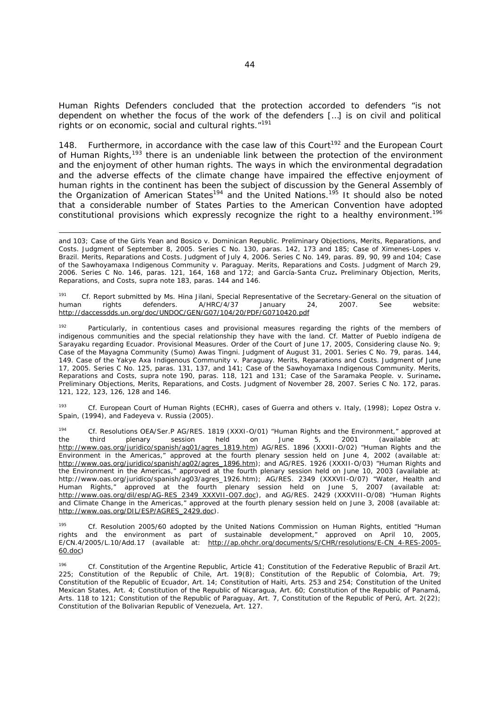Human Rights Defenders concluded that the protection accorded to defenders "is not dependent on whether the focus of the work of the defenders […] is on civil and political rights or on economic, social and cultural rights."191

148. Furthermore, in accordance with the case law of this Court<sup>192</sup> and the European Court of Human Rights,193 there is an undeniable link between the protection of the environment and the enjoyment of other human rights. The ways in which the environmental degradation and the adverse effects of the climate change have impaired the effective enjoyment of human rights in the continent has been the subject of discussion by the General Assembly of the Organization of American States<sup>194</sup> and the United Nations.<sup>195</sup> It should also be noted that a considerable number of States Parties to the American Convention have adopted constitutional provisions which expressly recognize the right to a healthy environment.<sup>196</sup>

and 103; *Case of the Girls Yean and Bosico v. Dominican Republic. Preliminary Objections, Merits, Reparations, and Costs.* Judgment of September 8, 2005. Series C No. 130, paras. 142, 173 and 185; *Case of Ximenes-Lopes v. Brazil*. *Merits, Reparations and Costs*. Judgment of July 4, 2006. Series C No. 149, paras. 89, 90, 99 and 104; *Case of the Sawhoyamaxa Indigenous Community v. Paraguay*. *Merits, Reparations and Costs*. Judgment of March 29, 2006. Series C No. 146, paras. 121, 164, 168 and 172; and *García-Santa Cruz. Preliminary Objection, Merits, Reparations, and Costs, supra* note 183, paras. 144 and 146.

<sup>191</sup> *Cf.* Report submitted by Ms. Hina Jilani, Special Representative of the Secretary-General on the situation of human rights defenders. A/HRC/4/37 January 24, 2007. See website: http://daccessdds.un.org/doc/UNDOC/GEN/G07/104/20/PDF/G0710420.pdf

<sup>192</sup> Particularly, in contentious cases and provisional measures regarding the rights of the members of indigenous communities and the special relationship they have with the land. *Cf. Matter of Pueblo indígena de Sarayaku regarding Ecuador. Provisional Measures.* Order of the Court of June 17, 2005, Considering clause No. 9; *Case of the Mayagna Community (Sumo) Awas Tingni.* Judgment of August 31, 2001. Series C No. 79, paras. 144, 149. *Case of the Yakye Axa Indigenous Community v. Paraguay*. *Merits, Reparations and Costs.* Judgment of June 17, 2005. Series C No. 125, paras. 131, 137, and 141; *Case of the Sawhoyamaxa Indigenous Community*. *Merits, Reparations and Costs, supra* note 190, paras. 118, 121 and 131; *Case of the Saramaka People. v. Suriname. Preliminary Objections, Merits, Reparations, and Costs.* Judgment of November 28, 2007. Series C No. 172, paras. 121, 122, 123, 126, 128 and 146.

193 *Cf.* European Court of Human Rights (ECHR), cases of Guerra and others v. Italy, (1998); Lopez Ostra v. *Spain, (1994), and Fadeyeva v. Russia (2005)*.

194 *Cf.* Resolutions OEA/Ser.P AG/RES. 1819 (XXXI-O/01) "Human Rights and the Environment," approved at the third plenary session held on June 5, 2001 (available at: the third plenary session held on June 5, 2001 (available at: http://www.oas.org/juridico/spanish/ag01/agres\_1819.htm) AG/RES. 1896 (XXXII-O/02) "Human Rights and the Environment in the Americas," approved at the fourth plenary session held on June 4, 2002 (available at: http://www.oas.org/juridico/spanish/ag02/agres\_1896.htm); and AG/RES. 1926 (XXXII-O/03) "Human Rights and the Environment in the Americas," approved at the fourth plenary session held on June 10, 2003 (available at: http://www.oas.org/juridico/spanish/ag03/agres\_1926.htm); AG/RES. 2349 (XXXVII-O/07) "Water, Health and Human Rights," approved at the fourth plenary session held on June 5, 2007 (available at: http://www.oas.org/dil/esp/AG-RES\_2349\_XXXVII-O07.doc), and AG/RES. 2429 (XXXVIII-O/08) "Human Rights and Climate Change in the Americas," approved at the fourth plenary session held on June 3, 2008 (available at: http://www.oas.org/DIL/ESP/AGRES\_2429.doc).

195 *Cf.* Resolution 2005/60 adopted by the United Nations Commission on Human Rights, entitled "Human rights and the environment as part of sustainable development," approved on April 10, 2005, E/CN.4/2005/L.10/Add.17 (available at: http://ap.ohchr.org/documents/S/CHR/resolutions/E-CN\_4-RES-2005-60.doc)

196 *Cf.* Constitution of the Argentine Republic, Article 41; Constitution of the Federative Republic of Brazil Art. 225; Constitution of the Republic of Chile, Art. 19(8); Constitution of the Republic of Colombia, Art. 79; Constitution of the Republic of Ecuador, Art. 14; Constitution of Haiti, Arts. 253 and 254; Constitution of the United Mexican States, Art. 4; Constitution of the Republic of Nicaragua, Art. 60; Constitution of the Republic of Panamá, Arts. 118 to 121; Constitution of the Republic of Paraguay, Art. 7, Constitution of the Republic of Perú, Art. 2(22); Constitution of the Bolivarian Republic of Venezuela, Art. 127.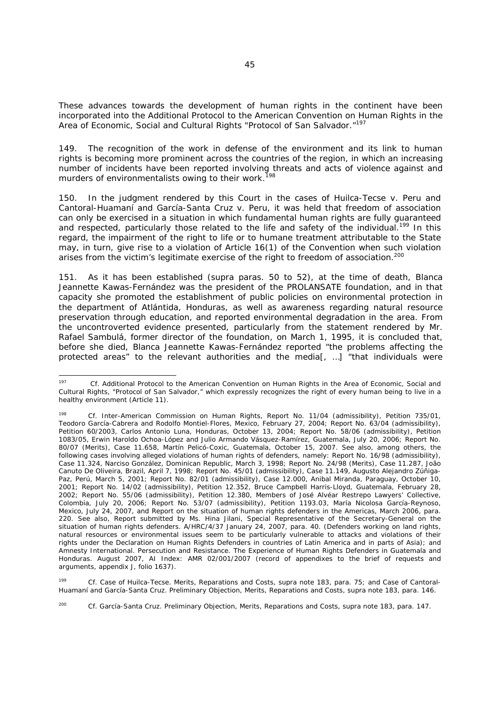These advances towards the development of human rights in the continent have been incorporated into the Additional Protocol to the American Convention on Human Rights in the Area of Economic, Social and Cultural Rights "Protocol of San Salvador."<sup>197</sup>

149. The recognition of the work in defense of the environment and its link to human rights is becoming more prominent across the countries of the region, in which an increasing number of incidents have been reported involving threats and acts of violence against and murders of environmentalists owing to their work.<sup>198</sup>

150. In the judgment rendered by this Court in the cases of *Huilca-Tecse v. Peru* and *Cantoral-Huamaní and García-Santa Cruz v. Peru*, it was held that freedom of association can only be exercised in a situation in which fundamental human rights are fully guaranteed and respected, particularly those related to the life and safety of the individual.<sup>199</sup> In this regard, the impairment of the right to life or to humane treatment attributable to the State may, in turn, give rise to a violation of Article 16(1) of the Convention when such violation arises from the victim's legitimate exercise of the right to freedom of association.<sup>200</sup>

151. As it has been established (*supra* paras. 50 to 52), at the time of death, Blanca Jeannette Kawas-Fernández was the president of the PROLANSATE foundation, and in that capacity she promoted the establishment of public policies on environmental protection in the department of Atlántida, Honduras, as well as awareness regarding natural resource preservation through education, and reported environmental degradation in the area. From the uncontroverted evidence presented, particularly from the statement rendered by Mr. Rafael Sambulá, former director of the foundation, on March 1, 1995, it is concluded that, before she died, Blanca Jeannette Kawas-Fernández reported "the problems affecting the protected areas" to the relevant authorities and the media[, …] "that individuals were

199 *Cf. Case of Huilca-Tecse*. *Merits, Reparations and Costs, supra* note 183, para. 75; and *Case of Cantoral-Huamaní and García-Santa Cruz. Preliminary Objection, Merits, Reparations and Costs, supra* note 183, para. 146.

<sup>200</sup> *Cf. García-Santa Cruz. Preliminary Objection, Merits, Reparations and Costs, supra note 183, para.* 147.

 $197$ *<sup>197</sup> Cf.* Additional Protocol to the American Convention on Human Rights in the Area of Economic, Social and Cultural Rights, "Protocol of San Salvador," which expressly recognizes the right of every human being to live in a healthy environment (Article 11).

<sup>198</sup> *Cf.* Inter-American Commission on Human Rights, Report No. 11/04 (admissibility), Petition 735/01, Teodoro García-Cabrera and Rodolfo Montiel-Flores, Mexico, February 27, 2004; Report No. 63/04 (admissibility), Petition 60/2003, Carlos Antonio Luna, Honduras, October 13, 2004; Report No. 58/06 (admissibility), Petition 1083/05, Erwin Haroldo Ochoa-López and Julio Armando Vásquez-Ramírez, Guatemala, July 20, 2006; Report No. 80/07 (Merits), Case 11.658, Martín Pelicó-Coxic, Guatemala, October 15, 2007. See also, among others, the following cases involving alleged violations of human rights of defenders, namely: Report No. 16/98 (admissibility), Case 11.324, Narciso González, Dominican Republic, March 3, 1998; Report No. 24/98 (Merits), Case 11.287, João Canuto De Oliveira, Brazil, April 7, 1998; Report No. 45/01 (admissibility), Case 11.149, Augusto Alejandro Zúñiga-Paz, Perú, March 5, 2001; Report No. 82/01 (admissibility), Case 12.000, Anibal Miranda, Paraguay, October 10, 2001; Report No. 14/02 (admissibility), Petition 12.352, Bruce Campbell Harris-Lloyd, Guatemala, February 28, 2002; Report No. 55/06 (admissibility), Petition 12.380, Members of José Alvéar Restrepo Lawyers' Collective, Colombia, July 20, 2006; Report No. 53/07 (admissibility), Petition 1193.03, María Nicolosa García-Reynoso, Mexico, July 24, 2007, and Report on the situation of human rights defenders in the Americas, March 2006, para. 220. See also*,* Report submitted by Ms. Hina Jilani, Special Representative of the Secretary-General on the situation of human rights defenders. A/HRC/4/37 January 24, 2007, para. 40. (Defenders working on land rights, natural resources or environmental issues seem to be particularly vulnerable to attacks and violations of their rights under the Declaration on Human Rights Defenders in countries of Latin America and in parts of Asia); and Amnesty International. Persecution and Resistance. The Experience of Human Rights Defenders in Guatemala and Honduras. August 2007, AI Index: AMR 02/001/2007 (record of appendixes to the brief of requests and arguments, appendix J, folio 1637).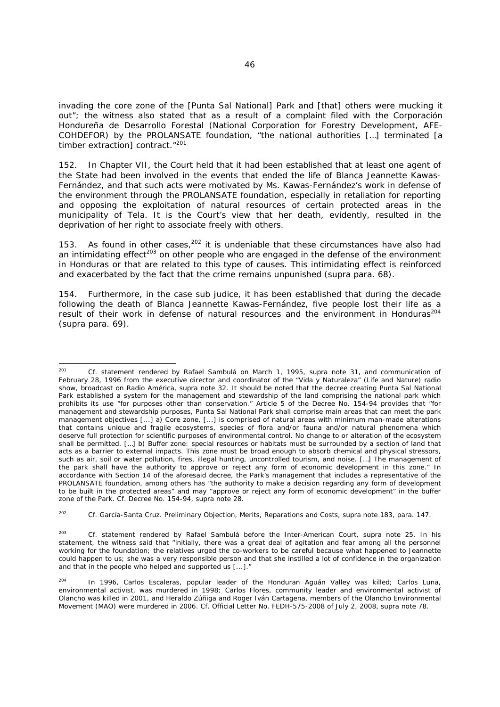invading the core zone of the [Punta Sal National] Park and [that] others were mucking it out"; the witness also stated that as a result of a complaint filed with the *Corporación Hondureña de Desarrollo Forestal* (National Corporation for Forestry Development, AFE-COHDEFOR) by the PROLANSATE foundation, "the national authorities […] terminated [a timber extraction] contract."<sup>201</sup>

152. In Chapter VII, the Court held that it had been established that at least one agent of the State had been involved in the events that ended the life of Blanca Jeannette Kawas-Fernández, and that such acts were motivated by Ms. Kawas-Fernández's work in defense of the environment through the PROLANSATE foundation, especially in retaliation for reporting and opposing the exploitation of natural resources of certain protected areas in the municipality of Tela. It is the Court's view that her death, evidently, resulted in the deprivation of her right to associate freely with others.

153. As found in other cases,  $202$  it is undeniable that these circumstances have also had an intimidating effect<sup>203</sup> on other people who are engaged in the defense of the environment in Honduras or that are related to this type of causes. This intimidating effect is reinforced and exacerbated by the fact that the crime remains unpunished (*supra* para. 68).

154. Furthermore, in the case *sub judice*, it has been established that during the decade following the death of Blanca Jeannette Kawas-Fernández, five people lost their life as a result of their work in defense of natural resources and the environment in Honduras<sup>204</sup> (*supra* para. 69).

<sup>202</sup> *Cf. García-Santa Cruz. Preliminary Objection, Merits, Reparations and Costs, supra note 183, para. 147.* 

203 *Cf.* statement rendered by Rafael Sambulá before the Inter-American Court, *supra* note 25. In his statement, the witness said that "initially, there was a great deal of agitation and fear among all the personnel working for the foundation; the relatives urged the co-workers to be careful because what happened to Jeannette could happen to us; she was a very responsible person and that she instilled a lot of confidence in the organization and that in the people who helped and supported us [...]."

 $201$ 201 *Cf*. statement rendered by Rafael Sambulá on March 1, 1995, *supra* note 31, and communication of February 28, 1996 from the executive director and coordinator of the "*Vida y Naturaleza"* (Life and Nature) radio show, broadcast on *Radio América*, *supra* note 32. It should be noted that the decree creating Punta Sal National Park established a system for the management and stewardship of the land comprising the national park which prohibits its use "for purposes other than conservation." Article 5 of the Decree No. 154-94 provides that "for management and stewardship purposes, Punta Sal National Park shall comprise main areas that can meet the park management objectives [...] a) Core zone, [...] is comprised of natural areas with minimum man-made alterations that contains unique and fragile ecosystems, species of flora and/or fauna and/or natural phenomena which deserve full protection for scientific purposes of environmental control. No change to or alteration of the ecosystem shall be permitted. […] b) Buffer zone: special resources or habitats must be surrounded by a section of land that acts as a barrier to external impacts. This zone must be broad enough to absorb chemical and physical stressors, such as air, soil or water pollution, fires, illegal hunting, uncontrolled tourism, and noise. […] The management of the park shall have the authority to approve or reject any form of economic development in this zone." In accordance with Section 14 of the aforesaid decree, the Park's management that includes a representative of the PROLANSATE foundation, among others has "the authority to make a decision regarding any form of development to be built in the protected areas" and may "approve or reject any form of economic development" in the buffer zone of the Park. *Cf.* Decree No. 154-94, *supra* note 28.

<sup>204</sup> In 1996, Carlos Escaleras, popular leader of the Honduran Aguán Valley was killed; Carlos Luna, environmental activist, was murdered in 1998; Carlos Flores, community leader and environmental activist of Olancho was killed in 2001, and Heraldo Zúñiga and Roger Iván Cartagena, members of the Olancho Environmental Movement (MAO) were murdered in 2006. *Cf.* Official Letter No. FEDH-575-2008 of July 2, 2008, *supra* note 78.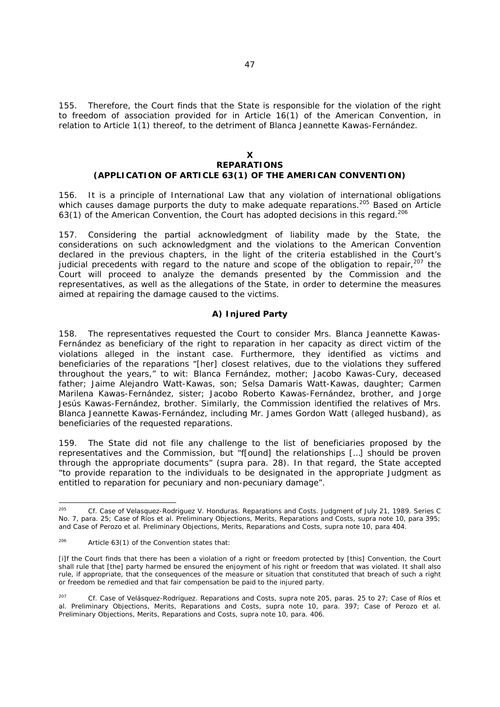155. Therefore, the Court finds that the State is responsible for the violation of the right to freedom of association provided for in Article 16(1) of the American Convention, in relation to Article 1(1) thereof, to the detriment of Blanca Jeannette Kawas-Fernández.

#### **X REPARATIONS (APPLICATION OF ARTICLE 63(1) OF THE AMERICAN CONVENTION)**

156. It is a principle of International Law that any violation of international obligations which causes damage purports the duty to make adequate reparations.<sup>205</sup> Based on Article 63(1) of the American Convention, the Court has adopted decisions in this regard.<sup>206</sup>

157. Considering the partial acknowledgment of liability made by the State, the considerations on such acknowledgment and the violations to the American Convention declared in the previous chapters, in the light of the criteria established in the Court's judicial precedents with regard to the nature and scope of the obligation to repair, $207$  the Court will proceed to analyze the demands presented by the Commission and the representatives, as well as the allegations of the State, in order to determine the measures aimed at repairing the damage caused to the victims.

# *A) Injured Party*

158. The representatives requested the Court to consider Mrs. Blanca Jeannette Kawas-Fernández as beneficiary of the right to reparation in her capacity as direct victim of the violations alleged in the instant case. Furthermore, they identified as victims and beneficiaries of the reparations "[her] closest relatives, due to the violations they suffered throughout the years," to wit: Blanca Fernández, mother; Jacobo Kawas-Cury, deceased father; Jaime Alejandro Watt-Kawas, son; Selsa Damaris Watt-Kawas, daughter; Carmen Marilena Kawas-Fernández, sister; Jacobo Roberto Kawas-Fernández, brother, and Jorge Jesús Kawas-Fernández, brother. Similarly, the Commission identified the relatives of Mrs. Blanca Jeannette Kawas-Fernández, including Mr. James Gordon Watt (alleged husband), as beneficiaries of the requested reparations.

159. The State did not file any challenge to the list of beneficiaries proposed by the representatives and the Commission, but "f[ound] the relationships […] should be proven through the appropriate documents" (*supra* para. 28). In that regard, the State accepted "to provide reparation to the individuals to be designated in the appropriate Judgment as entitled to reparation for pecuniary and non-pecuniary damage".

<sup>205</sup> 205 *Cf. Case of Velasquez-Rodriguez V. Honduras*. *Reparations and Costs.* Judgment of July 21, 1989. Series C No. 7, para. 25; *Case of Ríos et al. Preliminary Objections, Merits, Reparations and Costs, supra* note 10, para 395; and *Case of Perozo et al. Preliminary Objections, Merits, Reparations and Costs, supra* note 10, para 404.

<sup>206</sup> Article 63(1) of the Convention states that:

<sup>[</sup>i]f the Court finds that there has been a violation of a right or freedom protected by [this] Convention, the Court shall rule that [the] party harmed be ensured the enjoyment of his right or freedom that was violated. It shall also rule, if appropriate, that the consequences of the measure or situation that constituted that breach of such a right or freedom be remedied and that fair compensation be paid to the injured party.

<sup>207</sup> *Cf. Case of Velásquez-Rodríguez. Reparations and Costs*, *supra* note 205, paras. 25 to 27; *Case of Ríos et al. Preliminary Objections, Merits, Reparations and Costs, supra* note 10, para. 397; *Case of Perozo et al. Preliminary Objections, Merits, Reparations and Costs, supra* note 10, para. 406.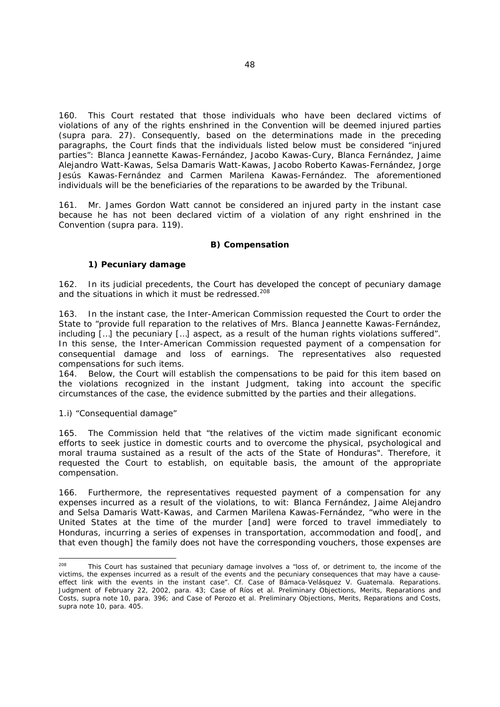160. This Court restated that those individuals who have been declared victims of violations of any of the rights enshrined in the Convention will be deemed injured parties (*supra* para. 27). Consequently, based on the determinations made in the preceding paragraphs, the Court finds that the individuals listed below must be considered "injured parties": Blanca Jeannette Kawas-Fernández, Jacobo Kawas-Cury, Blanca Fernández, Jaime Alejandro Watt-Kawas, Selsa Damaris Watt-Kawas, Jacobo Roberto Kawas-Fernández, Jorge Jesús Kawas-Fernández and Carmen Marilena Kawas-Fernández. The aforementioned individuals will be the beneficiaries of the reparations to be awarded by the Tribunal.

161. Mr. James Gordon Watt cannot be considered an injured party in the instant case because he has not been declared victim of a violation of any right enshrined in the Convention (*supra* para. 119).

# *B) Compensation*

# *1) Pecuniary damage*

162. In its judicial precedents, the Court has developed the concept of pecuniary damage and the situations in which it must be redressed.<sup>208</sup>

163. In the instant case, the Inter-American Commission requested the Court to order the State to "provide full reparation to the relatives of Mrs. Blanca Jeannette Kawas-Fernández, including […] the pecuniary […] aspect, as a result of the human rights violations suffered". In this sense, the Inter-American Commission requested payment of a compensation for consequential damage and loss of earnings. The representatives also requested compensations for such items.

164. Below, the Court will establish the compensations to be paid for this item based on the violations recognized in the instant Judgment, taking into account the specific circumstances of the case, the evidence submitted by the parties and their allegations.

#### *1.i) "Consequential damage"*

165. The Commission held that "the relatives of the victim made significant economic efforts to seek justice in domestic courts and to overcome the physical, psychological and moral trauma sustained as a result of the acts of the State of Honduras". Therefore, it requested the Court to establish, on equitable basis, the amount of the appropriate compensation.

166. Furthermore, the representatives requested payment of a compensation for any expenses incurred as a result of the violations, to wit: Blanca Fernández, Jaime Alejandro and Selsa Damaris Watt-Kawas, and Carmen Marilena Kawas-Fernández, "who were in the United States at the time of the murder [and] were forced to travel immediately to Honduras, incurring a series of expenses in transportation, accommodation and food[, and that even though] the family does not have the corresponding vouchers, those expenses are

<sup>208</sup> This Court has sustained that pecuniary damage involves a "loss of, or detriment to, the income of the victims, the expenses incurred as a result of the events and the pecuniary consequences that may have a causeeffect link with the events in the instant case". *Cf. Case of Bámaca-Velásquez V. Guatemala. Reparations. Judgment of February 22, 2002, para. 43; Case of Ríos et al. Preliminary Objections, Merits, Reparations and Costs, supra* note 10, para. 396; and *Case of Perozo et al. Preliminary Objections, Merits, Reparations and Costs, supra* note 10, para. 405.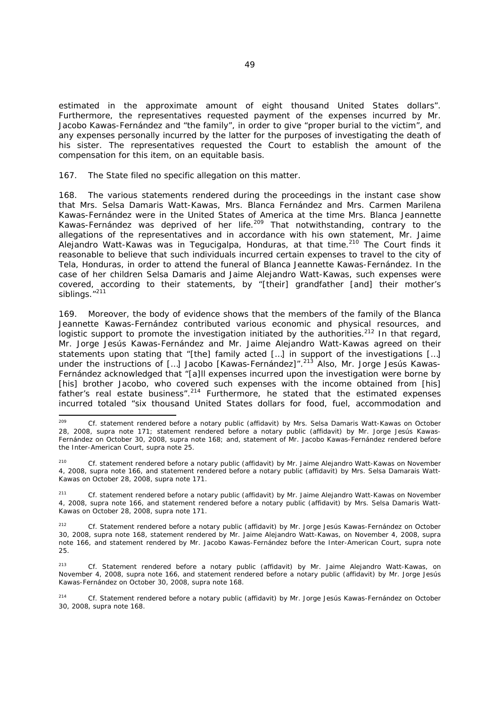estimated in the approximate amount of eight thousand United States dollars". Furthermore, the representatives requested payment of the expenses incurred by Mr. Jacobo Kawas-Fernández and "the family", in order to give "proper burial to the victim", and any expenses personally incurred by the latter for the purposes of investigating the death of his sister. The representatives requested the Court to establish the amount of the compensation for this item, on an equitable basis.

167. The State filed no specific allegation on this matter.

168. The various statements rendered during the proceedings in the instant case show that Mrs. Selsa Damaris Watt-Kawas, Mrs. Blanca Fernández and Mrs. Carmen Marilena Kawas-Fernández were in the United States of America at the time Mrs. Blanca Jeannette Kawas-Fernández was deprived of her life.<sup>209</sup> That notwithstanding, contrary to the allegations of the representatives and in accordance with his own statement, Mr. Jaime Alejandro Watt-Kawas was in Tegucigalpa, Honduras, at that time.<sup>210</sup> The Court finds it reasonable to believe that such individuals incurred certain expenses to travel to the city of Tela, Honduras, in order to attend the funeral of Blanca Jeannette Kawas-Fernández. In the case of her children Selsa Damaris and Jaime Alejandro Watt-Kawas, such expenses were covered, according to their statements, by "[their] grandfather [and] their mother's siblings."<sup>211</sup>

169. Moreover, the body of evidence shows that the members of the family of the Blanca Jeannette Kawas-Fernández contributed various economic and physical resources, and logistic support to promote the investigation initiated by the authorities.<sup>212</sup> In that regard, Mr. Jorge Jesús Kawas-Fernández and Mr. Jaime Alejandro Watt-Kawas agreed on their statements upon stating that "[the] family acted […] in support of the investigations […] under the instructions of [...] Jacobo [Kawas-Fernández]".<sup>213</sup> Also, Mr. Jorge Jesús Kawas-Fernández acknowledged that "[a]ll expenses incurred upon the investigation were borne by [his] brother Jacobo, who covered such expenses with the income obtained from [his] father's real estate business".<sup>214</sup> Furthermore, he stated that the estimated expenses incurred totaled "six thousand United States dollars for food, fuel, accommodation and

 $200$ Cf. statement rendered before a notary public (affidavit) by Mrs. Selsa Damaris Watt-Kawas on October 28, 2008, *supra* note 171; statement rendered before a notary public (affidavit) by Mr. Jorge Jesús Kawas-Fernández on October 30, 2008, *supra* note 168; and, statement of Mr. Jacobo Kawas-Fernández rendered before the Inter-American Court, *supra* note 25.

<sup>210</sup> *Cf.* statement rendered before a notary public (affidavit) by Mr. Jaime Alejandro Watt-Kawas on November 4, 2008, *supra* note 166, and statement rendered before a notary public (affidavit) by Mrs. Selsa Damarais Watt-Kawas on October 28, 2008, *supra* note 171.

<sup>211</sup> *Cf.* statement rendered before a notary public (affidavit) by Mr. Jaime Alejandro Watt-Kawas on November 4, 2008, *supra* note 166, and statement rendered before a notary public (affidavit) by Mrs. Selsa Damaris Watt-Kawas on October 28, 2008, *supra* note 171.

<sup>212</sup> *Cf.* Statement rendered before a notary public (affidavit) by Mr. Jorge Jesús Kawas-Fernández on October 30, 2008, *supra* note 168, statement rendered by Mr. Jaime Alejandro Watt-Kawas, on November 4, 2008, *supra*  note 166, and statement rendered by Mr. Jacobo Kawas-Fernández before the Inter-American Court, *supra* note 25.

Cf. Statement rendered before a notary public (affidavit) by Mr. Jaime Alejandro Watt-Kawas, on November 4, 2008, *supra* note 166, and statement rendered before a notary public (affidavit) by Mr. Jorge Jesús Kawas-Fernández on October 30, 2008, *supra* note 168.

<sup>214</sup> *Cf.* Statement rendered before a notary public (affidavit) by Mr. Jorge Jesús Kawas-Fernández on October 30, 2008, *supra* note 168.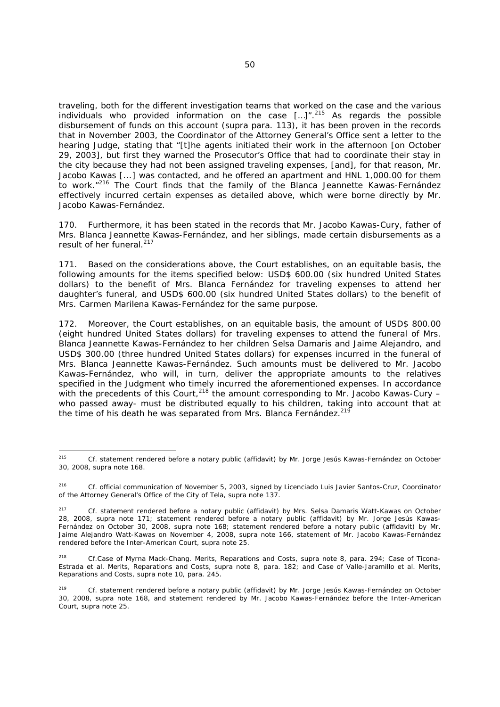traveling, both for the different investigation teams that worked on the case and the various individuals who provided information on the case  $\lceil \cdot \cdot \cdot \rceil^{2^{15}}$  As regards the possible disbursement of funds on this account (*supra* para. 113), it has been proven in the records that in November 2003, the Coordinator of the Attorney General's Office sent a letter to the hearing Judge, stating that "[t]he agents initiated their work in the afternoon [on October 29, 2003], but first they warned the Prosecutor's Office that had to coordinate their stay in the city because they had not been assigned traveling expenses, [and], for that reason, Mr. Jacobo Kawas [...] was contacted, and he offered an apartment and HNL 1,000.00 for them to work."<sup>216</sup> The Court finds that the family of the Blanca Jeannette Kawas-Fernández effectively incurred certain expenses as detailed above, which were borne directly by Mr. Jacobo Kawas-Fernández.

170. Furthermore, it has been stated in the records that Mr. Jacobo Kawas-Cury, father of Mrs. Blanca Jeannette Kawas-Fernández, and her siblings, made certain disbursements as a result of her funeral.<sup>217</sup>

171. Based on the considerations above, the Court establishes, on an equitable basis, the following amounts for the items specified below: USD\$ 600.00 (six hundred United States dollars) to the benefit of Mrs. Blanca Fernández for traveling expenses to attend her daughter's funeral, and USD\$ 600.00 (six hundred United States dollars) to the benefit of Mrs. Carmen Marilena Kawas-Fernández for the same purpose.

172. Moreover, the Court establishes, on an equitable basis, the amount of USD\$ 800.00 (eight hundred United States dollars) for traveling expenses to attend the funeral of Mrs. Blanca Jeannette Kawas-Fernández to her children Selsa Damaris and Jaime Alejandro, and USD\$ 300.00 (three hundred United States dollars) for expenses incurred in the funeral of Mrs. Blanca Jeannette Kawas-Fernández. Such amounts must be delivered to Mr. Jacobo Kawas-Fernández, who will, in turn, deliver the appropriate amounts to the relatives specified in the Judgment who timely incurred the aforementioned expenses. In accordance with the precedents of this Court,  $218$  the amount corresponding to Mr. Jacobo Kawas-Cury – who passed away- must be distributed equally to his children, taking into account that at the time of his death he was separated from Mrs. Blanca Fernández. $21$ 

 $215$ 215 *Cf.* statement rendered before a notary public (affidavit) by Mr. Jorge Jesús Kawas-Fernández on October 30, 2008, *supra* note 168.

<sup>216</sup> *Cf.* official communication of November 5, 2003, signed by *Licenciado* Luis Javier Santos-Cruz, Coordinator of the Attorney General's Office of the City of Tela, *supra* note 137.

<sup>217</sup> *Cf.* statement rendered before a notary public (affidavit) by Mrs. Selsa Damaris Watt-Kawas on October 28, 2008, *supra* note 171; statement rendered before a notary public (affidavit) by Mr. Jorge Jesús Kawas-Fernández on October 30, 2008, *supra* note 168; statement rendered before a notary public (affidavit) by Mr. Jaime Alejandro Watt-Kawas on November 4, 2008, *supra* note 166, statement of Mr. Jacobo Kawas-Fernández rendered before the Inter-American Court, *supra* note 25.

<sup>218</sup> *Cf.Case of Myrna Mack-Chang. Merits, Reparations and Costs*, s*upra* note 8, para. 294; *Case of Ticona-Estrada et al. Merits, Reparations and Costs, supra* note 8*,* para. 182; and *Case of Valle-Jaramillo et al. Merits, Reparations and Costs, supra* note 10*,* para. 245.

<sup>219</sup> *Cf.* statement rendered before a notary public (affidavit) by Mr. Jorge Jesús Kawas-Fernández on October 30, 2008, *supra* note 168, and statement rendered by Mr. Jacobo Kawas-Fernández before the Inter-American Court, *supra* note 25.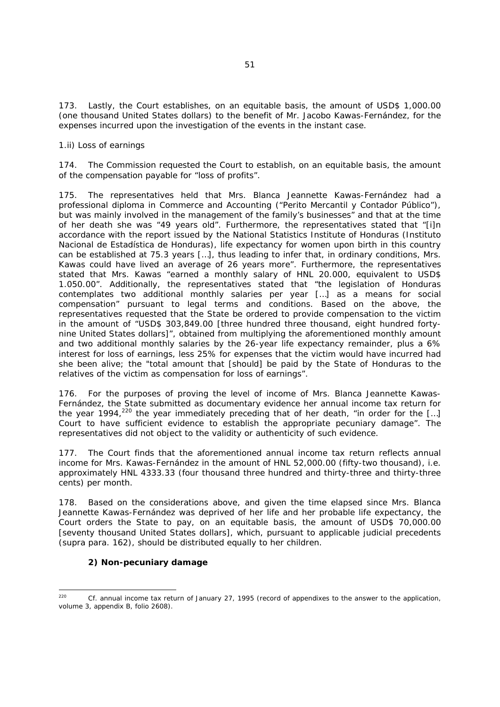173. Lastly, the Court establishes, on an equitable basis, the amount of USD\$ 1,000.00 (one thousand United States dollars) to the benefit of Mr. Jacobo Kawas-Fernández, for the expenses incurred upon the investigation of the events in the instant case.

# *1.ii) Loss of earnings*

174. The Commission requested the Court to establish, on an equitable basis, the amount of the compensation payable for "loss of profits".

175. The representatives held that Mrs. Blanca Jeannette Kawas-Fernández had a professional diploma in Commerce and Accounting (*"Perito Mercantil y Contador Público"*), but was mainly involved in the management of the family's businesses" and that at the time of her death she was "49 years old". Furthermore, the representatives stated that "[i]n accordance with the report issued by the National Statistics Institute of Honduras (*Instituto Nacional de Estadística de Honduras*), life expectancy for women upon birth in this country can be established at 75.3 years […], thus leading to infer that, in ordinary conditions, Mrs. Kawas could have lived an average of 26 years more". Furthermore, the representatives stated that Mrs. Kawas "earned a monthly salary of HNL 20.000, equivalent to USD\$ 1.050.00". Additionally, the representatives stated that "the legislation of Honduras contemplates two additional monthly salaries per year […] as a means for social compensation" pursuant to legal terms and conditions. Based on the above, the representatives requested that the State be ordered to provide compensation to the victim in the amount of "USD\$ 303,849.00 [three hundred three thousand, eight hundred fortynine United States dollars]", obtained from multiplying the aforementioned monthly amount and two additional monthly salaries by the 26-year life expectancy remainder, plus a 6% interest for loss of earnings, less 25% for expenses that the victim would have incurred had she been alive; the "total amount that [should] be paid by the State of Honduras to the relatives of the victim as compensation for loss of earnings".

176. For the purposes of proving the level of income of Mrs. Blanca Jeannette Kawas-Fernández, the State submitted as documentary evidence her annual income tax return for the year 1994,<sup>220</sup> the year immediately preceding that of her death, "in order for the [...] Court to have sufficient evidence to establish the appropriate pecuniary damage". The representatives did not object to the validity or authenticity of such evidence.

177. The Court finds that the aforementioned annual income tax return reflects annual income for Mrs. Kawas-Fernández in the amount of HNL 52,000.00 (fifty-two thousand), i.e. approximately HNL 4333.33 (four thousand three hundred and thirty-three and thirty-three cents) per month.

178. Based on the considerations above, and given the time elapsed since Mrs. Blanca Jeannette Kawas-Fernández was deprived of her life and her probable life expectancy, the Court orders the State to pay, on an equitable basis, the amount of USD\$ 70,000.00 [seventy thousand United States dollars], which, pursuant to applicable judicial precedents (*supra* para. 162), should be distributed equally to her children.

# *2) Non-pecuniary damage*

<sup>220</sup> *Cf.* annual income tax return of January 27, 1995 (record of appendixes to the answer to the application, volume 3, appendix B, folio 2608).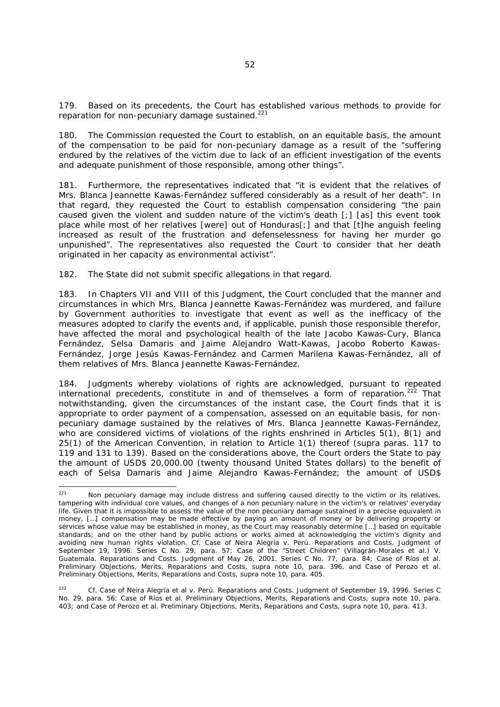179. Based on its precedents, the Court has established various methods to provide for reparation for non-pecuniary damage sustained.<sup>221</sup>

180. The Commission requested the Court to establish, on an equitable basis, the amount of the compensation to be paid for non-pecuniary damage as a result of the "suffering endured by the relatives of the victim due to lack of an efficient investigation of the events and adequate punishment of those responsible, among other things".

181. Furthermore, the representatives indicated that "it is evident that the relatives of Mrs. Blanca Jeannette Kawas-Fernández suffered considerably as a result of her death". In that regard, they requested the Court to establish compensation considering "the pain caused given the violent and sudden nature of the victim's death [;] [as] this event took place while most of her relatives [were] out of Honduras[;] and that [t]he anguish feeling increased as result of the frustration and defenselessness for having her murder go unpunished". The representatives also requested the Court to consider that her death originated in her capacity as environmental activist".

182. The State did not submit specific allegations in that regard.

183. In Chapters VII and VIII of this Judgment, the Court concluded that the manner and circumstances in which Mrs. Blanca Jeannette Kawas-Fernández was murdered, and failure by Government authorities to investigate that event as well as the inefficacy of the measures adopted to clarify the events and, if applicable, punish those responsible therefor, have affected the moral and psychological health of the late Jacobo Kawas-Cury, Blanca Fernández, Selsa Damaris and Jaime Alejandro Watt-Kawas, Jacobo Roberto Kawas-Fernández, Jorge Jesús Kawas-Fernández and Carmen Marilena Kawas-Fernández, all of them relatives of Mrs. Blanca Jeannette Kawas-Fernández.

184. Judgments whereby violations of rights are acknowledged, pursuant to repeated international precedents, constitute in and of themselves a form of reparation.<sup>222</sup> That notwithstanding, given the circumstances of the instant case, the Court finds that it is appropriate to order payment of a compensation, assessed on an equitable basis, for nonpecuniary damage sustained by the relatives of Mrs. Blanca Jeannette Kawas-Fernández, who are considered victims of violations of the rights enshrined in Articles 5(1), 8(1) and 25(1) of the American Convention, in relation to Article 1(1) thereof (*supra* paras. 117 to 119 and 131 to 139). Based on the considerations above, the Court orders the State to pay the amount of USD\$ 20,000.00 (twenty thousand United States dollars) to the benefit of each of Selsa Damaris and Jaime Alejandro Kawas-Fernández; the amount of USD\$

<sup>221</sup> Non pecuniary damage may include distress and suffering caused directly to the victim or its relatives, tampering with individual core values, and changes of a non pecuniary nature in the victim's or relatives' everyday life. Given that it is impossible to assess the value of the non pecuniary damage sustained in a precise equivalent in money, […] compensation may be made effective by paying an amount of money or by delivering property or services whose value may be established in money, as the Court may reasonably determine […] based on equitable standards; and on the other hand by public actions or works aimed at acknowledging the victim's dignity and avoiding new human rights violation. *Cf. Case of Neira Alegría v. Perú. Reparations and Costs*. Judgment of September 19, 1996. Series C No. 29, para. 57; *Case of the "Street Children" (Villagrán-Morales et al.) V. Guatemala. Reparations and Costs.* Judgment of May 26, 2001. Series C No. 77, para. 84; *Case of Ríos et al. Preliminary Objections, Merits, Reparations and Costs, supra* note 10, para. 396, and *Case of Perozo et al. Preliminary Objections, Merits, Reparations and Costs, supra* note 10, para. 405.

<sup>222</sup> *Cf. Case of Neira Alegría et al v. Perú. Reparations and Costs*. Judgment of September 19, 1996. Series C No. 29, para. 56; *Case of Ríos et al. Preliminary Objections, Merits, Reparations and Costs, supra* note 10, para. 403; and *Case of Perozo et al. Preliminary Objections, Merits, Reparations and Costs, supra* note 10, para. 413.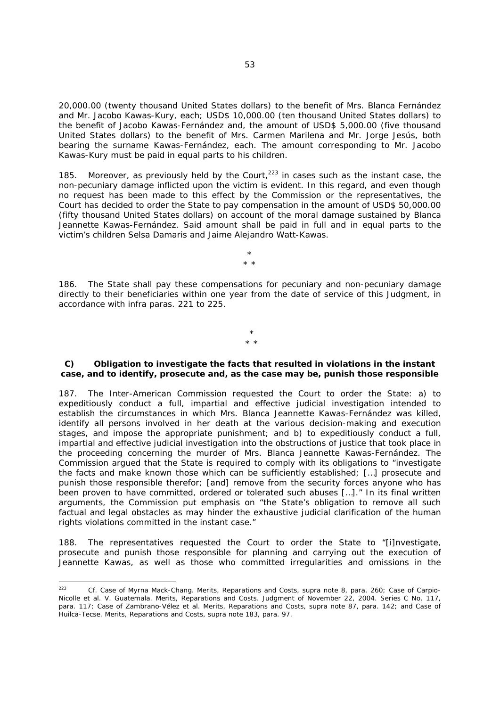20,000.00 (twenty thousand United States dollars) to the benefit of Mrs. Blanca Fernández and Mr. Jacobo Kawas-Kury, each; USD\$ 10,000.00 (ten thousand United States dollars) to the benefit of Jacobo Kawas-Fernández and, the amount of USD\$ 5,000.00 (five thousand United States dollars) to the benefit of Mrs. Carmen Marilena and Mr. Jorge Jesús, both bearing the surname Kawas-Fernández, each. The amount corresponding to Mr. Jacobo Kawas-Kury must be paid in equal parts to his children.

185. Moreover, as previously held by the Court, $223$  in cases such as the instant case, the non-pecuniary damage inflicted upon the victim is evident. In this regard, and even though no request has been made to this effect by the Commission or the representatives, the Court has decided to order the State to pay compensation in the amount of USD\$ 50,000.00 (fifty thousand United States dollars) on account of the moral damage sustained by Blanca Jeannette Kawas-Fernández. Said amount shall be paid in full and in equal parts to the victim's children Selsa Damaris and Jaime Alejandro Watt-Kawas.

186. The State shall pay these compensations for pecuniary and non-pecuniary damage directly to their beneficiaries within one year from the date of service of this Judgment, in accordance with *infra* paras. 221 to 225.

\* \* \*

## *C) Obligation to investigate the facts that resulted in violations in the instant case, and to identify, prosecute and, as the case may be, punish those responsible*

\* \* \*

187. The Inter-American Commission requested the Court to order the State: a) to expeditiously conduct a full, impartial and effective judicial investigation intended to establish the circumstances in which Mrs. Blanca Jeannette Kawas-Fernández was killed, identify all persons involved in her death at the various decision-making and execution stages, and impose the appropriate punishment; and b) to expeditiously conduct a full, impartial and effective judicial investigation into the obstructions of justice that took place in the proceeding concerning the murder of Mrs. Blanca Jeannette Kawas-Fernández. The Commission argued that the State is required to comply with its obligations to "investigate the facts and make known those which can be sufficiently established; […] prosecute and punish those responsible therefor; [and] remove from the security forces anyone who has been proven to have committed, ordered or tolerated such abuses […]." In its final written arguments, the Commission put emphasis on "the State's obligation to remove all such factual and legal obstacles as may hinder the exhaustive judicial clarification of the human rights violations committed in the instant case."

188. The representatives requested the Court to order the State to "[i]nvestigate, prosecute and punish those responsible for planning and carrying out the execution of Jeannette Kawas, as well as those who committed irregularities and omissions in the

 $223$ 223 *Cf. Case of Myrna Mack-Chang. Merits, Reparations and Costs*, s*upra* note 8, para. 260; Case of *Carpio-Nicolle et al. V. Guatemala. Merits, Reparations and Costs*. Judgment of November 22, 2004. Series C No. 117, para. 117; *Case of Zambrano*-*Vélez et al. Merits, Reparations and Costs, supra* note 87, para. 142; and *Case of Huilca-Tecse. Merits, Reparations and Costs*, *supra* note 183, para. 97.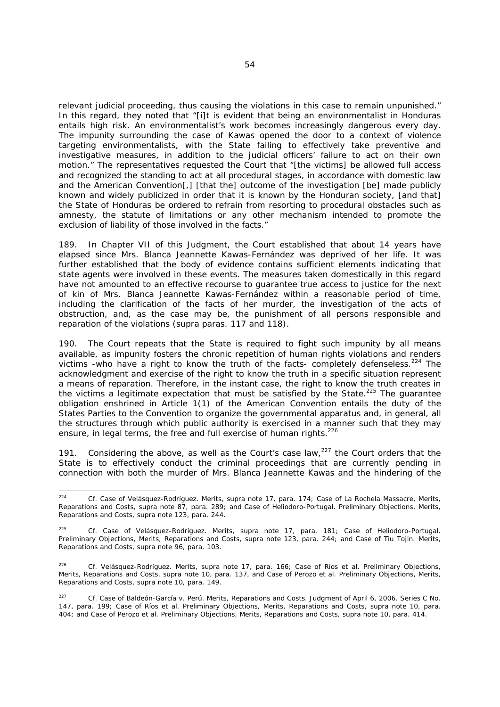relevant judicial proceeding, thus causing the violations in this case to remain unpunished." In this regard, they noted that "[i]t is evident that being an environmentalist in Honduras entails high risk. An environmentalist's work becomes increasingly dangerous every day. The impunity surrounding the case of Kawas opened the door to a context of violence targeting environmentalists, with the State failing to effectively take preventive and investigative measures, in addition to the judicial officers' failure to act on their own motion." The representatives requested the Court that "[the victims] be allowed full access and recognized the standing to act at all procedural stages, in accordance with domestic law and the American Convention[,] [that the] outcome of the investigation [be] made publicly known and widely publicized in order that it is known by the Honduran society, [and that] the State of Honduras be ordered to refrain from resorting to procedural obstacles such as amnesty, the statute of limitations or any other mechanism intended to promote the exclusion of liability of those involved in the facts."

189. In Chapter VII of this Judgment, the Court established that about 14 years have elapsed since Mrs. Blanca Jeannette Kawas-Fernández was deprived of her life. It was further established that the body of evidence contains sufficient elements indicating that state agents were involved in these events. The measures taken domestically in this regard have not amounted to an effective recourse to guarantee true access to justice for the next of kin of Mrs. Blanca Jeannette Kawas-Fernández within a reasonable period of time, including the clarification of the facts of her murder, the investigation of the acts of obstruction, and, as the case may be, the punishment of all persons responsible and reparation of the violations (*supra* paras. 117 and 118).

190. The Court repeats that the State is required to fight such impunity by all means available, as impunity fosters the chronic repetition of human rights violations and renders victims -who have a right to know the truth of the facts- completely defenseless.<sup>224</sup> The acknowledgment and exercise of the right to know the truth in a specific situation represent a means of reparation. Therefore, in the instant case, the right to know the truth creates in the victims a legitimate expectation that must be satisfied by the State.<sup>225</sup> The guarantee obligation enshrined in Article 1(1) of the American Convention entails the duty of the States Parties to the Convention to organize the governmental apparatus and, in general, all the structures through which public authority is exercised in a manner such that they may ensure, in legal terms, the free and full exercise of human rights.<sup>226</sup>

191. Considering the above, as well as the Court's case law, $^{227}$  the Court orders that the State is to effectively conduct the criminal proceedings that are currently pending in connection with both the murder of Mrs. Blanca Jeannette Kawas and the hindering of the

 $224$ 224 *Cf. Case of Velásquez-Rodríguez. Merits, supra* note 17, para. 174; *Case of La Rochela Massacre, Merits, Reparations and Costs, supra* note 87, para. 289; and *Case of Heliodoro-Portugal. Preliminary Objections, Merits, Reparations and Costs, supra* note 123, para. 244.

<sup>225</sup> *Cf. Case of Velásquez-Rodríguez. Merits, supra* note 17, para. 181; *Case of Heliodoro-Portugal. Preliminary Objections, Merits, Reparations and Costs, supra* note 123, para. 244; and *Case of Tiu Tojin. Merits, Reparations and Costs, supra* note 96, para. 103.

<sup>226</sup> *Cf. Velásquez-Rodríguez. Merits, supra* note 17*,* para. 166; *Case of Ríos et al. Preliminary Objections, Merits, Reparations and Costs, supra* note 10, para. 137, and *Case of Perozo et al. Preliminary Objections, Merits, Reparations and Costs, supra* note 10, para. 149.

<sup>227</sup> *Cf. Case of Baldeón-García v. Perú. Merits, Reparations and Costs.* Judgment of April 6, 2006. Series C No. 147, para. 199; *Case of Ríos et al. Preliminary Objections, Merits, Reparations and Costs, supra* note 10, para. 404; and *Case of Perozo et al. Preliminary Objections, Merits, Reparations and Costs, supra* note 10, para. 414.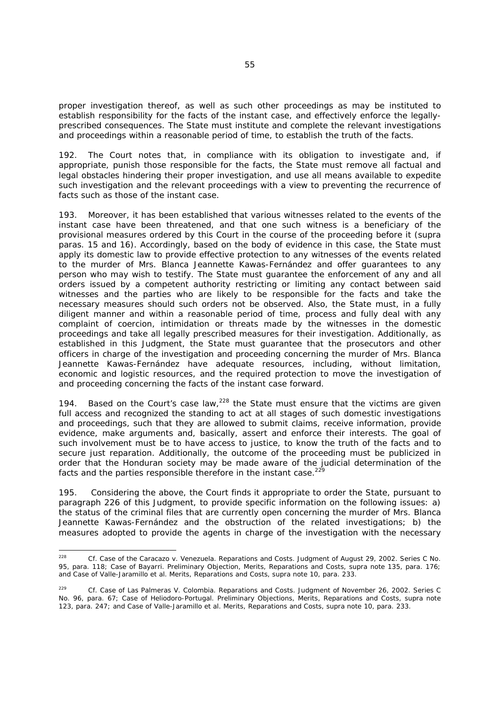proper investigation thereof, as well as such other proceedings as may be instituted to establish responsibility for the facts of the instant case, and effectively enforce the legallyprescribed consequences. The State must institute and complete the relevant investigations and proceedings within a reasonable period of time, to establish the truth of the facts.

192. The Court notes that, in compliance with its obligation to investigate and, if appropriate, punish those responsible for the facts, the State must remove all factual and legal obstacles hindering their proper investigation, and use all means available to expedite such investigation and the relevant proceedings with a view to preventing the recurrence of facts such as those of the instant case.

193. Moreover, it has been established that various witnesses related to the events of the instant case have been threatened, and that one such witness is a beneficiary of the provisional measures ordered by this Court in the course of the proceeding before it (*supra* paras. 15 and 16). Accordingly, based on the body of evidence in this case, the State must apply its domestic law to provide effective protection to any witnesses of the events related to the murder of Mrs. Blanca Jeannette Kawas-Fernández and offer guarantees to any person who may wish to testify. The State must guarantee the enforcement of any and all orders issued by a competent authority restricting or limiting any contact between said witnesses and the parties who are likely to be responsible for the facts and take the necessary measures should such orders not be observed. Also, the State must, in a fully diligent manner and within a reasonable period of time, process and fully deal with any complaint of coercion, intimidation or threats made by the witnesses in the domestic proceedings and take all legally prescribed measures for their investigation. Additionally, as established in this Judgment, the State must guarantee that the prosecutors and other officers in charge of the investigation and proceeding concerning the murder of Mrs. Blanca Jeannette Kawas-Fernández have adequate resources, including, without limitation, economic and logistic resources, and the required protection to move the investigation of and proceeding concerning the facts of the instant case forward.

194. Based on the Court's case law,  $228$  the State must ensure that the victims are given full access and recognized the standing to act at all stages of such domestic investigations and proceedings, such that they are allowed to submit claims, receive information, provide evidence, make arguments and, basically, assert and enforce their interests. The goal of such involvement must be to have access to justice, to know the truth of the facts and to secure just reparation. Additionally, the outcome of the proceeding must be publicized in order that the Honduran society may be made aware of the judicial determination of the facts and the parties responsible therefore in the instant case.<sup>229</sup>

195. Considering the above, the Court finds it appropriate to order the State, pursuant to paragraph 226 of this Judgment, to provide specific information on the following issues: a) the status of the criminal files that are currently open concerning the murder of Mrs. Blanca Jeannette Kawas-Fernández and the obstruction of the related investigations; b) the measures adopted to provide the agents in charge of the investigation with the necessary

<sup>228</sup> 228 *Cf. Case of the Caracazo v. Venezuela*. *Reparations and Costs.* Judgment of August 29, 2002. Series C No. 95, para. 118; *Case of Bayarri. Preliminary Objection, Merits, Reparations and Costs, supra* note 135, para. 176; and *Case of Valle-Jaramillo et al. Merits, Reparations and Costs*, *supra* note 10, para. 233.

<sup>229</sup> *Cf. Case of Las Palmeras V. Colombia. Reparations and Costs*. Judgment of November 26, 2002. Series C No. 96, para. 67; *Case of Heliodoro-Portugal. Preliminary Objections, Merits, Reparations and Costs, supra* note 123, para. 247; and *Case of Valle-Jaramillo et al. Merits, Reparations and Costs, supra* note 10, para. 233.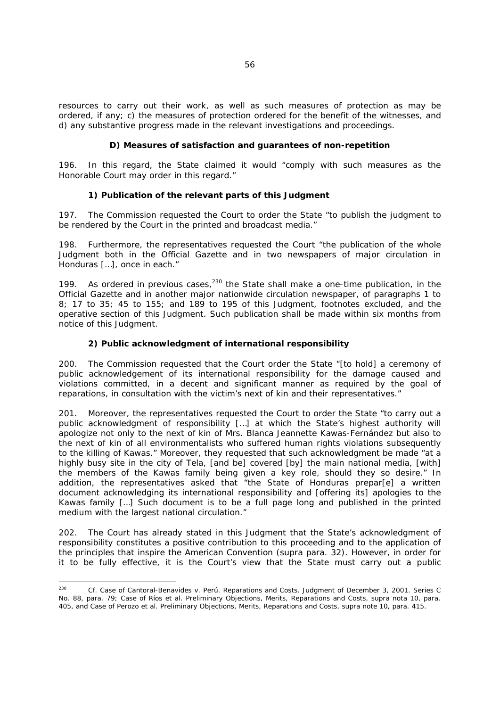resources to carry out their work, as well as such measures of protection as may be ordered, if any; c) the measures of protection ordered for the benefit of the witnesses, and d) any substantive progress made in the relevant investigations and proceedings.

# *D) Measures of satisfaction and guarantees of non-repetition*

196. In this regard, the State claimed it would "comply with such measures as the Honorable Court may order in this regard."

# *1) Publication of the relevant parts of this Judgment*

197. The Commission requested the Court to order the State "to publish the judgment to be rendered by the Court in the printed and broadcast media."

198. Furthermore, the representatives requested the Court "the publication of the whole Judgment both in the Official Gazette and in two newspapers of major circulation in Honduras […], once in each."

199. As ordered in previous cases,  $230$  the State shall make a one-time publication, in the Official Gazette and in another major nationwide circulation newspaper, of paragraphs 1 to 8; 17 to 35; 45 to 155; and 189 to 195 of this Judgment, footnotes excluded, and the operative section of this Judgment. Such publication shall be made within six months from notice of this Judgment.

# *2) Public acknowledgment of international responsibility*

200. The Commission requested that the Court order the State "[to hold] a ceremony of public acknowledgement of its international responsibility for the damage caused and violations committed, in a decent and significant manner as required by the goal of reparations, in consultation with the victim's next of kin and their representatives."

201. Moreover, the representatives requested the Court to order the State "to carry out a public acknowledgment of responsibility […] at which the State's highest authority will apologize not only to the next of kin of Mrs. Blanca Jeannette Kawas-Fernández but also to the next of kin of all environmentalists who suffered human rights violations subsequently to the killing of Kawas." Moreover, they requested that such acknowledgment be made "at a highly busy site in the city of Tela, [and be] covered [by] the main national media, [with] the members of the Kawas family being given a key role, should they so desire." In addition, the representatives asked that "the State of Honduras prepar[e] a written document acknowledging its international responsibility and [offering its] apologies to the Kawas family […] Such document is to be a full page long and published in the printed medium with the largest national circulation."

202. The Court has already stated in this Judgment that the State's acknowledgment of responsibility constitutes a positive contribution to this proceeding and to the application of the principles that inspire the American Convention (*supra* para. 32). However, in order for it to be fully effective, it is the Court's view that the State must carry out a public

 $230$ 230 *Cf. Case of Cantoral-Benavides v. Perú. Reparations and Costs.* Judgment of December 3, 2001. Series C No. 88, para. 79; *Case of Ríos et al. Preliminary Objections, Merits, Reparations and Costs, supra* nota 10, para. 405, and *Case of Perozo et al. Preliminary Objections, Merits, Reparations and Costs, supra* note 10, para. 415.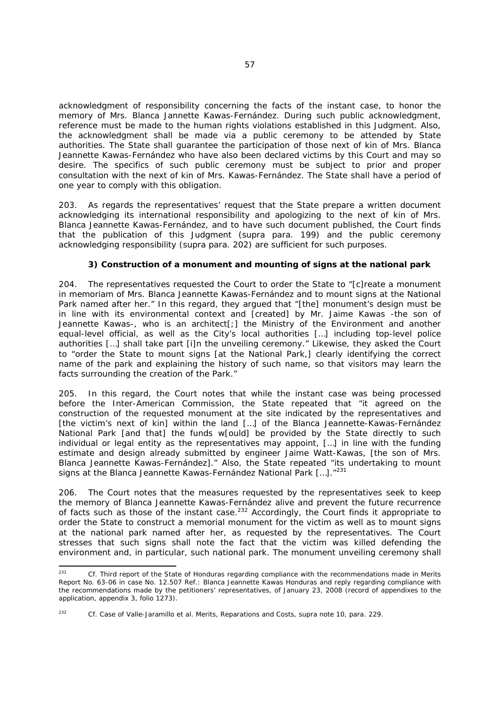acknowledgment of responsibility concerning the facts of the instant case, to honor the memory of Mrs. Blanca Jannette Kawas-Fernández. During such public acknowledgment, reference must be made to the human rights violations established in this Judgment. Also, the acknowledgment shall be made via a public ceremony to be attended by State authorities. The State shall guarantee the participation of those next of kin of Mrs. Blanca Jeannette Kawas-Fernández who have also been declared victims by this Court and may so desire. The specifics of such public ceremony must be subject to prior and proper consultation with the next of kin of Mrs. Kawas-Fernández. The State shall have a period of one year to comply with this obligation.

203. As regards the representatives' request that the State prepare a written document acknowledging its international responsibility and apologizing to the next of kin of Mrs. Blanca Jeannette Kawas-Fernández, and to have such document published, the Court finds that the publication of this Judgment (*supra* para. 199) and the public ceremony acknowledging responsibility (*supra* para. 202) are sufficient for such purposes.

# *3) Construction of a monument and mounting of signs at the national park*

204. The representatives requested the Court to order the State to "[c]reate a monument in memoriam of Mrs. Blanca Jeannette Kawas-Fernández and to mount signs at the National Park named after her." In this regard, they argued that "[the] monument's design must be in line with its environmental context and [created] by Mr. Jaime Kawas -the son of Jeannette Kawas-, who is an architect[;] the Ministry of the Environment and another equal-level official, as well as the City's local authorities […] including top-level police authorities […] shall take part [i]n the unveiling ceremony." Likewise, they asked the Court to "order the State to mount signs [at the National Park,] clearly identifying the correct name of the park and explaining the history of such name, so that visitors may learn the facts surrounding the creation of the Park."

205. In this regard, the Court notes that while the instant case was being processed before the Inter-American Commission, the State repeated that "it agreed on the construction of the requested monument at the site indicated by the representatives and [the victim's next of kin] within the land […] of the Blanca Jeannette-Kawas-Fernández National Park [and that] the funds w[ould] be provided by the State directly to such individual or legal entity as the representatives may appoint, […] in line with the funding estimate and design already submitted by engineer Jaime Watt-Kawas, [the son of Mrs. Blanca Jeannette Kawas-Fernández]." Also, the State repeated "its undertaking to mount signs at the Blanca Jeannette Kawas-Fernández National Park [...]."<sup>231</sup>

206. The Court notes that the measures requested by the representatives seek to keep the memory of Blanca Jeannette Kawas-Fernández alive and prevent the future recurrence of facts such as those of the instant case.<sup>232</sup> Accordingly, the Court finds it appropriate to order the State to construct a memorial monument for the victim as well as to mount signs at the national park named after her, as requested by the representatives. The Court stresses that such signs shall note the fact that the victim was killed defending the environment and, in particular, such national park. The monument unveiling ceremony shall

 $231$ 231 *Cf.* Third report of the State of Honduras regarding compliance with the recommendations made in Merits Report No. 63-06 in case No. 12.507 Ref.: Blanca Jeannette Kawas Honduras and reply regarding compliance with the recommendations made by the petitioners' representatives, of January 23, 2008 (record of appendixes to the application, appendix 3, folio 1273).

<sup>&</sup>lt;sup>232</sup> *Cf. Case of Valle-Jaramillo et al. Merits, Reparations and Costs, supra* note 10, para. 229.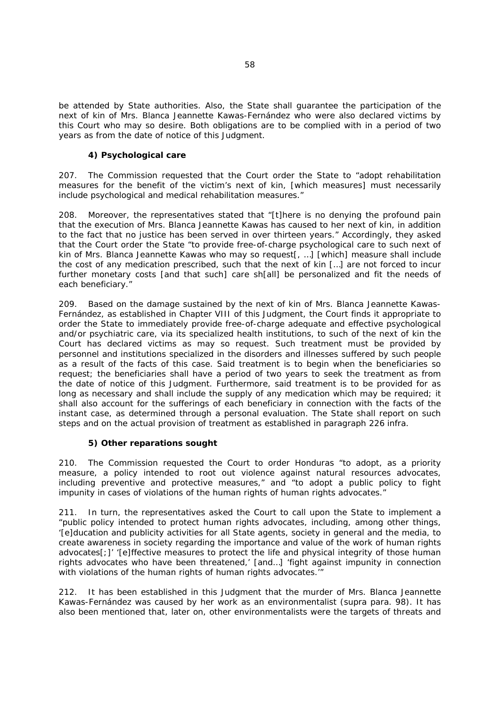be attended by State authorities. Also, the State shall guarantee the participation of the next of kin of Mrs. Blanca Jeannette Kawas-Fernández who were also declared victims by this Court who may so desire. Both obligations are to be complied with in a period of two years as from the date of notice of this Judgment.

# *4) Psychological care*

207. The Commission requested that the Court order the State to "adopt rehabilitation measures for the benefit of the victim's next of kin, [which measures] must necessarily include psychological and medical rehabilitation measures."

208. Moreover, the representatives stated that "[t]here is no denying the profound pain that the execution of Mrs. Blanca Jeannette Kawas has caused to her next of kin, in addition to the fact that no justice has been served in over thirteen years." Accordingly, they asked that the Court order the State "to provide free-of-charge psychological care to such next of kin of Mrs. Blanca Jeannette Kawas who may so request[, …] [which] measure shall include the cost of any medication prescribed, such that the next of kin […] are not forced to incur further monetary costs [and that such] care sh[all] be personalized and fit the needs of each beneficiary."

209. Based on the damage sustained by the next of kin of Mrs. Blanca Jeannette Kawas-Fernández, as established in Chapter VIII of this Judgment, the Court finds it appropriate to order the State to immediately provide free-of-charge adequate and effective psychological and/or psychiatric care, via its specialized health institutions, to such of the next of kin the Court has declared victims as may so request. Such treatment must be provided by personnel and institutions specialized in the disorders and illnesses suffered by such people as a result of the facts of this case. Said treatment is to begin when the beneficiaries so request; the beneficiaries shall have a period of two years to seek the treatment as from the date of notice of this Judgment. Furthermore, said treatment is to be provided for as long as necessary and shall include the supply of any medication which may be required; it shall also account for the sufferings of each beneficiary in connection with the facts of the instant case, as determined through a personal evaluation. The State shall report on such steps and on the actual provision of treatment as established in paragraph 226 *infra*.

# *5) Other reparations sought*

210. The Commission requested the Court to order Honduras "to adopt, as a priority measure, a policy intended to root out violence against natural resources advocates, including preventive and protective measures," and "to adopt a public policy to fight impunity in cases of violations of the human rights of human rights advocates."

211. In turn, the representatives asked the Court to call upon the State to implement a "public policy intended to protect human rights advocates, including, among other things, '[e]ducation and publicity activities for all State agents, society in general and the media, to create awareness in society regarding the importance and value of the work of human rights advocates[;]' '[e]ffective measures to protect the life and physical integrity of those human rights advocates who have been threatened,' [and…] 'fight against impunity in connection with violations of the human rights of human rights advocates."

212. It has been established in this Judgment that the murder of Mrs. Blanca Jeannette Kawas-Fernández was caused by her work as an environmentalist (*supra* para. 98). It has also been mentioned that, later on, other environmentalists were the targets of threats and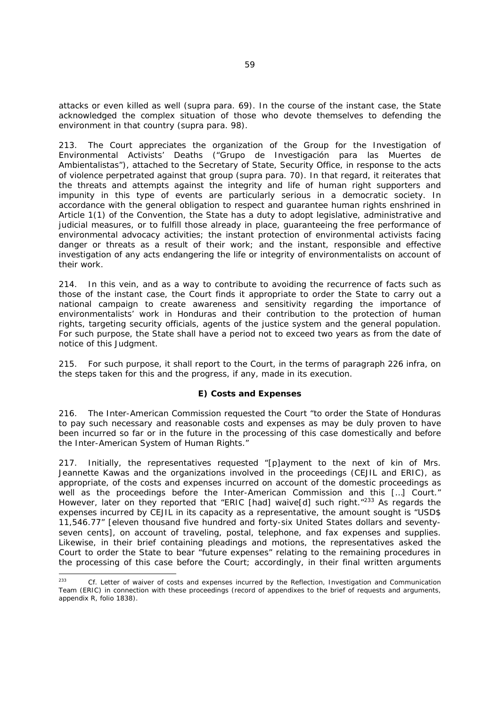attacks or even killed as well (*supra* para. 69). In the course of the instant case, the State acknowledged the complex situation of those who devote themselves to defending the environment in that country (*supra* para. 98).

213. The Court appreciates the organization of the Group for the Investigation of Environmental Activists' Deaths *("Grupo de Investigación para las Muertes de Ambientalistas"),* attached to the Secretary of State, Security Office, in response to the acts of violence perpetrated against that group (*supra* para. 70). In that regard, it reiterates that the threats and attempts against the integrity and life of human right supporters and impunity in this type of events are particularly serious in a democratic society. In accordance with the general obligation to respect and guarantee human rights enshrined in Article 1(1) of the Convention, the State has a duty to adopt legislative, administrative and judicial measures, or to fulfill those already in place, guaranteeing the free performance of environmental advocacy activities; the instant protection of environmental activists facing danger or threats as a result of their work; and the instant, responsible and effective investigation of any acts endangering the life or integrity of environmentalists on account of their work.

214. In this vein, and as a way to contribute to avoiding the recurrence of facts such as those of the instant case, the Court finds it appropriate to order the State to carry out a national campaign to create awareness and sensitivity regarding the importance of environmentalists' work in Honduras and their contribution to the protection of human rights, targeting security officials, agents of the justice system and the general population. For such purpose, the State shall have a period not to exceed two years as from the date of notice of this Judgment.

215. For such purpose, it shall report to the Court, in the terms of paragraph 226 *infra*, on the steps taken for this and the progress, if any, made in its execution.

# *E) Costs and Expenses*

216. The Inter-American Commission requested the Court "to order the State of Honduras to pay such necessary and reasonable costs and expenses as may be duly proven to have been incurred so far or in the future in the processing of this case domestically and before the Inter-American System of Human Rights."

217. Initially, the representatives requested "[p]ayment to the next of kin of Mrs. Jeannette Kawas and the organizations involved in the proceedings (CEJIL and ERIC), as appropriate, of the costs and expenses incurred on account of the domestic proceedings as well as the proceedings before the Inter-American Commission and this [...] Court." However, later on they reported that "ERIC [had] waive[d] such right."<sup>233</sup> As regards the expenses incurred by CEJIL in its capacity as a representative, the amount sought is "USD\$ 11,546.77" [eleven thousand five hundred and forty-six United States dollars and seventyseven cents], on account of traveling, postal, telephone, and fax expenses and supplies. Likewise, in their brief containing pleadings and motions, the representatives asked the Court to order the State to bear "future expenses" relating to the remaining procedures in the processing of this case before the Court; accordingly, in their final written arguments

-

Cf. Letter of waiver of costs and expenses incurred by the Reflection, Investigation and Communication Team (ERIC) in connection with these proceedings (record of appendixes to the brief of requests and arguments, appendix R, folio 1838).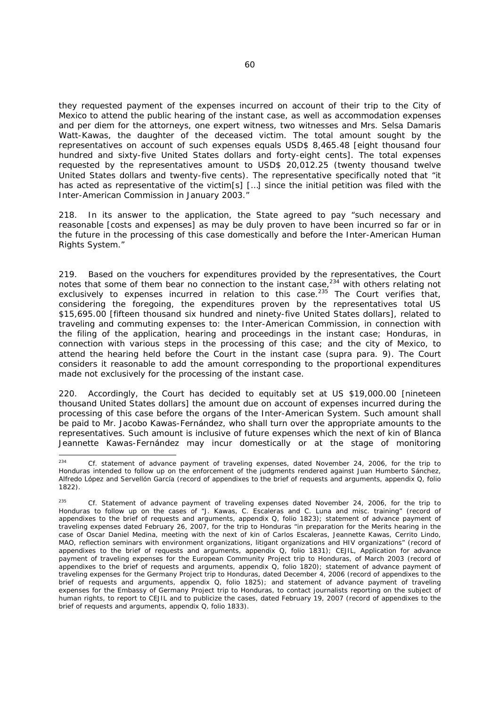they requested payment of the expenses incurred on account of their trip to the City of Mexico to attend the public hearing of the instant case, as well as accommodation expenses and per diem for the attorneys, one expert witness, two witnesses and Mrs. Selsa Damaris Watt-Kawas, the daughter of the deceased victim. The total amount sought by the representatives on account of such expenses equals USD\$ 8,465.48 [eight thousand four hundred and sixty-five United States dollars and forty-eight cents]. The total expenses requested by the representatives amount to USD\$ 20,012.25 (twenty thousand twelve United States dollars and twenty-five cents). The representative specifically noted that "it has acted as representative of the victim[s] [...] since the initial petition was filed with the Inter-American Commission in January 2003."

218. In its answer to the application, the State agreed to pay "such necessary and reasonable [costs and expenses] as may be duly proven to have been incurred so far or in the future in the processing of this case domestically and before the Inter-American Human Rights System."

219. Based on the vouchers for expenditures provided by the representatives, the Court notes that some of them bear no connection to the instant case,  $234$  with others relating not exclusively to expenses incurred in relation to this case.<sup>235</sup> The Court verifies that, considering the foregoing, the expenditures proven by the representatives total US \$15,695.00 [fifteen thousand six hundred and ninety-five United States dollars], related to traveling and commuting expenses to: the Inter-American Commission, in connection with the filing of the application, hearing and proceedings in the instant case; Honduras, in connection with various steps in the processing of this case; and the city of Mexico, to attend the hearing held before the Court in the instant case (*supra* para. 9). The Court considers it reasonable to add the amount corresponding to the proportional expenditures made not exclusively for the processing of the instant case.

220. Accordingly, the Court has decided to equitably set at US \$19,000.00 [nineteen thousand United States dollars] the amount due on account of expenses incurred during the processing of this case before the organs of the Inter-American System. Such amount shall be paid to Mr. Jacobo Kawas-Fernández, who shall turn over the appropriate amounts to the representatives. Such amount is inclusive of future expenses which the next of kin of Blanca Jeannette Kawas-Fernández may incur domestically or at the stage of monitoring

 $234$ Cf. statement of advance payment of traveling expenses, dated November 24, 2006, for the trip to Honduras intended to follow up on the enforcement of the judgments rendered against Juan Humberto Sánchez, Alfredo López and Servellón García (record of appendixes to the brief of requests and arguments, appendix Q, folio 1822).

<sup>235</sup> *Cf*. Statement of advance payment of traveling expenses dated November 24, 2006, for the trip to Honduras to follow up on the cases of "J. Kawas, C. Escaleras and C. Luna and misc. training" (record of appendixes to the brief of requests and arguments, appendix Q, folio 1823); statement of advance payment of traveling expenses dated February 26, 2007, for the trip to Honduras "in preparation for the Merits hearing in the case of Oscar Daniel Medina, meeting with the next of kin of Carlos Escaleras, Jeannette Kawas, Cerrito Lindo, MAO, reflection seminars with environment organizations, litigant organizations and HIV organizations" (record of appendixes to the brief of requests and arguments, appendix Q, folio 1831); CEJIL, Application for advance payment of traveling expenses for the European Community Project trip to Honduras, of March 2003 (record of appendixes to the brief of requests and arguments, appendix Q, folio 1820); statement of advance payment of traveling expenses for the Germany Project trip to Honduras, dated December 4, 2006 (record of appendixes to the brief of requests and arguments, appendix Q, folio 1825); and statement of advance payment of traveling expenses for the Embassy of Germany Project trip to Honduras, to contact journalists reporting on the subject of human rights, to report to CEJIL and to publicize the cases, dated February 19, 2007 (record of appendixes to the brief of requests and arguments, appendix Q, folio 1833).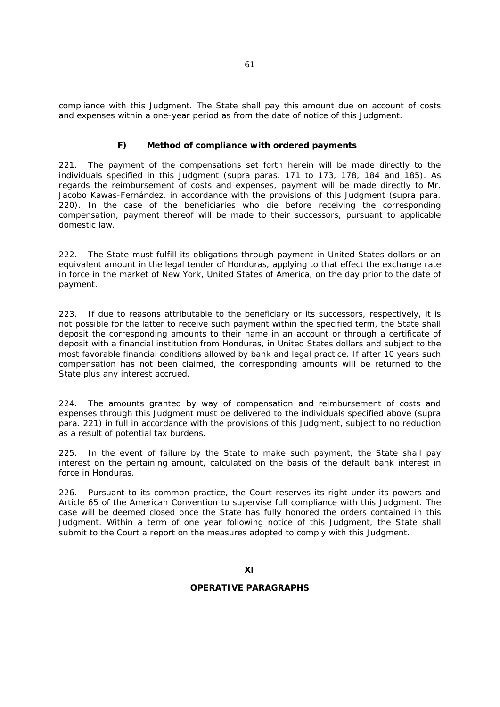compliance with this Judgment. The State shall pay this amount due on account of costs and expenses within a one-year period as from the date of notice of this Judgment.

# *F) Method of compliance with ordered payments*

221. The payment of the compensations set forth herein will be made directly to the individuals specified in this Judgment (*supra* paras. 171 to 173, 178, 184 and 185). As regards the reimbursement of costs and expenses, payment will be made directly to Mr. Jacobo Kawas-Fernández, in accordance with the provisions of this Judgment (*supra* para. 220). In the case of the beneficiaries who die before receiving the corresponding compensation, payment thereof will be made to their successors, pursuant to applicable domestic law.

222. The State must fulfill its obligations through payment in United States dollars or an equivalent amount in the legal tender of Honduras, applying to that effect the exchange rate in force in the market of New York, United States of America, on the day prior to the date of payment.

223. If due to reasons attributable to the beneficiary or its successors, respectively, it is not possible for the latter to receive such payment within the specified term, the State shall deposit the corresponding amounts to their name in an account or through a certificate of deposit with a financial institution from Honduras, in United States dollars and subject to the most favorable financial conditions allowed by bank and legal practice. If after 10 years such compensation has not been claimed, the corresponding amounts will be returned to the State plus any interest accrued.

224. The amounts granted by way of compensation and reimbursement of costs and expenses through this Judgment must be delivered to the individuals specified above (*supra* para. 221) in full in accordance with the provisions of this Judgment, subject to no reduction as a result of potential tax burdens.

225. In the event of failure by the State to make such payment, the State shall pay interest on the pertaining amount, calculated on the basis of the default bank interest in force in Honduras.

226. Pursuant to its common practice, the Court reserves its right under its powers and Article 65 of the American Convention to supervise full compliance with this Judgment. The case will be deemed closed once the State has fully honored the orders contained in this Judgment. Within a term of one year following notice of this Judgment, the State shall submit to the Court a report on the measures adopted to comply with this Judgment.

#### **OPERATIVE PARAGRAPHS**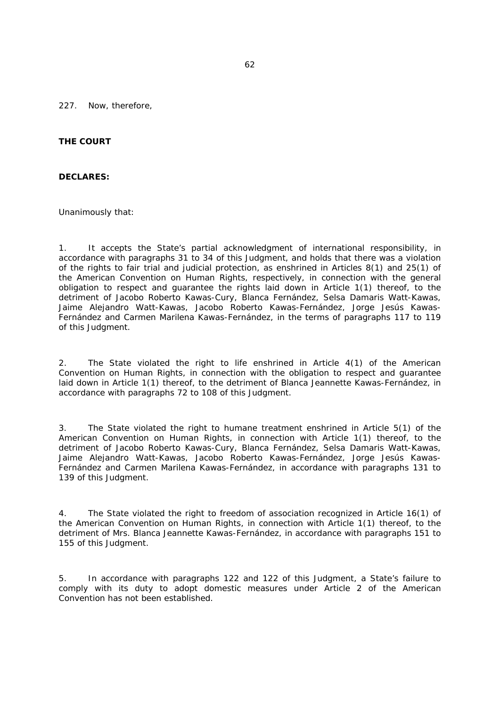227. Now, therefore,

## **THE COURT**

#### **DECLARES:**

Unanimously that:

1. It accepts the State's partial acknowledgment of international responsibility, in accordance with paragraphs 31 to 34 of this Judgment, and holds that there was a violation of the rights to fair trial and judicial protection, as enshrined in Articles 8(1) and 25(1) of the American Convention on Human Rights, respectively, in connection with the general obligation to respect and guarantee the rights laid down in Article 1(1) thereof, to the detriment of Jacobo Roberto Kawas-Cury, Blanca Fernández, Selsa Damaris Watt-Kawas, Jaime Alejandro Watt-Kawas, Jacobo Roberto Kawas-Fernández, Jorge Jesús Kawas-Fernández and Carmen Marilena Kawas-Fernández, in the terms of paragraphs 117 to 119 of this Judgment.

2. The State violated the right to life enshrined in Article 4(1) of the American Convention on Human Rights, in connection with the obligation to respect and guarantee laid down in Article 1(1) thereof, to the detriment of Blanca Jeannette Kawas-Fernández, in accordance with paragraphs 72 to 108 of this Judgment.

3. The State violated the right to humane treatment enshrined in Article 5(1) of the American Convention on Human Rights, in connection with Article 1(1) thereof, to the detriment of Jacobo Roberto Kawas-Cury, Blanca Fernández, Selsa Damaris Watt-Kawas, Jaime Alejandro Watt-Kawas, Jacobo Roberto Kawas-Fernández, Jorge Jesús Kawas-Fernández and Carmen Marilena Kawas-Fernández, in accordance with paragraphs 131 to 139 of this Judgment.

4. The State violated the right to freedom of association recognized in Article 16(1) of the American Convention on Human Rights, in connection with Article 1(1) thereof, to the detriment of Mrs. Blanca Jeannette Kawas-Fernández, in accordance with paragraphs 151 to 155 of this Judgment.

5. In accordance with paragraphs 122 and 122 of this Judgment, a State's failure to comply with its duty to adopt domestic measures under Article 2 of the American Convention has not been established.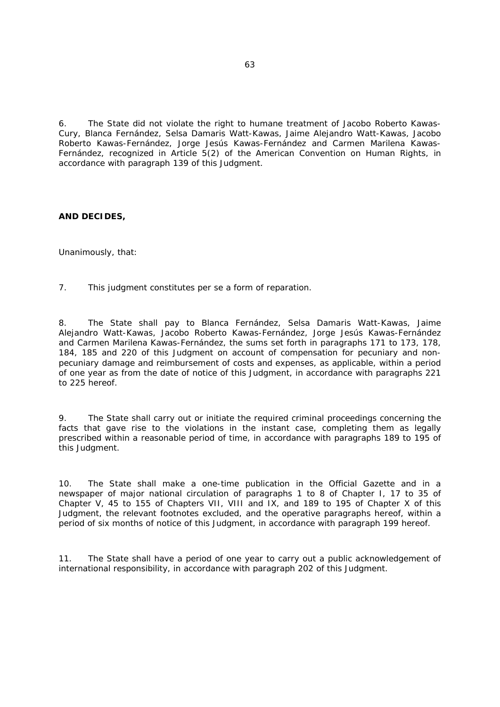6. The State did not violate the right to humane treatment of Jacobo Roberto Kawas-Cury, Blanca Fernández, Selsa Damaris Watt-Kawas, Jaime Alejandro Watt-Kawas, Jacobo Roberto Kawas-Fernández, Jorge Jesús Kawas-Fernández and Carmen Marilena Kawas-Fernández, recognized in Article 5(2) of the American Convention on Human Rights, in accordance with paragraph 139 of this Judgment.

# **AND DECIDES,**

Unanimously, that:

7. This judgment constitutes *per se* a form of reparation.

8. The State shall pay to Blanca Fernández, Selsa Damaris Watt-Kawas, Jaime Alejandro Watt-Kawas, Jacobo Roberto Kawas-Fernández, Jorge Jesús Kawas-Fernández and Carmen Marilena Kawas-Fernández, the sums set forth in paragraphs 171 to 173, 178, 184, 185 and 220 of this Judgment on account of compensation for pecuniary and nonpecuniary damage and reimbursement of costs and expenses, as applicable, within a period of one year as from the date of notice of this Judgment, in accordance with paragraphs 221 to 225 hereof.

9. The State shall carry out or initiate the required criminal proceedings concerning the facts that gave rise to the violations in the instant case, completing them as legally prescribed within a reasonable period of time, in accordance with paragraphs 189 to 195 of this Judgment.

10. The State shall make a one-time publication in the Official Gazette and in a newspaper of major national circulation of paragraphs 1 to 8 of Chapter I, 17 to 35 of Chapter V, 45 to 155 of Chapters VII, VIII and IX, and 189 to 195 of Chapter X of this Judgment, the relevant footnotes excluded, and the operative paragraphs hereof, within a period of six months of notice of this Judgment, in accordance with paragraph 199 hereof.

11. The State shall have a period of one year to carry out a public acknowledgement of international responsibility, in accordance with paragraph 202 of this Judgment.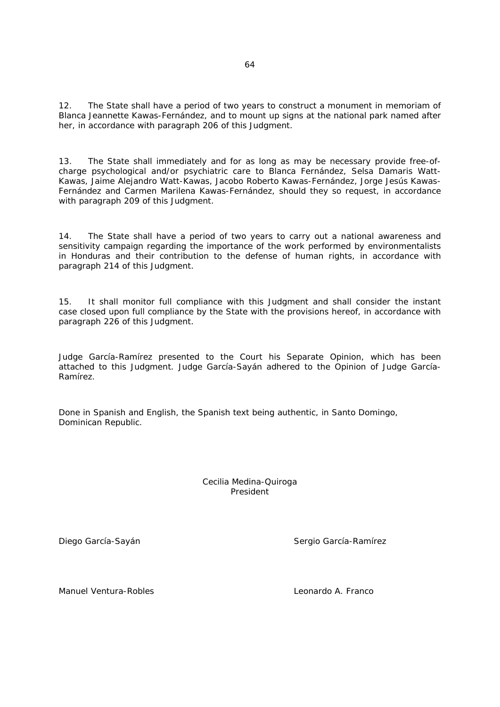12. The State shall have a period of two years to construct a monument in memoriam of Blanca Jeannette Kawas-Fernández, and to mount up signs at the national park named after her, in accordance with paragraph 206 of this Judgment.

13. The State shall immediately and for as long as may be necessary provide free-ofcharge psychological and/or psychiatric care to Blanca Fernández, Selsa Damaris Watt-Kawas, Jaime Alejandro Watt-Kawas, Jacobo Roberto Kawas-Fernández, Jorge Jesús Kawas-Fernández and Carmen Marilena Kawas-Fernández, should they so request, in accordance with paragraph 209 of this Judgment.

14. The State shall have a period of two years to carry out a national awareness and sensitivity campaign regarding the importance of the work performed by environmentalists in Honduras and their contribution to the defense of human rights, in accordance with paragraph 214 of this Judgment.

15. It shall monitor full compliance with this Judgment and shall consider the instant case closed upon full compliance by the State with the provisions hereof, in accordance with paragraph 226 of this Judgment.

Judge García-Ramírez presented to the Court his Separate Opinion, which has been attached to this Judgment. Judge García-Sayán adhered to the Opinion of Judge García-Ramírez.

Done in Spanish and English, the Spanish text being authentic, in Santo Domingo, Dominican Republic.

> Cecilia Medina-Quiroga President

Diego García-Sayán Sergio García-Ramírez

Manuel Ventura-Robles Leonardo A. Franco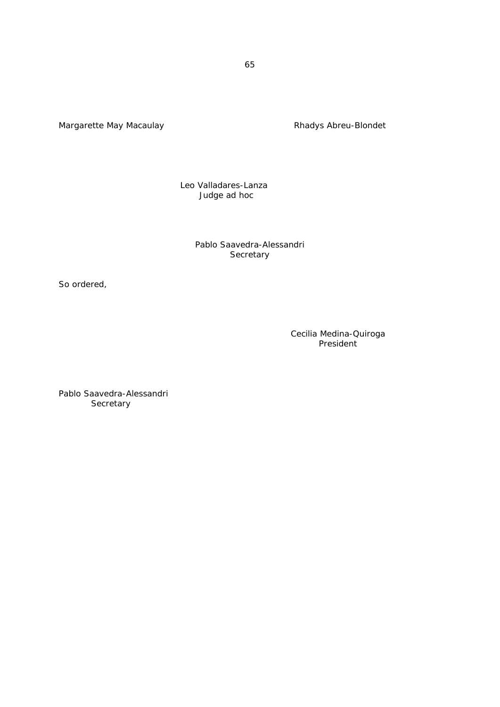Margarette May Macaulay Macaulay Rhadys Abreu-Blondet

 Leo Valladares-Lanza Judge *ad hoc*

> Pablo Saavedra-Alessandri **Secretary**

So ordered,

Cecilia Medina-Quiroga President

Pablo Saavedra-Alessandri **Secretary**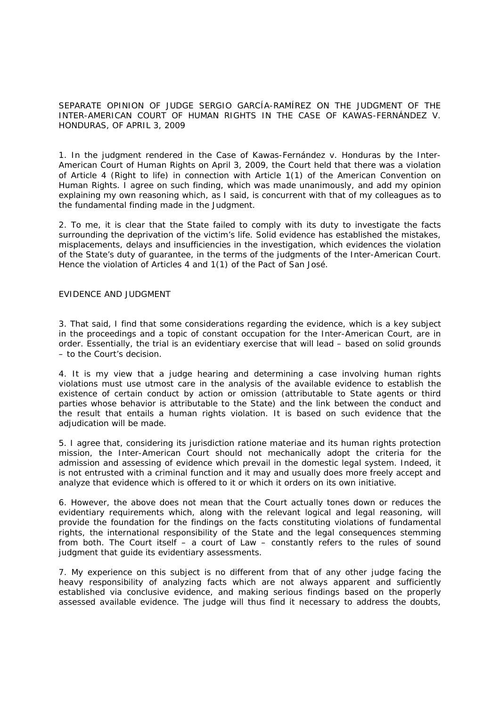SEPARATE OPINION OF JUDGE SERGIO GARCÍA-RAMÍREZ ON THE JUDGMENT OF THE INTER-AMERICAN COURT OF HUMAN RIGHTS IN THE *CASE OF KAWAS-FERNÁNDEZ V. HONDURAS*, OF APRIL 3, 2009

1. In the judgment rendered in the *Case of Kawas-Fernández v. Honduras* by the Inter-American Court of Human Rights on April 3, 2009, the Court held that there was a violation of Article 4 (Right to life) in connection with Article 1(1) of the American Convention on Human Rights. I agree on such finding, which was made unanimously, and add my opinion explaining my own reasoning which, as I said, is concurrent with that of my colleagues as to the fundamental finding made in the Judgment.

2. To me, it is clear that the State failed to comply with its duty to investigate the facts surrounding the deprivation of the victim's life. Solid evidence has established the mistakes, misplacements, delays and insufficiencies in the investigation, which evidences the violation of the State's duty of guarantee, in the terms of the judgments of the Inter-American Court. Hence the violation of Articles 4 and 1(1) of the Pact of San José.

#### EVIDENCE AND JUDGMENT

3. That said, I find that some considerations regarding the evidence, which is a key subject in the proceedings and a topic of constant occupation for the Inter-American Court, are in order. Essentially, the trial is an evidentiary exercise that will lead – based on solid grounds – to the Court's decision.

4. It is my view that a judge hearing and determining a case involving human rights violations must use utmost care in the analysis of the available evidence to establish the existence of certain conduct by action or omission (attributable to State agents or third parties whose behavior is attributable to the State) and the link between the conduct and the result that entails a human rights violation. It is based on such evidence that the adjudication will be made.

5. I agree that, considering its jurisdiction *ratione materiae* and its human rights protection mission, the Inter-American Court should not mechanically adopt the criteria for the admission and assessing of evidence which prevail in the domestic legal system. Indeed, it is not entrusted with a criminal function and it may and usually does more freely accept and analyze that evidence which is offered to it or which it orders on its own initiative.

6. However, the above does not mean that the Court actually tones down or reduces the evidentiary requirements which, along with the relevant logical and legal reasoning, will provide the foundation for the findings on the facts constituting violations of fundamental rights, the international responsibility of the State and the legal consequences stemming from both. The Court itself – a court of Law – constantly refers to the rules of sound judgment that guide its evidentiary assessments.

7. My experience on this subject is no different from that of any other judge facing the heavy responsibility of analyzing facts which are not always apparent and sufficiently established via conclusive evidence, and making serious findings based on the properly assessed available evidence. The judge will thus find it necessary to address the doubts,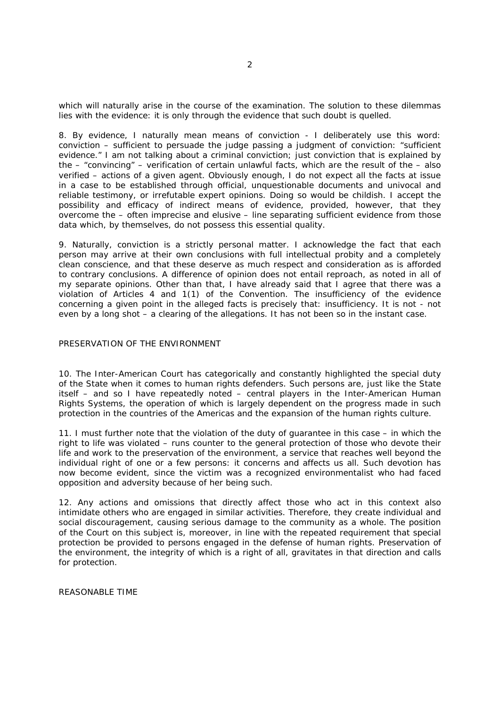which will naturally arise in the course of the examination. The solution to these dilemmas lies with the evidence: it is only through the evidence that such doubt is quelled.

8. By evidence, I naturally mean means of conviction - I deliberately use this word: conviction – sufficient to persuade the judge passing a judgment of conviction: "sufficient evidence." I am not talking about a criminal conviction; just conviction that is explained by the – "convincing" – verification of certain unlawful facts, which are the result of the – also verified – actions of a given agent. Obviously enough, I do not expect all the facts at issue in a case to be established through official, unquestionable documents and univocal and reliable testimony, or irrefutable expert opinions. Doing so would be childish. I accept the possibility and efficacy of indirect means of evidence, provided, however, that they overcome the – often imprecise and elusive – line separating sufficient evidence from those data which, by themselves, do not possess this essential quality.

9. Naturally, conviction is a strictly personal matter. I acknowledge the fact that each person may arrive at their own conclusions with full intellectual probity and a completely clean conscience, and that these deserve as much respect and consideration as is afforded to contrary conclusions. A difference of opinion does not entail reproach, as noted in all of my separate opinions. Other than that, I have already said that I agree that there was a violation of Articles 4 and 1(1) of the Convention. The insufficiency of the evidence concerning a given point in the alleged facts is precisely that: insufficiency. It is not - not even by a long shot – a clearing of the allegations. It has not been so in the instant case.

#### PRESERVATION OF THE ENVIRONMENT

10. The Inter-American Court has categorically and constantly highlighted the special duty of the State when it comes to human rights defenders. Such persons are, just like the State itself – and so I have repeatedly noted – central players in the Inter-American Human Rights Systems, the operation of which is largely dependent on the progress made in such protection in the countries of the Americas and the expansion of the human rights culture.

11. I must further note that the violation of the duty of guarantee in this case – in which the right to life was violated – runs counter to the general protection of those who devote their life and work to the preservation of the environment, a service that reaches well beyond the individual right of one or a few persons: it concerns and affects us all. Such devotion has now become evident, since the victim was a recognized environmentalist who had faced opposition and adversity because of her being such.

12. Any actions and omissions that directly affect those who act in this context also intimidate others who are engaged in similar activities. Therefore, they create individual and social discouragement, causing serious damage to the community as a whole. The position of the Court on this subject is, moreover, in line with the repeated requirement that special protection be provided to persons engaged in the defense of human rights. Preservation of the environment, the integrity of which is a right of all, gravitates in that direction and calls for protection.

REASONABLE TIME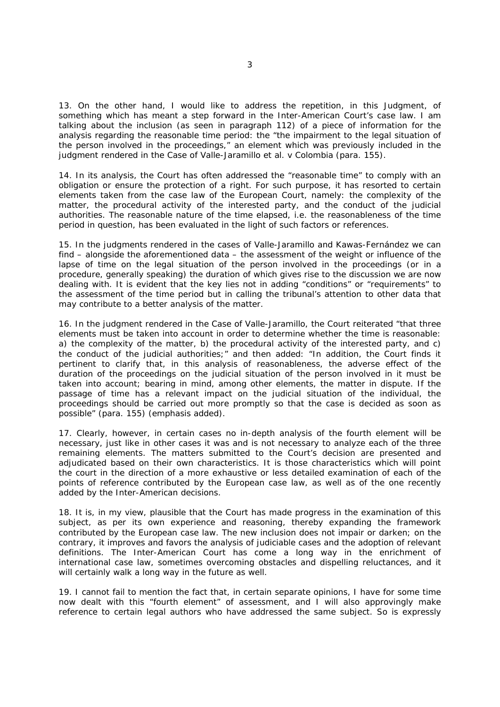13. On the other hand, I would like to address the repetition, in this Judgment, of something which has meant a step forward in the Inter-American Court's case law. I am talking about the inclusion (as seen in paragraph 112) of a piece of information for the analysis regarding the reasonable time period: the "the impairment to the legal situation of the person involved in the proceedings," an element which was previously included in the judgment rendered in the *Case of Valle-Jaramillo et al. v Colombia* (para. 155).

14. In its analysis, the Court has often addressed the "reasonable time" to comply with an obligation or ensure the protection of a right. For such purpose, it has resorted to certain elements taken from the case law of the European Court, namely: the complexity of the matter, the procedural activity of the interested party, and the conduct of the judicial authorities. The reasonable nature of the time elapsed, *i.e.* the reasonableness of the time period in question, has been evaluated in the light of such factors or references.

15. In the judgments rendered in the cases of *Valle-Jaramillo and Kawas-Fernández* we can find – alongside the aforementioned data – the assessment of the weight or influence of the lapse of time on the legal situation of the person involved in the proceedings (or in a procedure, generally speaking) the duration of which gives rise to the discussion we are now dealing with. It is evident that the key lies not in adding "conditions" or "requirements" to the assessment of the time period but in calling the tribunal's attention to other data that may contribute to a better analysis of the matter.

16. In the judgment rendered in the *Case of Valle-Jaramillo*, the Court reiterated "that three elements must be taken into account in order to determine whether the time is reasonable: a) the complexity of the matter, b) the procedural activity of the interested party, and c) the conduct of the judicial authorities;" and then added: *"In addition, the Court finds it pertinent to clarify that, in this analysis of reasonableness, the adverse effect of the duration of the proceedings on the judicial situation of the person involved in it must be taken into account; bearing in mind, among other elements, the matter in dispute. If the*  passage of time has a relevant impact on the judicial situation of the individual, the *proceedings should be carried out more promptly so that the case is decided as soon as possible"* (para. 155) (emphasis added).

17. Clearly, however, in certain cases no in-depth analysis of the fourth element will be necessary, just like in other cases it was and is not necessary to analyze each of the three remaining elements. The matters submitted to the Court's decision are presented and adjudicated based on their own characteristics. It is those characteristics which will point the court in the direction of a more exhaustive or less detailed examination of each of the points of reference contributed by the European case law, as well as of the one recently added by the Inter-American decisions.

18. It is, in my view, plausible that the Court has made progress in the examination of this subject, as per its own experience and reasoning, thereby expanding the framework contributed by the European case law. The new inclusion does not impair or darken; on the contrary, it improves and favors the analysis of judiciable cases and the adoption of relevant definitions. The Inter-American Court has come a long way in the enrichment of international case law, sometimes overcoming obstacles and dispelling reluctances, and it will certainly walk a long way in the future as well.

19. I cannot fail to mention the fact that, in certain separate opinions, I have for some time now dealt with this "fourth element" of assessment, and I will also approvingly make reference to certain legal authors who have addressed the same subject. So is expressly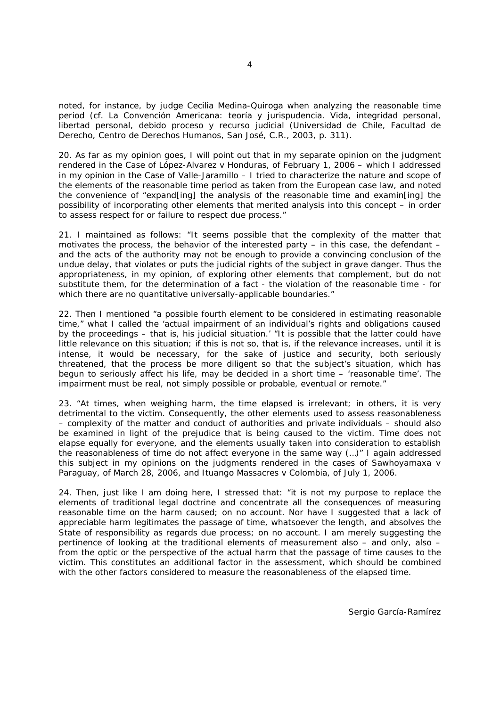noted, for instance, by judge Cecilia Medina-Quiroga when analyzing the reasonable time period (cf. *La Convención Americana: teoría y jurispudencia. Vida, integridad personal, libertad personal, debido proceso y recurso judicial* (Universidad de Chile, Facultad de Derecho, Centro de Derechos Humanos, San José, C.R., 2003, p. 311).

20. As far as my opinion goes, I will point out that in my separate opinion on the judgment rendered in the *Case of López-Alvarez v Honduras*, of February 1, 2006 – which I addressed in my opinion in the *Case of Valle-Jaramillo* – I tried to characterize the nature and scope of the elements of the reasonable time period as taken from the European case law, and noted the convenience of "expand[ing] the analysis of the reasonable time and examin[ing] the possibility of incorporating other elements that merited analysis into this concept – in order to assess respect for or failure to respect due process."

21. I maintained as follows: "It seems possible that the complexity of the matter that motivates the process, the behavior of the interested party – in this case, the defendant – and the acts of the authority may not be enough to provide a convincing conclusion of the undue delay, that violates or puts the judicial rights of the subject in grave danger. Thus the appropriateness, in my opinion, of exploring other elements that complement, but do not substitute them, for the determination of a fact - the violation of the reasonable time - for which there are no quantitative universally-applicable boundaries."

22. Then I mentioned "a possible fourth element to be considered in estimating reasonable time," what I called the '*actual impairment of an individual's rights and obligations caused by the proceedings – that is, his judicial situation.'* "It is possible that the latter could have little relevance on this situation; if this is not so, that is, if the relevance increases, until it is intense, it would be necessary, for the sake of justice and security, both seriously threatened, that the process be more diligent so that the subject's situation, which has begun to seriously affect his life, may be decided in a short time – 'reasonable time'. The impairment must be real, not simply possible or probable, eventual or remote."

23. "At times, when weighing harm, the time elapsed is irrelevant; in others, it is very detrimental to the victim. Consequently, the other elements used to assess reasonableness – complexity of the matter and conduct of authorities and private individuals – should also be examined in light of the prejudice that is being caused to the victim. Time does not elapse equally for everyone, and the elements usually taken into consideration to establish the reasonableness of time do not affect everyone in the same way (…)" I again addressed this subject in my opinions on the judgments rendered in the cases of *Sawhoyamaxa v Paraguay*, of March 28, 2006, and *Ituango Massacres v Colombia*, of July 1, 2006.

24. Then, just like I am doing here, I stressed that: "it is not my purpose to replace the elements of traditional legal doctrine and concentrate all the consequences of measuring reasonable time on the harm caused; on no account. Nor have I suggested that a lack of appreciable harm legitimates the passage of time, whatsoever the length, and absolves the State of responsibility as regards due process; on no account. I am merely suggesting the pertinence of looking at the traditional elements of measurement also – and only, also – from the optic or the perspective of the actual harm that the passage of time causes to the victim. This constitutes an additional factor in the assessment, which should be combined with the other factors considered to measure the reasonableness of the elapsed time.

Sergio García-Ramírez